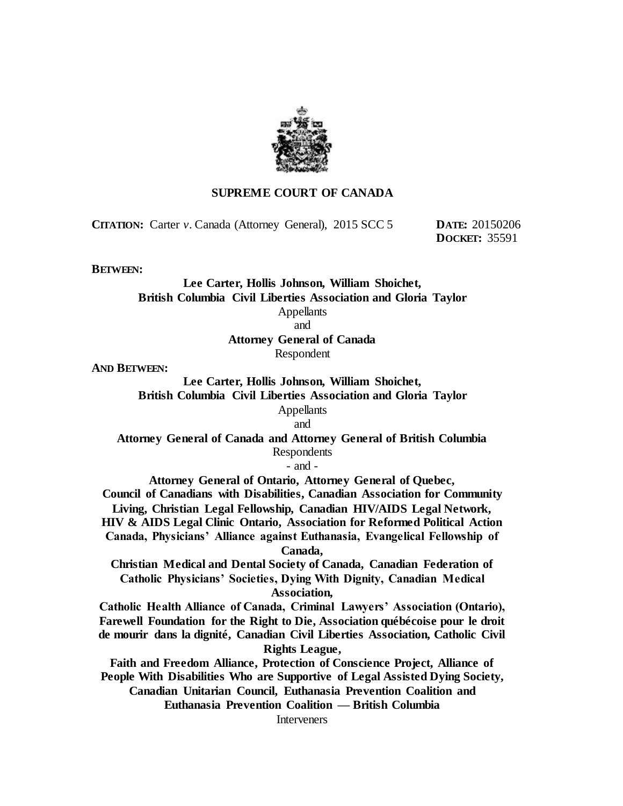

## **SUPREME COURT OF CANADA**

**CITATION:** Carter *v.* Canada (Attorney General), 2015 SCC 5 **DATE:** 20150206

**DOCKET:** 35591

**BETWEEN:**

**Lee Carter, Hollis Johnson, William Shoichet, British Columbia Civil Liberties Association and Gloria Taylor Appellants** and **Attorney General of Canada**

Respondent

**AND BETWEEN:**

**Lee Carter, Hollis Johnson, William Shoichet, British Columbia Civil Liberties Association and Gloria Taylor** Appellants

and

**Attorney General of Canada and Attorney General of British Columbia** Respondents

- and -

**Attorney General of Ontario, Attorney General of Quebec,** 

**Council of Canadians with Disabilities, Canadian Association for Community Living, Christian Legal Fellowship, Canadian HIV/AIDS Legal Network, HIV & AIDS Legal Clinic Ontario, Association for Reformed Political Action Canada, Physicians' Alliance against Euthanasia, Evangelical Fellowship of** 

**Canada,** 

**Christian Medical and Dental Society of Canada, Canadian Federation of Catholic Physicians' Societies, Dying With Dignity, Canadian Medical Association,** 

**Catholic Health Alliance of Canada, Criminal Lawyers' Association (Ontario), Farewell Foundation for the Right to Die, Association québécoise pour le droit de mourir dans la dignité, Canadian Civil Liberties Association, Catholic Civil Rights League,** 

**Faith and Freedom Alliance, Protection of Conscience Project, Alliance of People With Disabilities Who are Supportive of Legal Assisted Dying Society, Canadian Unitarian Council, Euthanasia Prevention Coalition and Euthanasia Prevention Coalition — British Columbia**

**Interveners**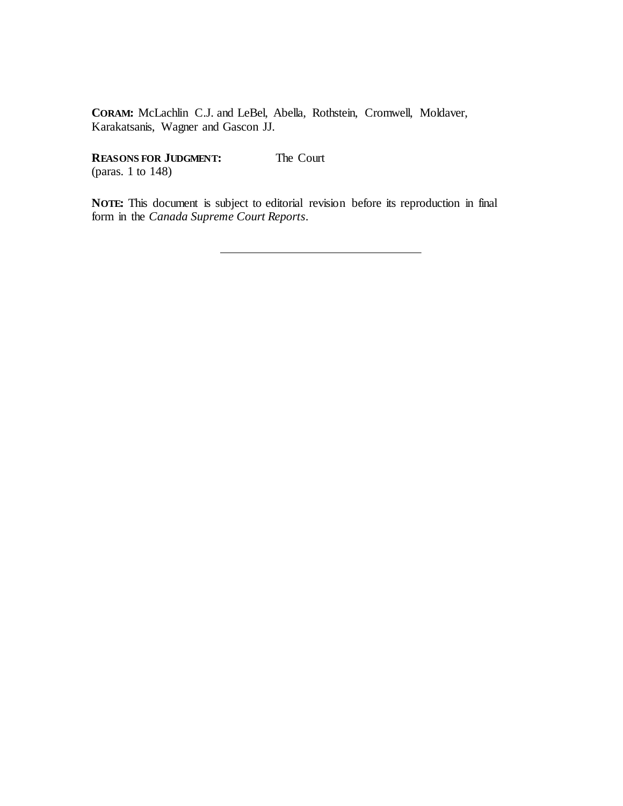**CORAM:** McLachlin C.J. and LeBel, Abella, Rothstein, Cromwell, Moldaver, Karakatsanis, Wagner and Gascon JJ.

**REASONS FOR JUDGMENT:**

The Court

(paras. 1 to 148)

**NOTE:** This document is subject to editorial revision before its reproduction in final form in the *Canada Supreme Court Reports*.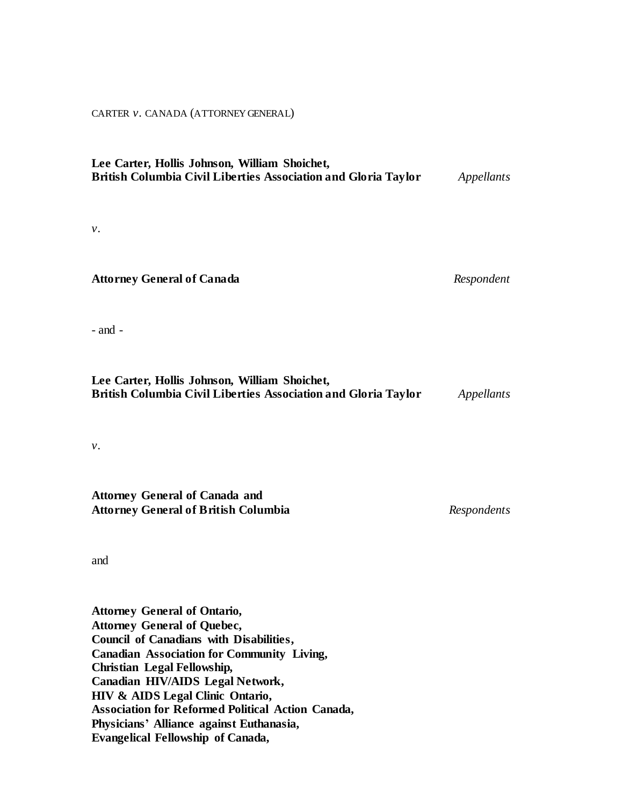CARTER *v.* CANADA (ATTORNEY GENERAL)

# **Lee Carter, Hollis Johnson, William Shoichet, British Columbia Civil Liberties Association and Gloria Taylor** *Appellants*

*v.*

### **Attorney General of Canada** *Respondent*

- and -

| Lee Carter, Hollis Johnson, William Shoichet,                  |            |
|----------------------------------------------------------------|------------|
| British Columbia Civil Liberties Association and Gloria Taylor | Appellants |

*v.*

**Attorney General of Canada and Attorney General of British Columbia** *Respondents*

and

**Attorney General of Ontario, Attorney General of Quebec, Council of Canadians with Disabilities, Canadian Association for Community Living, Christian Legal Fellowship, Canadian HIV/AIDS Legal Network, HIV & AIDS Legal Clinic Ontario, Association for Reformed Political Action Canada, Physicians' Alliance against Euthanasia, Evangelical Fellowship of Canada,**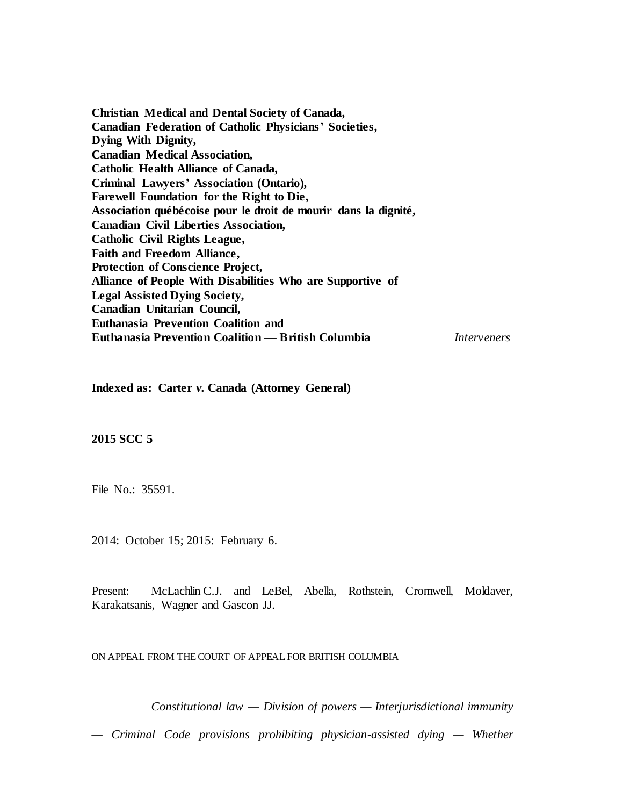**Christian Medical and Dental Society of Canada, Canadian Federation of Catholic Physicians' Societies, Dying With Dignity, Canadian Medical Association, Catholic Health Alliance of Canada, Criminal Lawyers' Association (Ontario), Farewell Foundation for the Right to Die, Association québécoise pour le droit de mourir dans la dignité, Canadian Civil Liberties Association, Catholic Civil Rights League, Faith and Freedom Alliance, Protection of Conscience Project, Alliance of People With Disabilities Who are Supportive of Legal Assisted Dying Society, Canadian Unitarian Council, Euthanasia Prevention Coalition and Euthanasia Prevention Coalition — British Columbia** *Interveners*

**Indexed as: Carter** *v.* **Canada (Attorney General)**

## **2015 SCC 5**

File No.: 35591.

2014: October 15; 2015: February 6.

Present: McLachlin C.J. and LeBel, Abella, Rothstein, Cromwell, Moldaver, Karakatsanis, Wagner and Gascon JJ.

ON APPEAL FROM THECOURT OF APPEAL FOR BRITISH COLUMBIA

*Constitutional law — Division of powers — Interjurisdictional immunity* 

*— Criminal Code provisions prohibiting physician-assisted dying — Whether*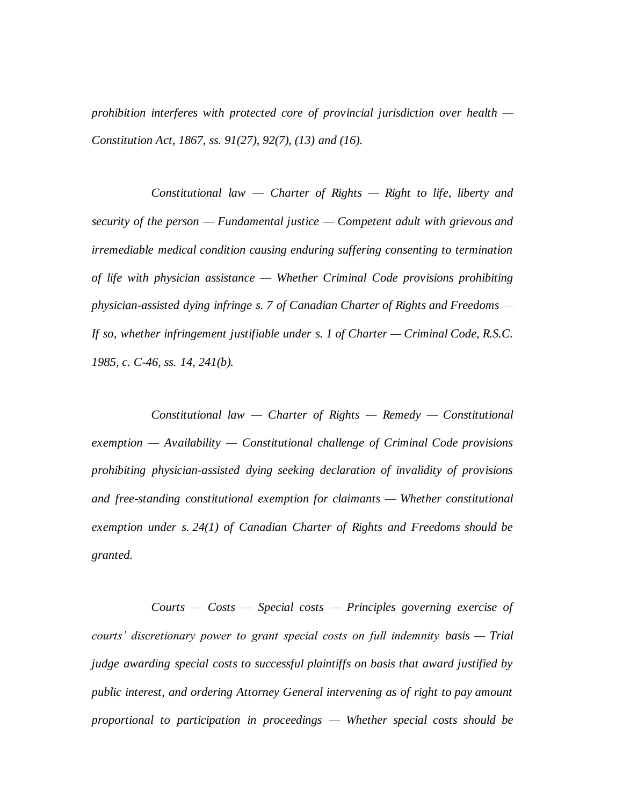*prohibition interferes with protected core of provincial jurisdiction over health — Constitution Act, 1867, ss. 91(27), 92(7), (13) and (16).*

*Constitutional law — Charter of Rights — Right to life, liberty and security of the person — Fundamental justice — Competent adult with grievous and irremediable medical condition causing enduring suffering consenting to termination of life with physician assistance — Whether Criminal Code provisions prohibiting physician-assisted dying infringe s. 7 of Canadian Charter of Rights and Freedoms — If so, whether infringement justifiable under s. 1 of Charter — Criminal Code, R.S.C. 1985, c. C-46, ss. 14, 241(b).*

*Constitutional law — Charter of Rights — Remedy — Constitutional exemption — Availability — Constitutional challenge of Criminal Code provisions prohibiting physician-assisted dying seeking declaration of invalidity of provisions and free-standing constitutional exemption for claimants — Whether constitutional exemption under s. 24(1) of Canadian Charter of Rights and Freedoms should be granted.*

*Courts — Costs — Special costs — Principles governing exercise of courts' discretionary power to grant special costs on full indemnity basis — Trial judge awarding special costs to successful plaintiffs on basis that award justified by public interest, and ordering Attorney General intervening as of right to pay amount proportional to participation in proceedings — Whether special costs should be*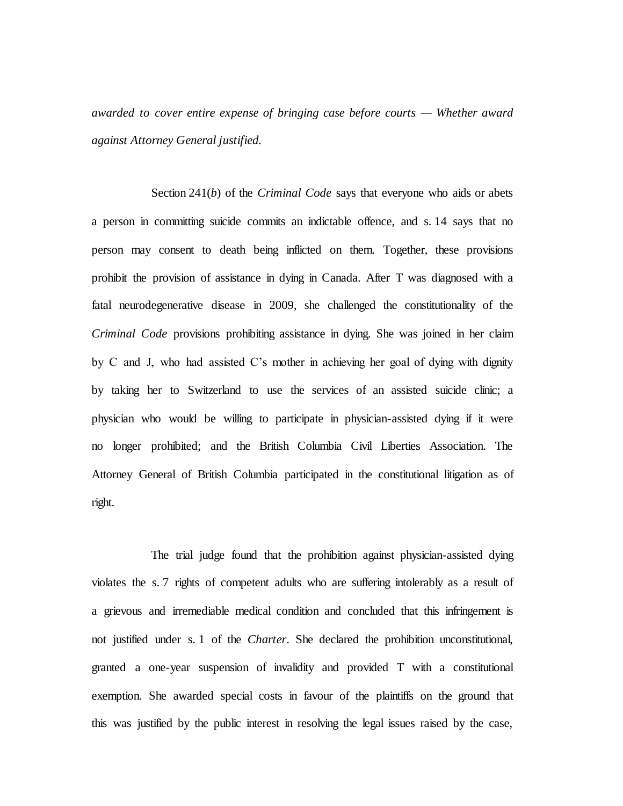*awarded to cover entire expense of bringing case before courts — Whether award against Attorney General justified.*

Section 241(*b*) of the *Criminal Code* says that everyone who aids or abets a person in committing suicide commits an indictable offence, and s. 14 says that no person may consent to death being inflicted on them. Together, these provisions prohibit the provision of assistance in dying in Canada. After T was diagnosed with a fatal neurodegenerative disease in 2009, she challenged the constitutionality of the *Criminal Code* provisions prohibiting assistance in dying. She was joined in her claim by C and J, who had assisted C's mother in achieving her goal of dying with dignity by taking her to Switzerland to use the services of an assisted suicide clinic; a physician who would be willing to participate in physician-assisted dying if it were no longer prohibited; and the British Columbia Civil Liberties Association. The Attorney General of British Columbia participated in the constitutional litigation as of right.

The trial judge found that the prohibition against physician-assisted dying violates the s. 7 rights of competent adults who are suffering intolerably as a result of a grievous and irremediable medical condition and concluded that this infringement is not justified under s. 1 of the *Charter*. She declared the prohibition unconstitutional, granted a one-year suspension of invalidity and provided T with a constitutional exemption. She awarded special costs in favour of the plaintiffs on the ground that this was justified by the public interest in resolving the legal issues raised by the case,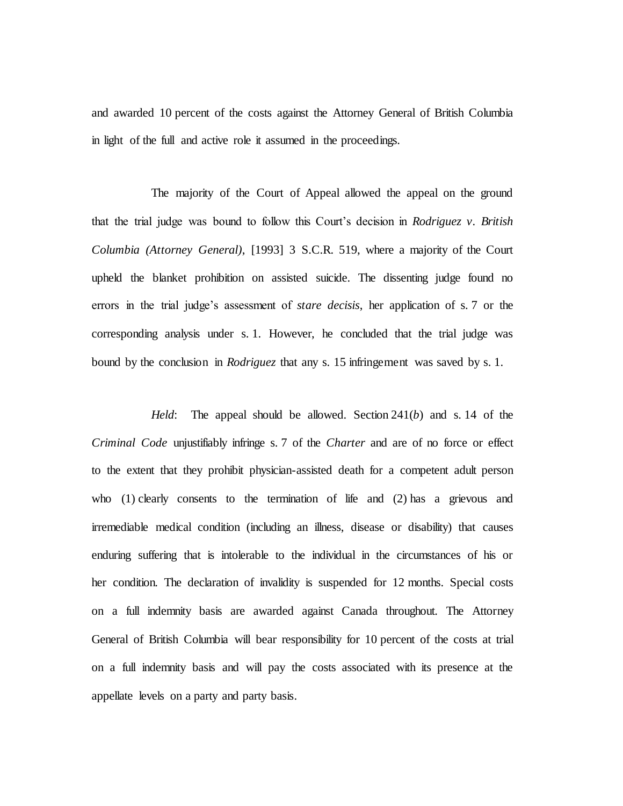and awarded 10 percent of the costs against the Attorney General of British Columbia in light of the full and active role it assumed in the proceedings.

The majority of the Court of Appeal allowed the appeal on the ground that the trial judge was bound to follow this Court's decision in *Rodriguez v. British Columbia (Attorney General)*, [1993] 3 S.C.R. 519, where a majority of the Court upheld the blanket prohibition on assisted suicide. The dissenting judge found no errors in the trial judge's assessment of *stare decisis*, her application of s. 7 or the corresponding analysis under s. 1. However, he concluded that the trial judge was bound by the conclusion in *Rodriguez* that any s. 15 infringement was saved by s. 1.

*Held*: The appeal should be allowed. Section 241(*b*) and s. 14 of the *Criminal Code* unjustifiably infringe s. 7 of the *Charter* and are of no force or effect to the extent that they prohibit physician-assisted death for a competent adult person who  $(1)$  clearly consents to the termination of life and  $(2)$  has a grievous and irremediable medical condition (including an illness, disease or disability) that causes enduring suffering that is intolerable to the individual in the circumstances of his or her condition. The declaration of invalidity is suspended for 12 months. Special costs on a full indemnity basis are awarded against Canada throughout. The Attorney General of British Columbia will bear responsibility for 10 percent of the costs at trial on a full indemnity basis and will pay the costs associated with its presence at the appellate levels on a party and party basis.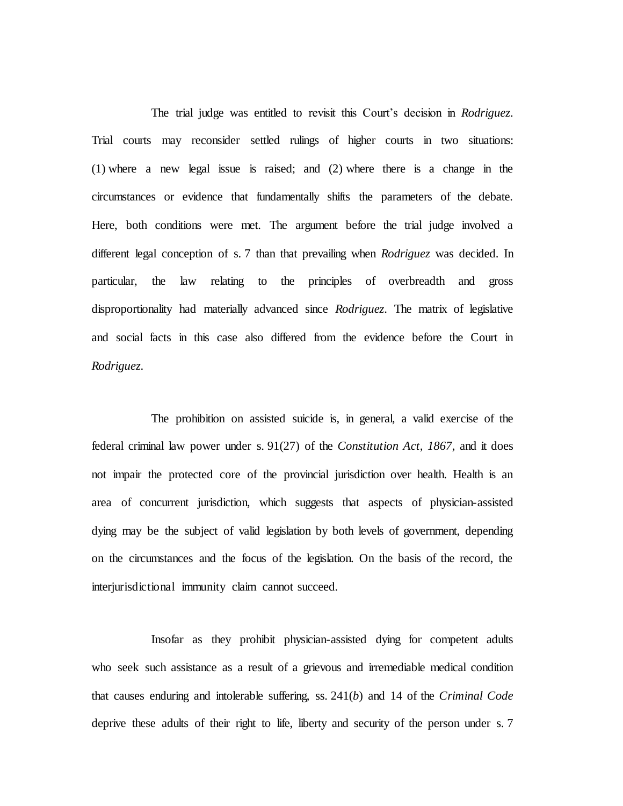The trial judge was entitled to revisit this Court's decision in *Rodriguez*. Trial courts may reconsider settled rulings of higher courts in two situations: (1) where a new legal issue is raised; and (2) where there is a change in the circumstances or evidence that fundamentally shifts the parameters of the debate. Here, both conditions were met. The argument before the trial judge involved a different legal conception of s. 7 than that prevailing when *Rodriguez* was decided. In particular, the law relating to the principles of overbreadth and gross disproportionality had materially advanced since *Rodriguez*. The matrix of legislative and social facts in this case also differed from the evidence before the Court in *Rodriguez*.

The prohibition on assisted suicide is, in general, a valid exercise of the federal criminal law power under s. 91(27) of the *Constitution Act, 1867*, and it does not impair the protected core of the provincial jurisdiction over health. Health is an area of concurrent jurisdiction, which suggests that aspects of physician-assisted dying may be the subject of valid legislation by both levels of government, depending on the circumstances and the focus of the legislation. On the basis of the record, the interjurisdictional immunity claim cannot succeed.

Insofar as they prohibit physician-assisted dying for competent adults who seek such assistance as a result of a grievous and irremediable medical condition that causes enduring and intolerable suffering, ss. 241(*b*) and 14 of the *Criminal Code* deprive these adults of their right to life, liberty and security of the person under s. 7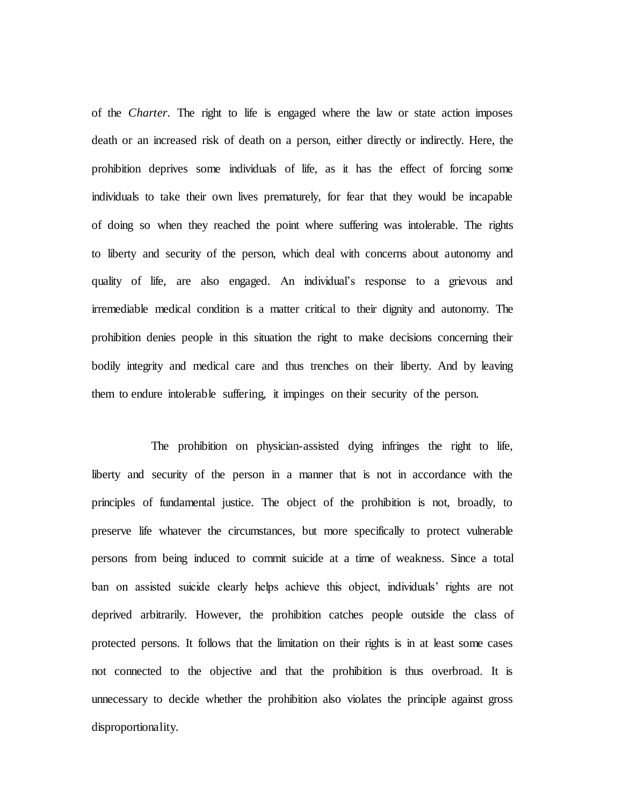of the *Charter*. The right to life is engaged where the law or state action imposes death or an increased risk of death on a person, either directly or indirectly. Here, the prohibition deprives some individuals of life, as it has the effect of forcing some individuals to take their own lives prematurely, for fear that they would be incapable of doing so when they reached the point where suffering was intolerable. The rights to liberty and security of the person, which deal with concerns about autonomy and quality of life, are also engaged. An individual's response to a grievous and irremediable medical condition is a matter critical to their dignity and autonomy. The prohibition denies people in this situation the right to make decisions concerning their bodily integrity and medical care and thus trenches on their liberty. And by leaving them to endure intolerable suffering, it impinges on their security of the person.

The prohibition on physician-assisted dying infringes the right to life, liberty and security of the person in a manner that is not in accordance with the principles of fundamental justice. The object of the prohibition is not, broadly, to preserve life whatever the circumstances, but more specifically to protect vulnerable persons from being induced to commit suicide at a time of weakness. Since a total ban on assisted suicide clearly helps achieve this object, individuals' rights are not deprived arbitrarily. However, the prohibition catches people outside the class of protected persons. It follows that the limitation on their rights is in at least some cases not connected to the objective and that the prohibition is thus overbroad. It is unnecessary to decide whether the prohibition also violates the principle against gross disproportionality.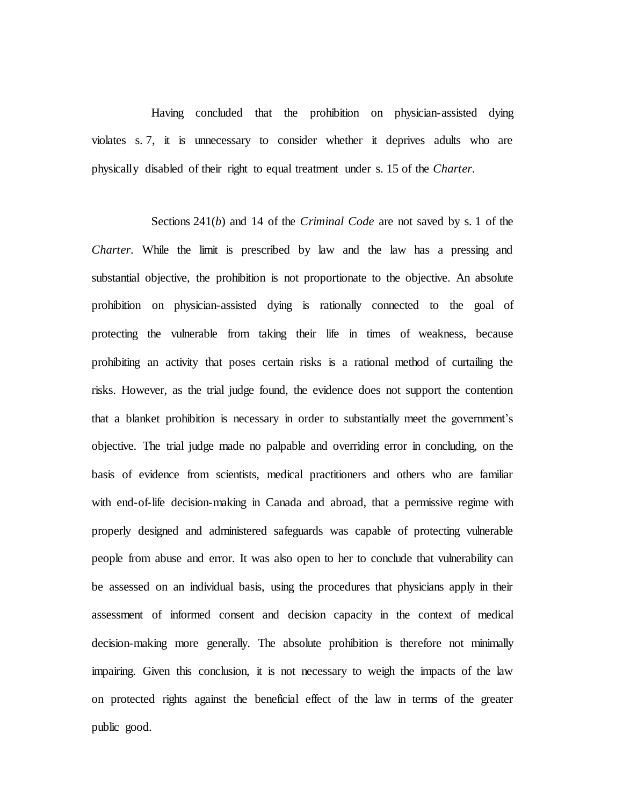Having concluded that the prohibition on physician-assisted dying violates s. 7, it is unnecessary to consider whether it deprives adults who are physically disabled of their right to equal treatment under s. 15 of the *Charter*.

Sections 241(*b*) and 14 of the *Criminal Code* are not saved by s. 1 of the *Charter*. While the limit is prescribed by law and the law has a pressing and substantial objective, the prohibition is not proportionate to the objective. An absolute prohibition on physician-assisted dying is rationally connected to the goal of protecting the vulnerable from taking their life in times of weakness, because prohibiting an activity that poses certain risks is a rational method of curtailing the risks. However, as the trial judge found, the evidence does not support the contention that a blanket prohibition is necessary in order to substantially meet the government's objective. The trial judge made no palpable and overriding error in concluding, on the basis of evidence from scientists, medical practitioners and others who are familiar with end-of-life decision-making in Canada and abroad, that a permissive regime with properly designed and administered safeguards was capable of protecting vulnerable people from abuse and error. It was also open to her to conclude that vulnerability can be assessed on an individual basis, using the procedures that physicians apply in their assessment of informed consent and decision capacity in the context of medical decision-making more generally. The absolute prohibition is therefore not minimally impairing. Given this conclusion, it is not necessary to weigh the impacts of the law on protected rights against the beneficial effect of the law in terms of the greater public good.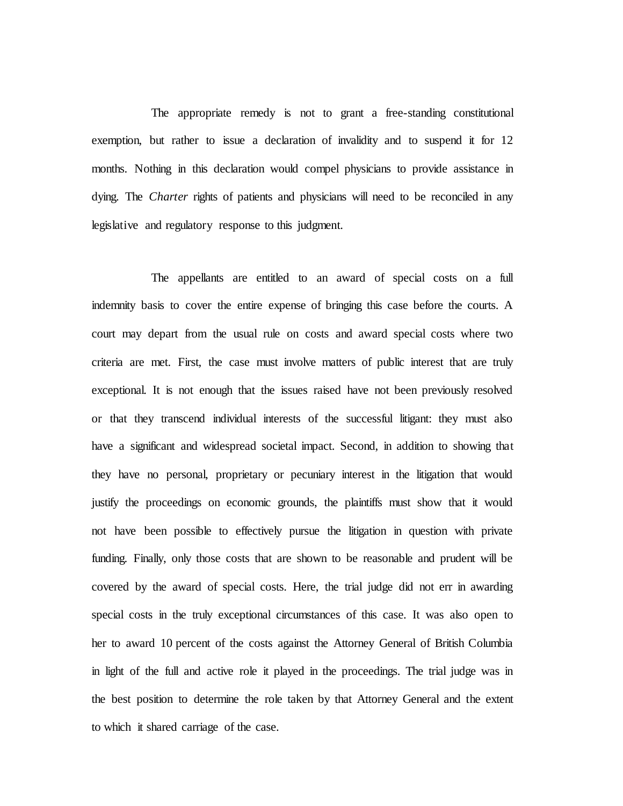The appropriate remedy is not to grant a free-standing constitutional exemption, but rather to issue a declaration of invalidity and to suspend it for 12 months. Nothing in this declaration would compel physicians to provide assistance in dying. The *Charter* rights of patients and physicians will need to be reconciled in any legislative and regulatory response to this judgment.

The appellants are entitled to an award of special costs on a full indemnity basis to cover the entire expense of bringing this case before the courts. A court may depart from the usual rule on costs and award special costs where two criteria are met. First, the case must involve matters of public interest that are truly exceptional. It is not enough that the issues raised have not been previously resolved or that they transcend individual interests of the successful litigant: they must also have a significant and widespread societal impact. Second, in addition to showing that they have no personal, proprietary or pecuniary interest in the litigation that would justify the proceedings on economic grounds, the plaintiffs must show that it would not have been possible to effectively pursue the litigation in question with private funding. Finally, only those costs that are shown to be reasonable and prudent will be covered by the award of special costs. Here, the trial judge did not err in awarding special costs in the truly exceptional circumstances of this case. It was also open to her to award 10 percent of the costs against the Attorney General of British Columbia in light of the full and active role it played in the proceedings. The trial judge was in the best position to determine the role taken by that Attorney General and the extent to which it shared carriage of the case.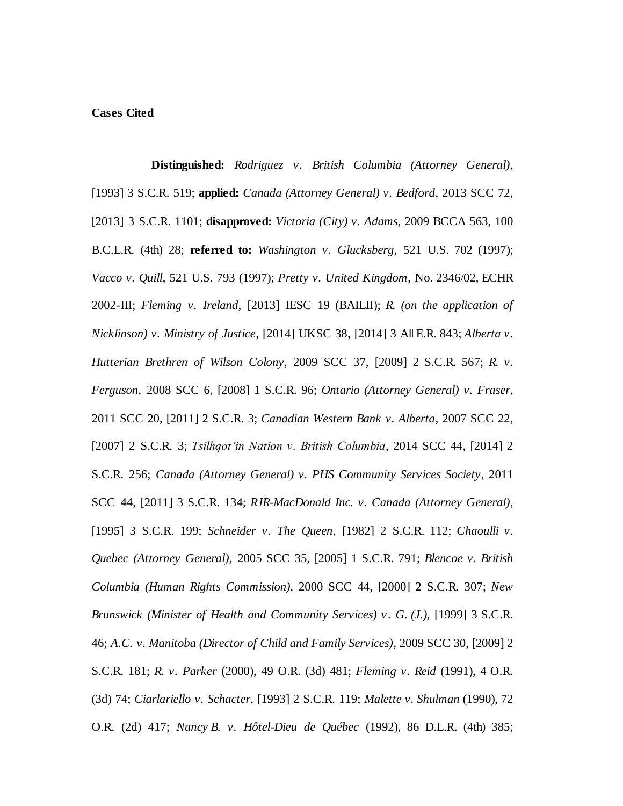# **Cases Cited**

**Distinguished:** *Rodriguez v. British Columbia (Attorney General)*, [1993] 3 S.C.R. 519; **applied:** *Canada (Attorney General) v. Bedford*, 2013 SCC 72, [2013] 3 S.C.R. 1101; **disapproved:** *Victoria (City) v. Adams*, 2009 BCCA 563, 100 B.C.L.R. (4th) 28; **referred to:** *Washington v. Glucksberg*, 521 U.S. 702 (1997); *Vacco v. Quill*, 521 U.S. 793 (1997); *Pretty v. United Kingdom*, No. 2346/02, ECHR 2002-III; *Fleming v. Ireland*, [2013] IESC 19 (BAILII); *R. (on the application of Nicklinson) v. Ministry of Justice*, [2014] UKSC 38, [2014] 3 All E.R. 843; *Alberta v. Hutterian Brethren of Wilson Colony*, 2009 SCC 37, [2009] 2 S.C.R. 567; *R. v. Ferguson*, 2008 SCC 6, [2008] 1 S.C.R. 96; *Ontario (Attorney General) v. Fraser*, 2011 SCC 20, [2011] 2 S.C.R. 3; *Canadian Western Bank v. Alberta*, 2007 SCC 22, [2007] 2 S.C.R. 3; *Tsilhqot'in Nation v. British Columbia*, 2014 SCC 44, [2014] 2 S.C.R. 256; *Canada (Attorney General) v. PHS Community Services Society*, 2011 SCC 44, [2011] 3 S.C.R. 134; *RJR-MacDonald Inc. v. Canada (Attorney General)*, [1995] 3 S.C.R. 199; *Schneider v. The Queen*, [1982] 2 S.C.R. 112; *Chaoulli v. Quebec (Attorney General)*, 2005 SCC 35, [2005] 1 S.C.R. 791; *Blencoe v. British Columbia (Human Rights Commission)*, 2000 SCC 44, [2000] 2 S.C.R. 307; *New Brunswick (Minister of Health and Community Services) v. G. (J.)*, [1999] 3 S.C.R. 46; *A.C. v. Manitoba (Director of Child and Family Services)*, 2009 SCC 30, [2009] 2 S.C.R. 181; *R. v. Parker* (2000), 49 O.R. (3d) 481; *Fleming v. Reid* (1991), 4 O.R. (3d) 74; *Ciarlariello v. Schacter*, [1993] 2 S.C.R. 119; *Malette v. Shulman* (1990), 72 O.R. (2d) 417; *Nancy B. v. Hôtel-Dieu de Québec* (1992), 86 D.L.R. (4th) 385;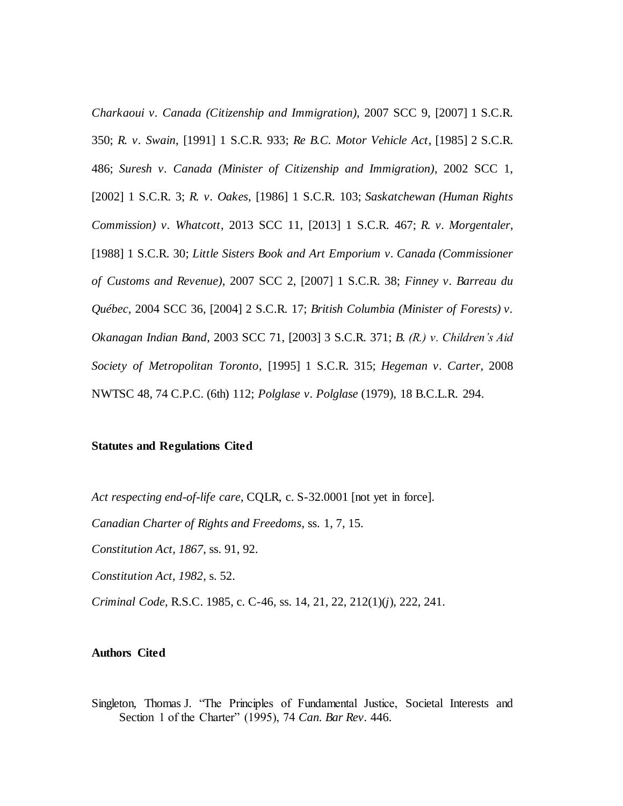*Charkaoui v. Canada (Citizenship and Immigration)*, 2007 SCC 9, [2007] 1 S.C.R. 350; *R. v. Swain*, [1991] 1 S.C.R. 933; *Re B.C. Motor Vehicle Act*, [1985] 2 S.C.R. 486; *Suresh v. Canada (Minister of Citizenship and Immigration)*, 2002 SCC 1, [2002] 1 S.C.R. 3; *R. v. Oakes*, [1986] 1 S.C.R. 103; *Saskatchewan (Human Rights Commission) v. Whatcott*, 2013 SCC 11, [2013] 1 S.C.R. 467; *R. v. Morgentaler*, [1988] 1 S.C.R. 30; *Little Sisters Book and Art Emporium v. Canada (Commissioner of Customs and Revenue)*, 2007 SCC 2, [2007] 1 S.C.R. 38; *Finney v. Barreau du Québec*, 2004 SCC 36, [2004] 2 S.C.R. 17; *British Columbia (Minister of Forests) v. Okanagan Indian Band*, 2003 SCC 71, [2003] 3 S.C.R. 371; *B. (R.) v. Children's Aid Society of Metropolitan Toronto*, [1995] 1 S.C.R. 315; *Hegeman v. Carter*, 2008 NWTSC 48, 74 C.P.C. (6th) 112; *Polglase v. Polglase* (1979), 18 B.C.L.R. 294.

#### **Statutes and Regulations Cited**

*Act respecting end-of-life care*, CQLR, c. S-32.0001 [not yet in force].

*Canadian Charter of Rights and Freedoms*, ss. 1, 7, 15.

*Constitution Act, 1867*, ss. 91, 92.

*Constitution Act, 1982*, s. 52.

*Criminal Code*, R.S.C. 1985, c. C-46, ss. 14, 21, 22, 212(1)(*j*), 222, 241.

### **Authors Cited**

Singleton, Thomas J. "The Principles of Fundamental Justice, Societal Interests and Section 1 of the Charter" (1995), 74 *Can. Bar Rev.* 446.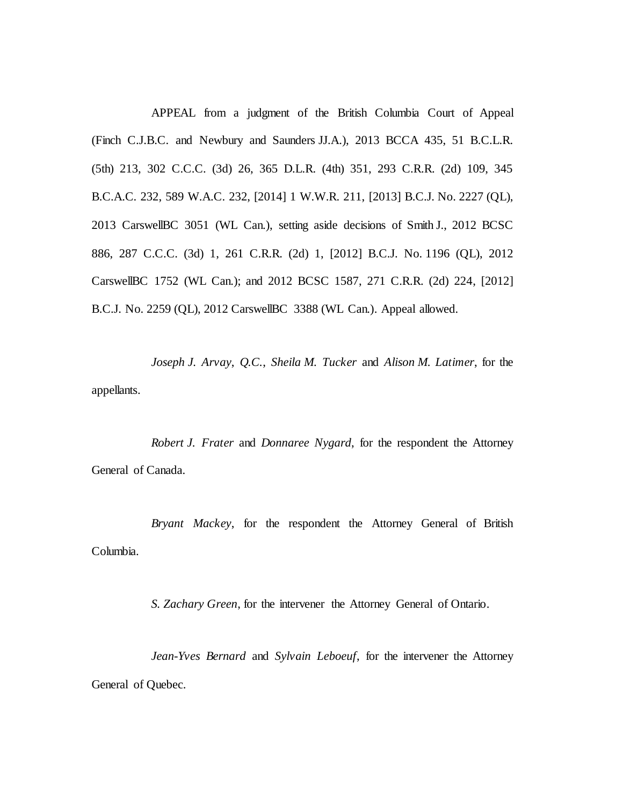APPEAL from a judgment of the British Columbia Court of Appeal (Finch C.J.B.C. and Newbury and Saunders JJ.A.), 2013 BCCA 435, 51 B.C.L.R. (5th) 213, 302 C.C.C. (3d) 26, 365 D.L.R. (4th) 351, 293 C.R.R. (2d) 109, 345 B.C.A.C. 232, 589 W.A.C. 232, [2014] 1 W.W.R. 211, [2013] B.C.J. No. 2227 (QL), 2013 CarswellBC 3051 (WL Can.), setting aside decisions of Smith J., 2012 BCSC 886, 287 C.C.C. (3d) 1, 261 C.R.R. (2d) 1, [2012] B.C.J. No. 1196 (QL), 2012 CarswellBC 1752 (WL Can.); and 2012 BCSC 1587, 271 C.R.R. (2d) 224, [2012] B.C.J. No. 2259 (QL), 2012 CarswellBC 3388 (WL Can.). Appeal allowed.

*Joseph J. Arvay*, *Q.C.*, *Sheila M. Tucker* and *Alison M. Latimer*, for the appellants.

*Robert J. Frater* and *Donnaree Nygard*, for the respondent the Attorney General of Canada.

*Bryant Mackey*, for the respondent the Attorney General of British Columbia.

*S. Zachary Green*, for the intervener the Attorney General of Ontario.

*Jean-Yves Bernard* and *Sylvain Leboeuf*, for the intervener the Attorney General of Quebec.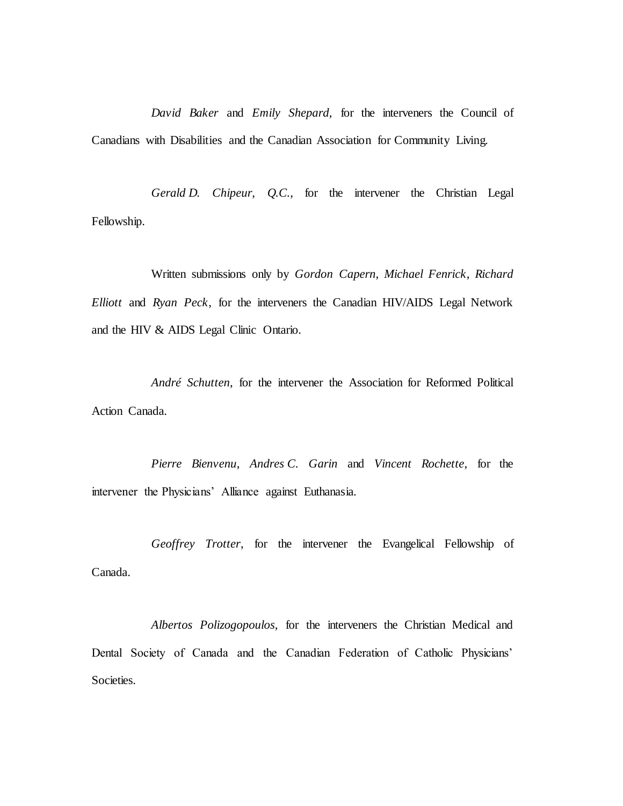*David Baker* and *Emily Shepard*, for the interveners the Council of Canadians with Disabilities and the Canadian Association for Community Living.

*Gerald D. Chipeur*, *Q.C.*, for the intervener the Christian Legal Fellowship.

Written submissions only by *Gordon Capern*, *Michael Fenrick*, *Richard Elliott* and *Ryan Peck*, for the interveners the Canadian HIV/AIDS Legal Network and the HIV & AIDS Legal Clinic Ontario.

*André Schutten*, for the intervener the Association for Reformed Political Action Canada.

*Pierre Bienvenu*, *Andres C. Garin* and *Vincent Rochette*, for the intervener the Physicians' Alliance against Euthanasia.

*Geoffrey Trotter*, for the intervener the Evangelical Fellowship of Canada.

*Albertos Polizogopoulos*, for the interveners the Christian Medical and Dental Society of Canada and the Canadian Federation of Catholic Physicians' Societies.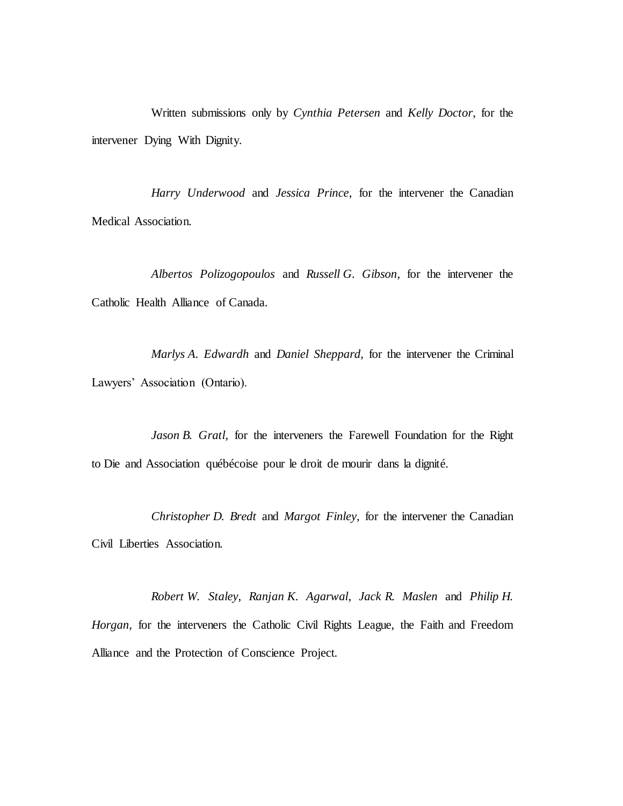Written submissions only by *Cynthia Petersen* and *Kelly Doctor*, for the intervener Dying With Dignity.

*Harry Underwood* and *Jessica Prince*, for the intervener the Canadian Medical Association.

*Albertos Polizogopoulos* and *Russell G. Gibson*, for the intervener the Catholic Health Alliance of Canada.

*Marlys A. Edwardh* and *Daniel Sheppard*, for the intervener the Criminal Lawyers' Association (Ontario).

*Jason B. Gratl*, for the interveners the Farewell Foundation for the Right to Die and Association québécoise pour le droit de mourir dans la dignité.

*Christopher D. Bredt* and *Margot Finley*, for the intervener the Canadian Civil Liberties Association.

*Robert W. Staley*, *Ranjan K. Agarwal*, *Jack R. Maslen* and *Philip H. Horgan*, for the interveners the Catholic Civil Rights League, the Faith and Freedom Alliance and the Protection of Conscience Project.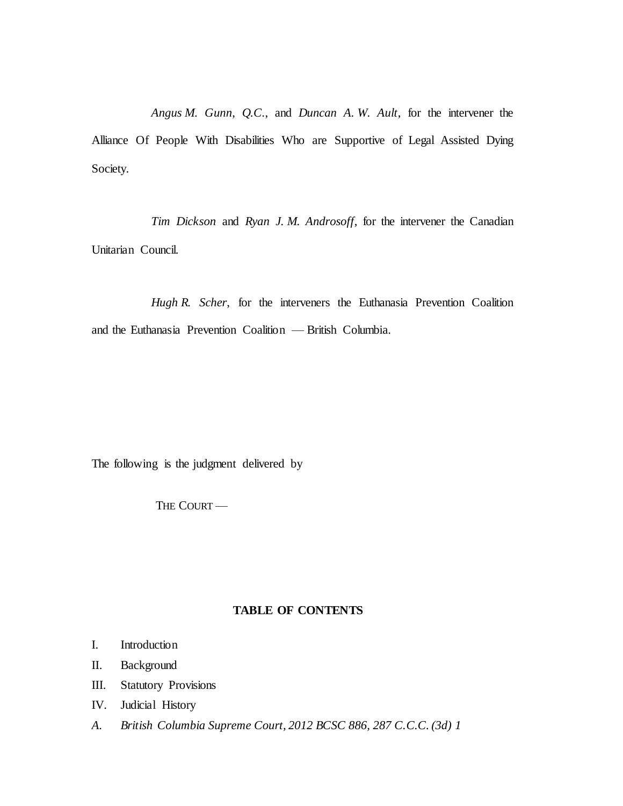*Angus M. Gunn*, *Q.C.*, and *Duncan A. W. Ault*, for the intervener the Alliance Of People With Disabilities Who are Supportive of Legal Assisted Dying Society.

*Tim Dickson* and *Ryan J. M. Androsoff*, for the intervener the Canadian Unitarian Council.

*Hugh R. Scher*, for the interveners the Euthanasia Prevention Coalition and the Euthanasia Prevention Coalition — British Columbia.

The following is the judgment delivered by

THE COURT-

# **TABLE OF CONTENTS**

- I. [Introduction](#page-17-0)
- II. [Background](#page-19-0)
- III. [Statutory Provisions](#page-27-0)
- IV. [Judicial History](#page-29-0)
- *A. [British Columbia Supreme Court, 2012 BCSC 886, 287 C.C.C. \(3d\) 1](#page-29-1)*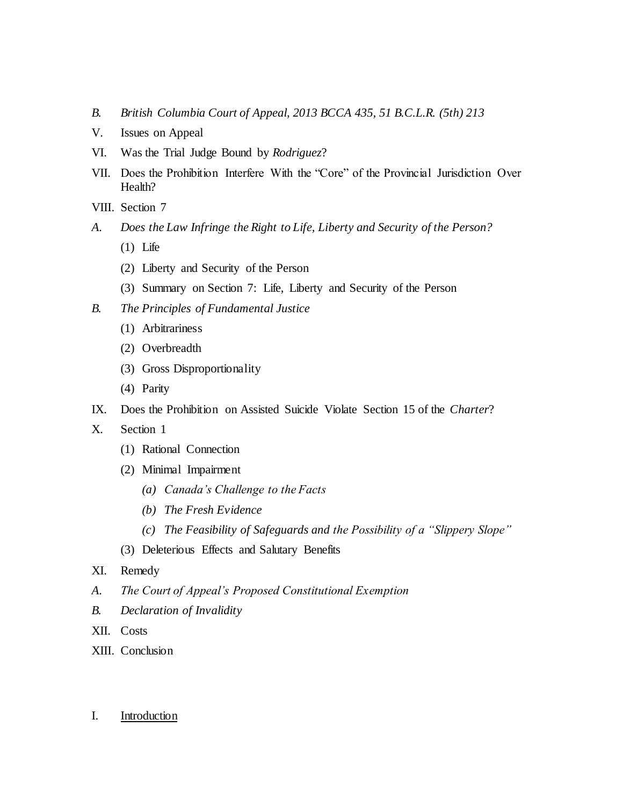- *B. [British Columbia Court of Appeal, 2013 BCCA 435, 51 B.C.L.R. \(5th\) 213](#page-35-0)*
- V. [Issues on Appeal](#page-37-0)
- VI. [Was the Trial Judge Bound by](#page-38-0) *Rodriguez*?
- VII. [Does the Prohibition Interfere With the "Core" of the Provincial Jurisdiction Over](#page-41-0)  [Health?](#page-41-0)
- VIII. [Section 7](#page-43-0)
- *A. [Does the Law Infringe the Right to Life, Liberty and Security of the Person?](#page-44-0)*
	- (1) [Life](#page-44-1)
	- (2) [Liberty and Security of the Person](#page-46-0)
	- (3) [Summary on Section 7: Life, Liberty and Security of the Person](#page-50-0)
- *B. [The Principles of Fundamental Justice](#page-50-1)*
	- (1) [Arbitrariness](#page-55-0)
	- (2) [Overbreadth](#page-56-0)
	- (3) [Gross Disproportionality](#page-57-0)
	- (4) [Parity](#page-59-0)
- IX. [Does the Prohibition on Assisted Suicide Violate Section 15 of the](#page-59-1) *Charter*?
- X. [Section 1](#page-60-0)
	- (1) [Rational Connection](#page-61-0)
	- (2) [Minimal Impairment](#page-62-0)
		- *(a) [Canada's Challenge to the Facts](#page-65-0)*
		- *(b) [The Fresh Evidence](#page-66-0)*
		- *(c) [The Feasibility of Safeguards and the Possibility of a "Slippery Slope"](#page-68-0)*
	- (3) [Deleterious Effects and Salutary Benefits](#page-71-0)
- XI. [Remedy](#page-71-1)
- *A. [The Court of Appeal's Proposed Constitutional Exemption](#page-71-2)*
- *B. [Declaration of Invalidity](#page-72-0)*
- XII. [Costs](#page-75-0)
- XIII. [Conclusion](#page-80-0)

## <span id="page-17-0"></span>I. Introduction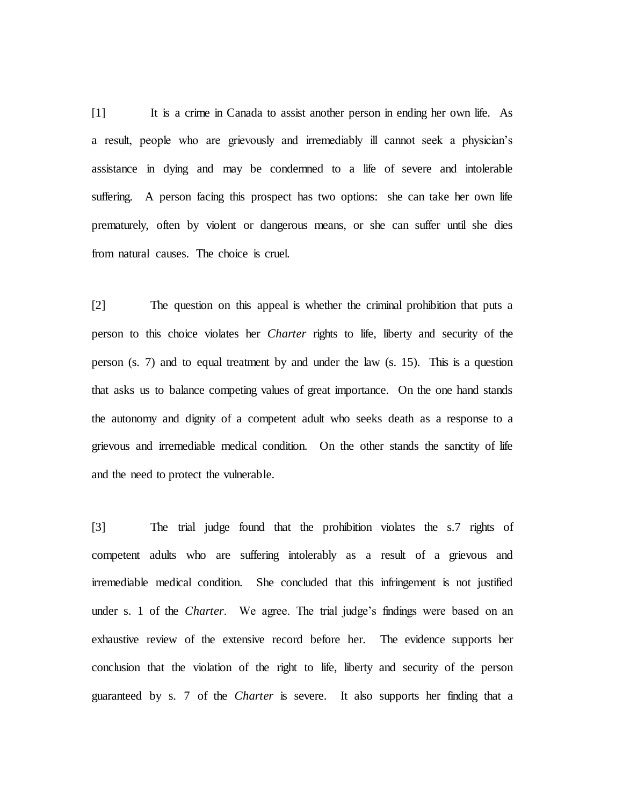[1] It is a crime in Canada to assist another person in ending her own life. As a result, people who are grievously and irremediably ill cannot seek a physician's assistance in dying and may be condemned to a life of severe and intolerable suffering. A person facing this prospect has two options: she can take her own life prematurely, often by violent or dangerous means, or she can suffer until she dies from natural causes. The choice is cruel.

[2] The question on this appeal is whether the criminal prohibition that puts a person to this choice violates her *Charter* rights to life, liberty and security of the person (s. 7) and to equal treatment by and under the law (s. 15). This is a question that asks us to balance competing values of great importance. On the one hand stands the autonomy and dignity of a competent adult who seeks death as a response to a grievous and irremediable medical condition. On the other stands the sanctity of life and the need to protect the vulnerable.

[3] The trial judge found that the prohibition violates the s.7 rights of competent adults who are suffering intolerably as a result of a grievous and irremediable medical condition. She concluded that this infringement is not justified under s. 1 of the *Charter*. We agree. The trial judge's findings were based on an exhaustive review of the extensive record before her. The evidence supports her conclusion that the violation of the right to life, liberty and security of the person guaranteed by s. 7 of the *Charter* is severe. It also supports her finding that a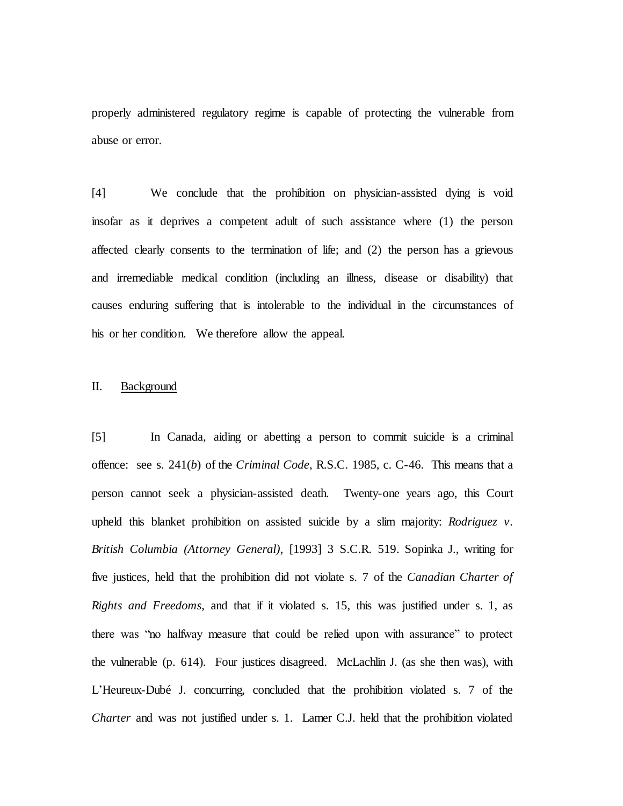properly administered regulatory regime is capable of protecting the vulnerable from abuse or error.

[4] We conclude that the prohibition on physician-assisted dying is void insofar as it deprives a competent adult of such assistance where (1) the person affected clearly consents to the termination of life; and (2) the person has a grievous and irremediable medical condition (including an illness, disease or disability) that causes enduring suffering that is intolerable to the individual in the circumstances of his or her condition. We therefore allow the appeal.

# <span id="page-19-0"></span>II. Background

[5] In Canada, aiding or abetting a person to commit suicide is a criminal offence: see s. 241(*b*) of the *Criminal Code*, R.S.C. 1985, c. C-46. This means that a person cannot seek a physician-assisted death. Twenty-one years ago, this Court upheld this blanket prohibition on assisted suicide by a slim majority: *Rodriguez v. British Columbia (Attorney General)*, [1993] 3 S.C.R. 519. Sopinka J., writing for five justices, held that the prohibition did not violate s. 7 of the *Canadian Charter of Rights and Freedoms*, and that if it violated s. 15, this was justified under s. 1, as there was "no halfway measure that could be relied upon with assurance" to protect the vulnerable (p. 614). Four justices disagreed. McLachlin J. (as she then was), with L'Heureux-Dubé J. concurring, concluded that the prohibition violated s. 7 of the *Charter* and was not justified under s. 1. Lamer C.J. held that the prohibition violated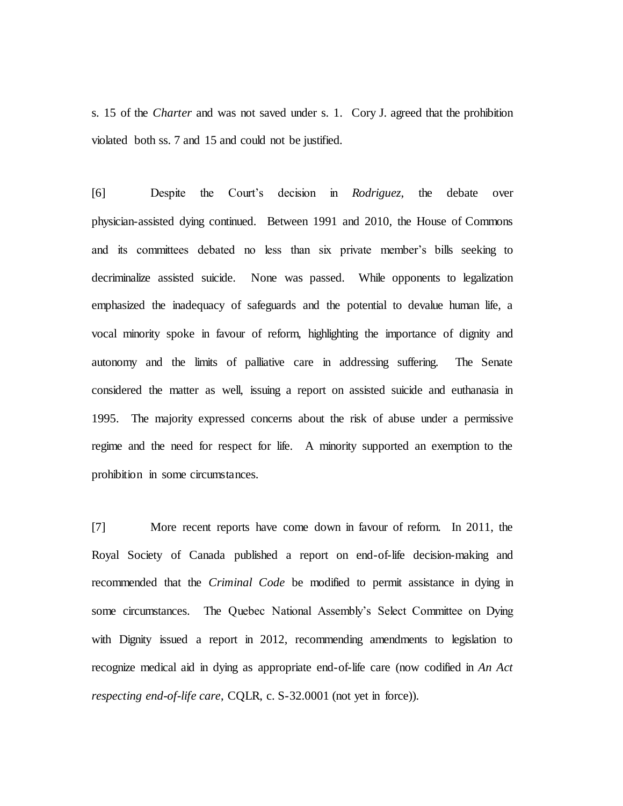s. 15 of the *Charter* and was not saved under s. 1. Cory J. agreed that the prohibition violated both ss. 7 and 15 and could not be justified.

[6] Despite the Court's decision in *Rodriguez*, the debate over physician-assisted dying continued. Between 1991 and 2010, the House of Commons and its committees debated no less than six private member's bills seeking to decriminalize assisted suicide. None was passed. While opponents to legalization emphasized the inadequacy of safeguards and the potential to devalue human life, a vocal minority spoke in favour of reform, highlighting the importance of dignity and autonomy and the limits of palliative care in addressing suffering. The Senate considered the matter as well, issuing a report on assisted suicide and euthanasia in 1995. The majority expressed concerns about the risk of abuse under a permissive regime and the need for respect for life. A minority supported an exemption to the prohibition in some circumstances.

[7] More recent reports have come down in favour of reform. In 2011, the Royal Society of Canada published a report on end-of-life decision-making and recommended that the *Criminal Code* be modified to permit assistance in dying in some circumstances. The Quebec National Assembly's Select Committee on Dying with Dignity issued a report in 2012, recommending amendments to legislation to recognize medical aid in dying as appropriate end-of-life care (now codified in *An Act respecting end-of-life care*, CQLR, c. S-32.0001 (not yet in force)).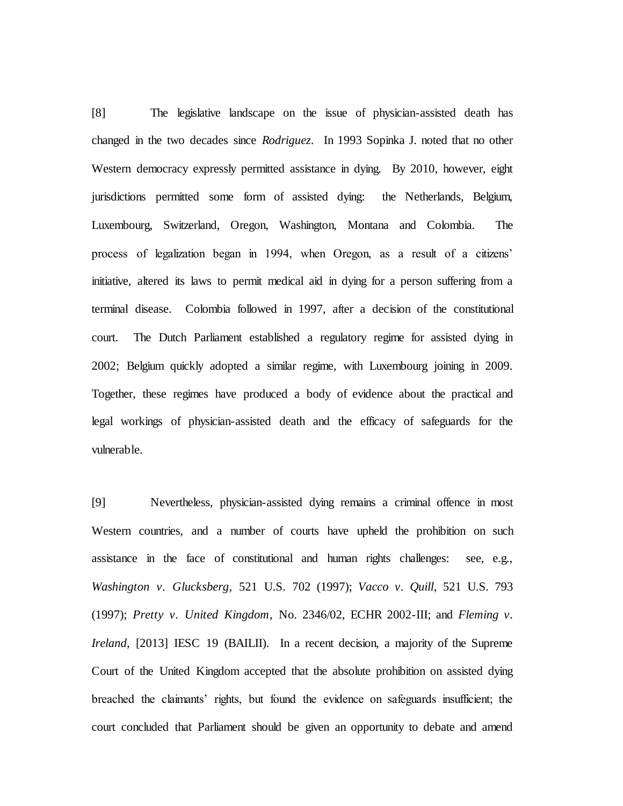[8] The legislative landscape on the issue of physician-assisted death has changed in the two decades since *Rodriguez*. In 1993 Sopinka J. noted that no other Western democracy expressly permitted assistance in dying. By 2010, however, eight jurisdictions permitted some form of assisted dying: the Netherlands, Belgium, Luxembourg, Switzerland, Oregon, Washington, Montana and Colombia. The process of legalization began in 1994, when Oregon, as a result of a citizens' initiative, altered its laws to permit medical aid in dying for a person suffering from a terminal disease. Colombia followed in 1997, after a decision of the constitutional court. The Dutch Parliament established a regulatory regime for assisted dying in 2002; Belgium quickly adopted a similar regime, with Luxembourg joining in 2009. Together, these regimes have produced a body of evidence about the practical and legal workings of physician-assisted death and the efficacy of safeguards for the vulnerable.

[9] Nevertheless, physician-assisted dying remains a criminal offence in most Western countries, and a number of courts have upheld the prohibition on such assistance in the face of constitutional and human rights challenges: see, e.g., *Washington v. Glucksberg*, 521 U.S. 702 (1997); *Vacco v. Quill*, 521 U.S. 793 (1997); *Pretty v. United Kingdom*, No. 2346/02, ECHR 2002-III; and *Fleming v. Ireland*, [2013] IESC 19 (BAILII). In a recent decision, a majority of the Supreme Court of the United Kingdom accepted that the absolute prohibition on assisted dying breached the claimants' rights, but found the evidence on safeguards insufficient; the court concluded that Parliament should be given an opportunity to debate and amend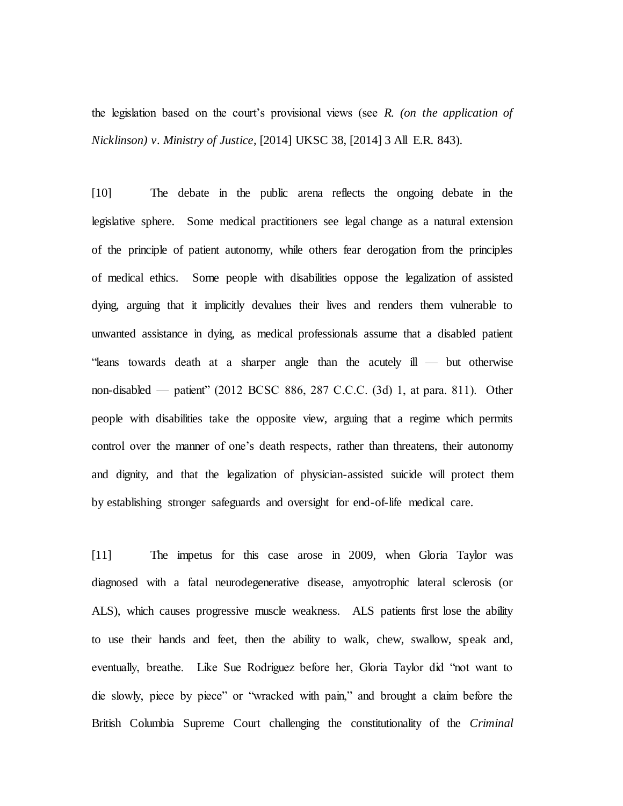the legislation based on the court's provisional views (see *R*. *(on the application of Nicklinson) v. Ministry of Justice*, [2014] UKSC 38, [2014] 3 All E.R. 843).

[10] The debate in the public arena reflects the ongoing debate in the legislative sphere. Some medical practitioners see legal change as a natural extension of the principle of patient autonomy, while others fear derogation from the principles of medical ethics. Some people with disabilities oppose the legalization of assisted dying, arguing that it implicitly devalues their lives and renders them vulnerable to unwanted assistance in dying, as medical professionals assume that a disabled patient "leans towards death at a sharper angle than the acutely ill — but otherwise non-disabled — patient" (2012 BCSC 886, 287 C.C.C. (3d) 1, at para. 811). Other people with disabilities take the opposite view, arguing that a regime which permits control over the manner of one's death respects, rather than threatens, their autonomy and dignity, and that the legalization of physician-assisted suicide will protect them by establishing stronger safeguards and oversight for end-of-life medical care.

[11] The impetus for this case arose in 2009, when Gloria Taylor was diagnosed with a fatal neurodegenerative disease, amyotrophic lateral sclerosis (or ALS), which causes progressive muscle weakness. ALS patients first lose the ability to use their hands and feet, then the ability to walk, chew, swallow, speak and, eventually, breathe. Like Sue Rodriguez before her, Gloria Taylor did "not want to die slowly, piece by piece" or "wracked with pain," and brought a claim before the British Columbia Supreme Court challenging the constitutionality of the *Criminal*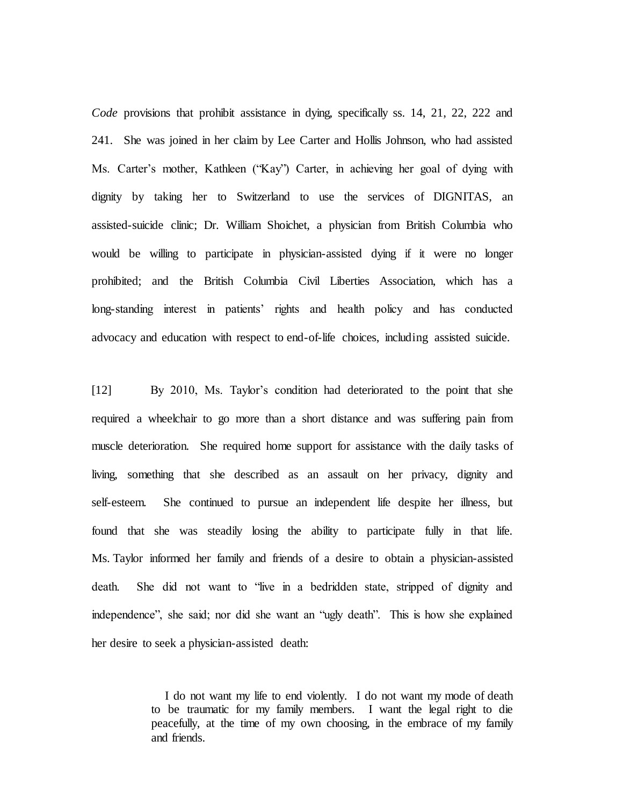*Code* provisions that prohibit assistance in dying, specifically ss. 14, 21, 22, 222 and 241. She was joined in her claim by Lee Carter and Hollis Johnson, who had assisted Ms. Carter's mother, Kathleen ("Kay") Carter, in achieving her goal of dying with dignity by taking her to Switzerland to use the services of DIGNITAS, an assisted-suicide clinic; Dr. William Shoichet, a physician from British Columbia who would be willing to participate in physician-assisted dying if it were no longer prohibited; and the British Columbia Civil Liberties Association, which has a long-standing interest in patients' rights and health policy and has conducted advocacy and education with respect to end-of-life choices, including assisted suicide.

[12] By 2010, Ms. Taylor's condition had deteriorated to the point that she required a wheelchair to go more than a short distance and was suffering pain from muscle deterioration. She required home support for assistance with the daily tasks of living, something that she described as an assault on her privacy, dignity and self-esteem. She continued to pursue an independent life despite her illness, but found that she was steadily losing the ability to participate fully in that life. Ms. Taylor informed her family and friends of a desire to obtain a physician-assisted death. She did not want to "live in a bedridden state, stripped of dignity and independence", she said; nor did she want an "ugly death". This is how she explained her desire to seek a physician-assisted death:

> I do not want my life to end violently. I do not want my mode of death to be traumatic for my family members. I want the legal right to die peacefully, at the time of my own choosing, in the embrace of my family and friends.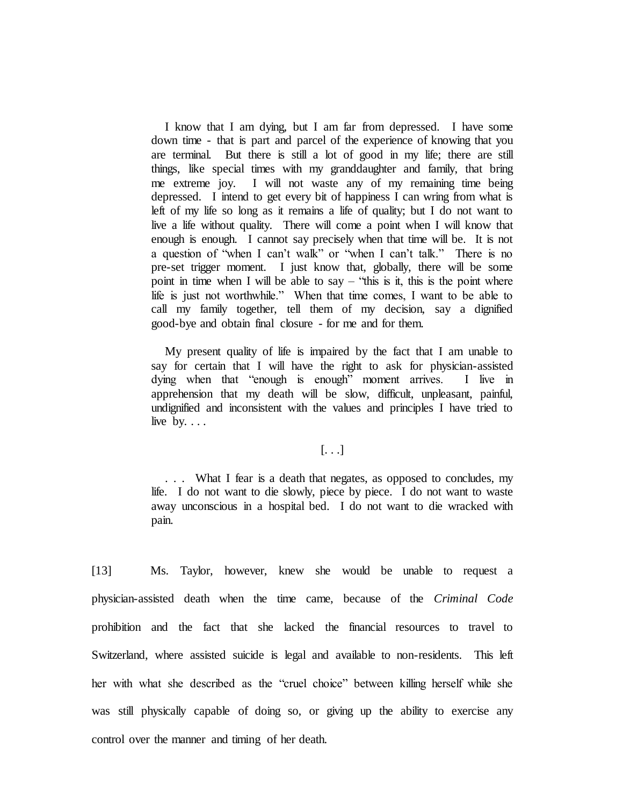I know that I am dying, but I am far from depressed. I have some down time - that is part and parcel of the experience of knowing that you are terminal. But there is still a lot of good in my life; there are still things, like special times with my granddaughter and family, that bring me extreme joy. I will not waste any of my remaining time being depressed. I intend to get every bit of happiness I can wring from what is left of my life so long as it remains a life of quality; but I do not want to live a life without quality. There will come a point when I will know that enough is enough. I cannot say precisely when that time will be. It is not a question of "when I can't walk" or "when I can't talk." There is no pre-set trigger moment. I just know that, globally, there will be some point in time when I will be able to say – "this is it, this is the point where life is just not worthwhile." When that time comes, I want to be able to call my family together, tell them of my decision, say a dignified good-bye and obtain final closure - for me and for them.

My present quality of life is impaired by the fact that I am unable to say for certain that I will have the right to ask for physician-assisted dying when that "enough is enough" moment arrives. I live in apprehension that my death will be slow, difficult, unpleasant, painful, undignified and inconsistent with the values and principles I have tried to live by.  $\ldots$ 

# $[\ldots]$

. . . What I fear is a death that negates, as opposed to concludes, my life. I do not want to die slowly, piece by piece. I do not want to waste away unconscious in a hospital bed. I do not want to die wracked with pain.

[13] Ms. Taylor, however, knew she would be unable to request a physician-assisted death when the time came, because of the *Criminal Code*  prohibition and the fact that she lacked the financial resources to travel to Switzerland, where assisted suicide is legal and available to non-residents. This left her with what she described as the "cruel choice" between killing herself while she was still physically capable of doing so, or giving up the ability to exercise any control over the manner and timing of her death.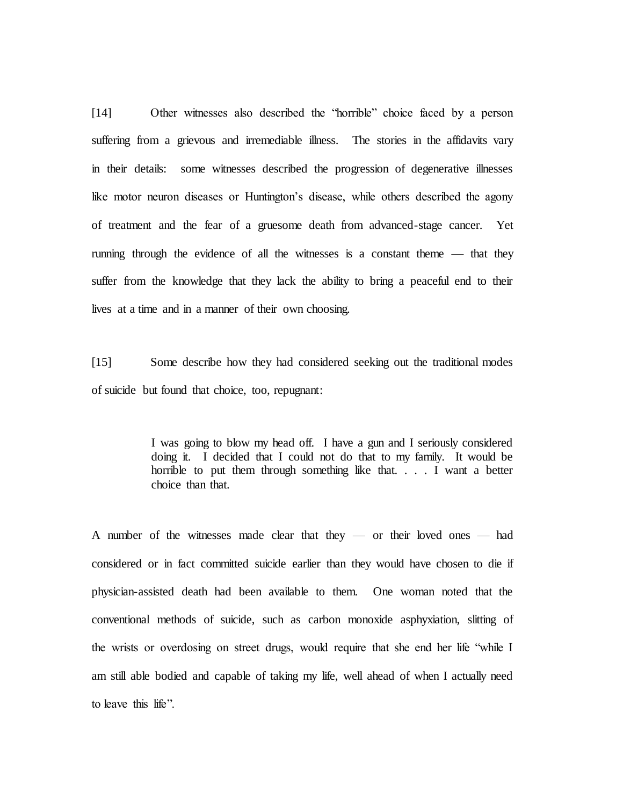[14] Other witnesses also described the "horrible" choice faced by a person suffering from a grievous and irremediable illness. The stories in the affidavits vary in their details: some witnesses described the progression of degenerative illnesses like motor neuron diseases or Huntington's disease, while others described the agony of treatment and the fear of a gruesome death from advanced-stage cancer. Yet running through the evidence of all the witnesses is a constant theme — that they suffer from the knowledge that they lack the ability to bring a peaceful end to their lives at a time and in a manner of their own choosing.

[15] Some describe how they had considered seeking out the traditional modes of suicide but found that choice, too, repugnant:

> I was going to blow my head off. I have a gun and I seriously considered doing it. I decided that I could not do that to my family. It would be horrible to put them through something like that. . . . I want a better choice than that.

A number of the witnesses made clear that they — or their loved ones — had considered or in fact committed suicide earlier than they would have chosen to die if physician-assisted death had been available to them. One woman noted that the conventional methods of suicide, such as carbon monoxide asphyxiation, slitting of the wrists or overdosing on street drugs, would require that she end her life "while I am still able bodied and capable of taking my life, well ahead of when I actually need to leave this life".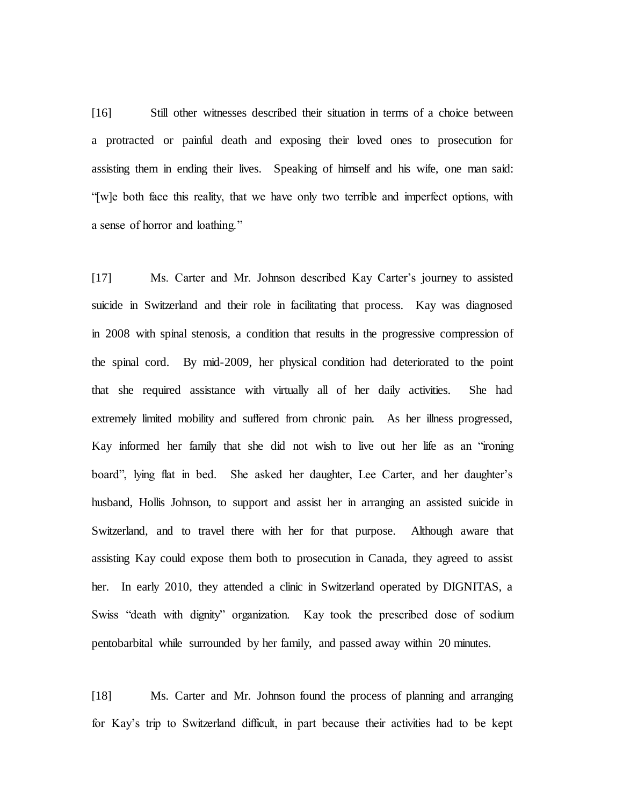[16] Still other witnesses described their situation in terms of a choice between a protracted or painful death and exposing their loved ones to prosecution for assisting them in ending their lives. Speaking of himself and his wife, one man said: "[w]e both face this reality, that we have only two terrible and imperfect options, with a sense of horror and loathing."

[17] Ms. Carter and Mr. Johnson described Kay Carter's journey to assisted suicide in Switzerland and their role in facilitating that process. Kay was diagnosed in 2008 with spinal stenosis, a condition that results in the progressive compression of the spinal cord. By mid-2009, her physical condition had deteriorated to the point that she required assistance with virtually all of her daily activities. She had extremely limited mobility and suffered from chronic pain. As her illness progressed, Kay informed her family that she did not wish to live out her life as an "ironing board", lying flat in bed. She asked her daughter, Lee Carter, and her daughter's husband, Hollis Johnson, to support and assist her in arranging an assisted suicide in Switzerland, and to travel there with her for that purpose. Although aware that assisting Kay could expose them both to prosecution in Canada, they agreed to assist her. In early 2010, they attended a clinic in Switzerland operated by DIGNITAS, a Swiss "death with dignity" organization. Kay took the prescribed dose of sodium pentobarbital while surrounded by her family, and passed away within 20 minutes.

[18] Ms. Carter and Mr. Johnson found the process of planning and arranging for Kay's trip to Switzerland difficult, in part because their activities had to be kept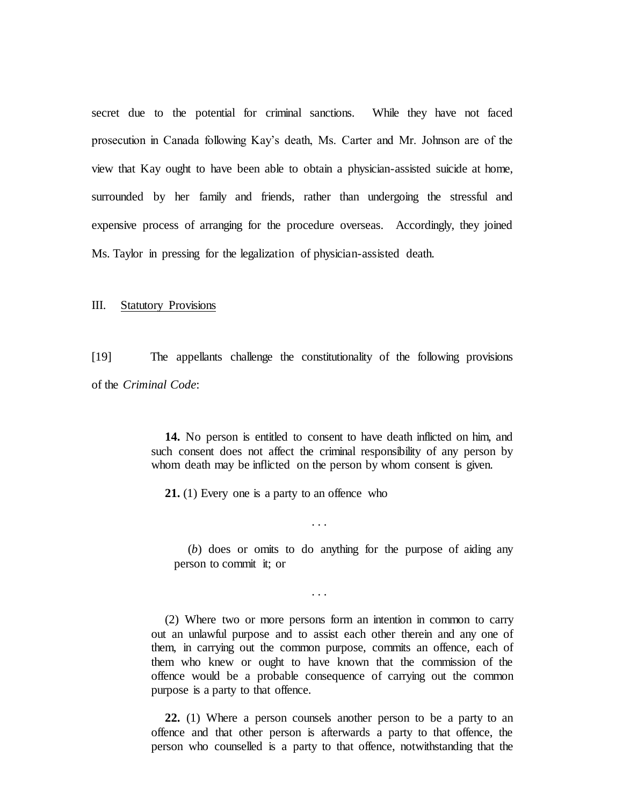secret due to the potential for criminal sanctions. While they have not faced prosecution in Canada following Kay's death, Ms. Carter and Mr. Johnson are of the view that Kay ought to have been able to obtain a physician-assisted suicide at home, surrounded by her family and friends, rather than undergoing the stressful and expensive process of arranging for the procedure overseas. Accordingly, they joined Ms. Taylor in pressing for the legalization of physician-assisted death.

# <span id="page-27-0"></span>III. Statutory Provisions

[19] The appellants challenge the constitutionality of the following provisions of the *Criminal Code*:

> **14.** No person is entitled to consent to have death inflicted on him, and such consent does not affect the criminal responsibility of any person by whom death may be inflicted on the person by whom consent is given.

> > . . .

. . .

**21.** (1) Every one is a party to an offence who

(*b*) does or omits to do anything for the purpose of aiding any person to commit it; or

(2) Where two or more persons form an intention in common to carry out an unlawful purpose and to assist each other therein and any one of them, in carrying out the common purpose, commits an offence, each of them who knew or ought to have known that the commission of the offence would be a probable consequence of carrying out the common purpose is a party to that offence.

**22.** (1) Where a person counsels another person to be a party to an offence and that other person is afterwards a party to that offence, the person who counselled is a party to that offence, notwithstanding that the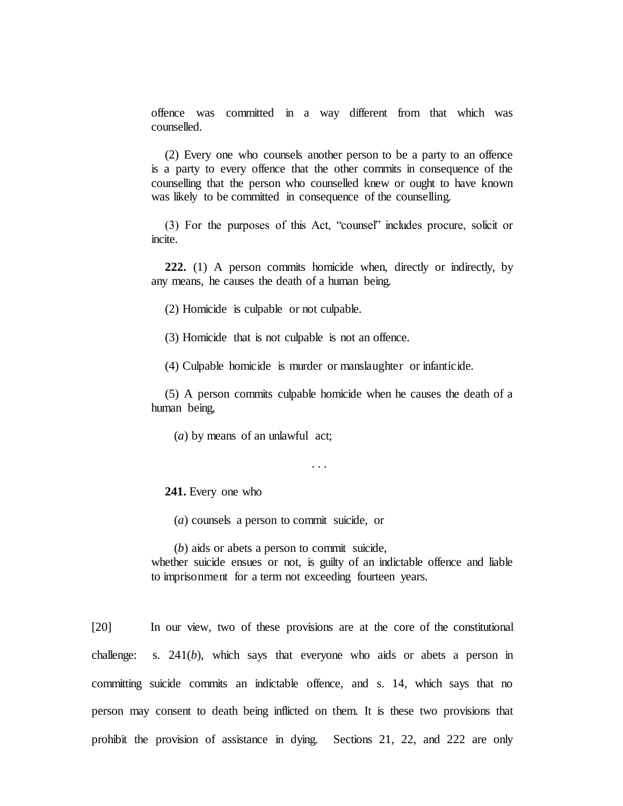offence was committed in a way different from that which was counselled.

(2) Every one who counsels another person to be a party to an offence is a party to every offence that the other commits in consequence of the counselling that the person who counselled knew or ought to have known was likely to be committed in consequence of the counselling.

(3) For the purposes of this Act, "counsel" includes procure, solicit or incite.

**222.** (1) A person commits homicide when, directly or indirectly, by any means, he causes the death of a human being.

(2) Homicide is culpable or not culpable.

(3) Homicide that is not culpable is not an offence.

(4) Culpable homicide is murder or manslaughter or infanticide.

(5) A person commits culpable homicide when he causes the death of a human being,

(*a*) by means of an unlawful act;

. . .

**241.** Every one who

(*a*) counsels a person to commit suicide, or

(*b*) aids or abets a person to commit suicide,

whether suicide ensues or not, is guilty of an indictable offence and liable to imprisonment for a term not exceeding fourteen years.

[20] In our view, two of these provisions are at the core of the constitutional challenge: s. 241(*b*), which says that everyone who aids or abets a person in committing suicide commits an indictable offence, and s. 14, which says that no person may consent to death being inflicted on them. It is these two provisions that prohibit the provision of assistance in dying. Sections 21, 22, and 222 are only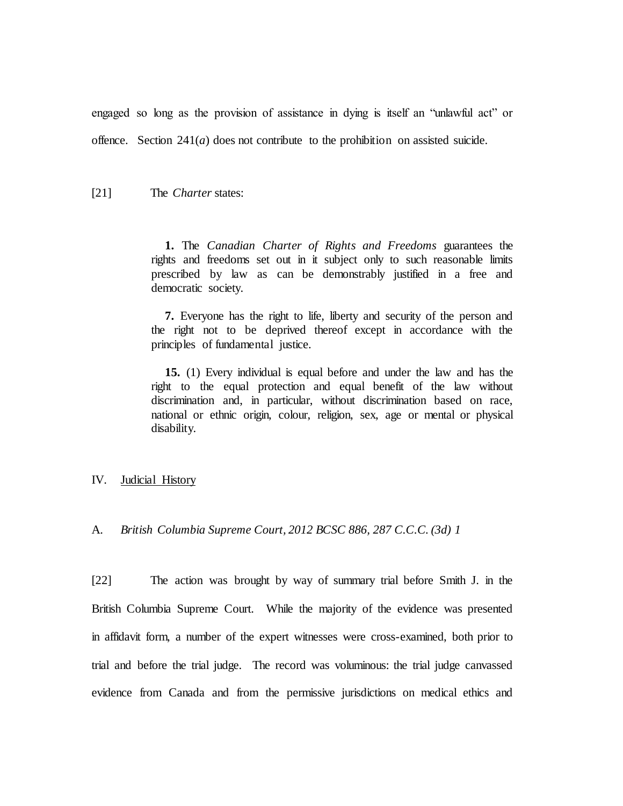engaged so long as the provision of assistance in dying is itself an "unlawful act" or offence. Section  $241(a)$  does not contribute to the prohibition on assisted suicide.

### [21] The *Charter* states:

**1.** The *Canadian Charter of Rights and Freedoms* guarantees the rights and freedoms set out in it subject only to such reasonable limits prescribed by law as can be demonstrably justified in a free and democratic society.

**7.** Everyone has the right to life, liberty and security of the person and the right not to be deprived thereof except in accordance with the principles of fundamental justice.

**15.** (1) Every individual is equal before and under the law and has the right to the equal protection and equal benefit of the law without discrimination and, in particular, without discrimination based on race, national or ethnic origin, colour, religion, sex, age or mental or physical disability.

#### <span id="page-29-0"></span>IV. Judicial History

<span id="page-29-1"></span>A. *British Columbia Supreme Court, 2012 BCSC 886, 287 C.C.C. (3d) 1*

[22] The action was brought by way of summary trial before Smith J. in the British Columbia Supreme Court. While the majority of the evidence was presented in affidavit form, a number of the expert witnesses were cross-examined, both prior to trial and before the trial judge. The record was voluminous: the trial judge canvassed evidence from Canada and from the permissive jurisdictions on medical ethics and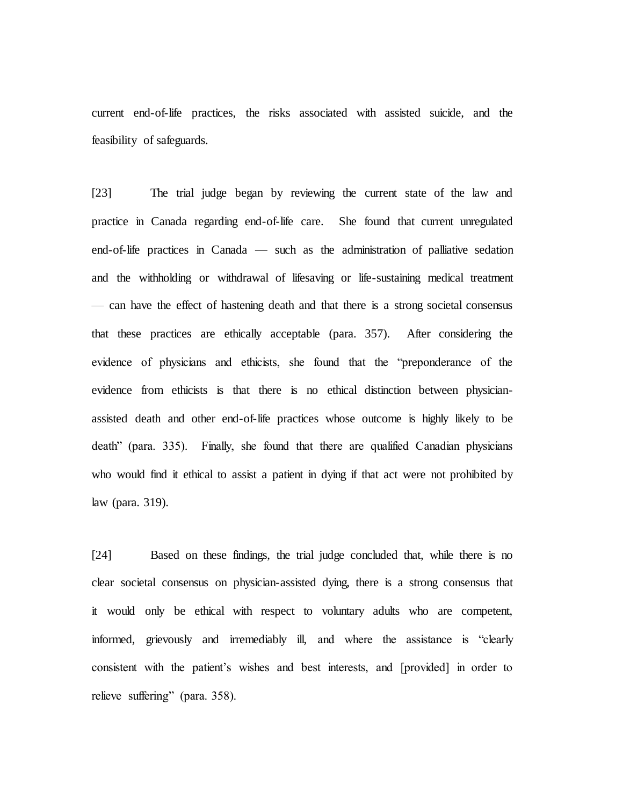current end-of-life practices, the risks associated with assisted suicide, and the feasibility of safeguards.

[23] The trial judge began by reviewing the current state of the law and practice in Canada regarding end-of-life care. She found that current unregulated end-of-life practices in Canada — such as the administration of palliative sedation and the withholding or withdrawal of lifesaving or life-sustaining medical treatment — can have the effect of hastening death and that there is a strong societal consensus that these practices are ethically acceptable (para. 357). After considering the evidence of physicians and ethicists, she found that the "preponderance of the evidence from ethicists is that there is no ethical distinction between physicianassisted death and other end-of-life practices whose outcome is highly likely to be death" (para. 335). Finally, she found that there are qualified Canadian physicians who would find it ethical to assist a patient in dying if that act were not prohibited by law (para. 319).

[24] Based on these findings, the trial judge concluded that, while there is no clear societal consensus on physician-assisted dying, there is a strong consensus that it would only be ethical with respect to voluntary adults who are competent, informed, grievously and irremediably ill, and where the assistance is "clearly consistent with the patient's wishes and best interests, and [provided] in order to relieve suffering" (para. 358).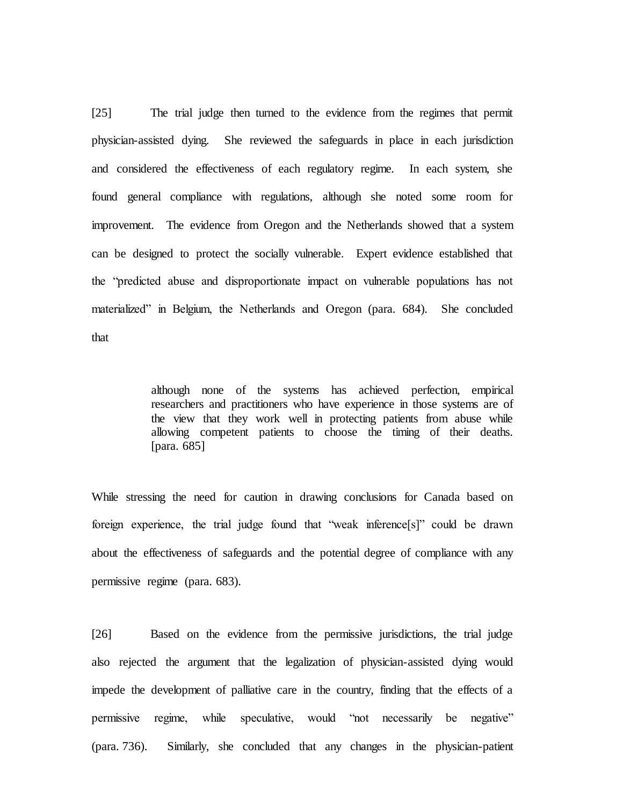[25] The trial judge then turned to the evidence from the regimes that permit physician-assisted dying. She reviewed the safeguards in place in each jurisdiction and considered the effectiveness of each regulatory regime. In each system, she found general compliance with regulations, although she noted some room for improvement. The evidence from Oregon and the Netherlands showed that a system can be designed to protect the socially vulnerable. Expert evidence established that the "predicted abuse and disproportionate impact on vulnerable populations has not materialized" in Belgium, the Netherlands and Oregon (para. 684). She concluded that

> although none of the systems has achieved perfection, empirical researchers and practitioners who have experience in those systems are of the view that they work well in protecting patients from abuse while allowing competent patients to choose the timing of their deaths. [para. 685]

While stressing the need for caution in drawing conclusions for Canada based on foreign experience, the trial judge found that "weak inference[s]" could be drawn about the effectiveness of safeguards and the potential degree of compliance with any permissive regime (para. 683).

[26] Based on the evidence from the permissive jurisdictions, the trial judge also rejected the argument that the legalization of physician-assisted dying would impede the development of palliative care in the country, finding that the effects of a permissive regime, while speculative, would "not necessarily be negative" (para. 736). Similarly, she concluded that any changes in the physician-patient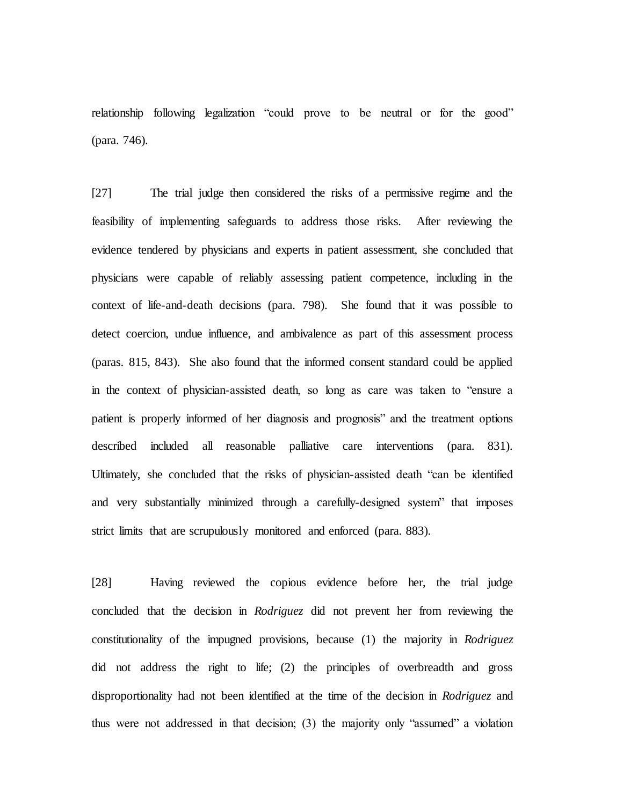relationship following legalization "could prove to be neutral or for the good" (para. 746).

[27] The trial judge then considered the risks of a permissive regime and the feasibility of implementing safeguards to address those risks. After reviewing the evidence tendered by physicians and experts in patient assessment, she concluded that physicians were capable of reliably assessing patient competence, including in the context of life-and-death decisions (para. 798). She found that it was possible to detect coercion, undue influence, and ambivalence as part of this assessment process (paras. 815, 843). She also found that the informed consent standard could be applied in the context of physician-assisted death, so long as care was taken to "ensure a patient is properly informed of her diagnosis and prognosis" and the treatment options described included all reasonable palliative care interventions (para. 831). Ultimately, she concluded that the risks of physician-assisted death "can be identified and very substantially minimized through a carefully-designed system" that imposes strict limits that are scrupulously monitored and enforced (para. 883).

[28] Having reviewed the copious evidence before her, the trial judge concluded that the decision in *Rodriguez* did not prevent her from reviewing the constitutionality of the impugned provisions, because (1) the majority in *Rodriguez*  did not address the right to life; (2) the principles of overbreadth and gross disproportionality had not been identified at the time of the decision in *Rodriguez* and thus were not addressed in that decision; (3) the majority only "assumed" a violation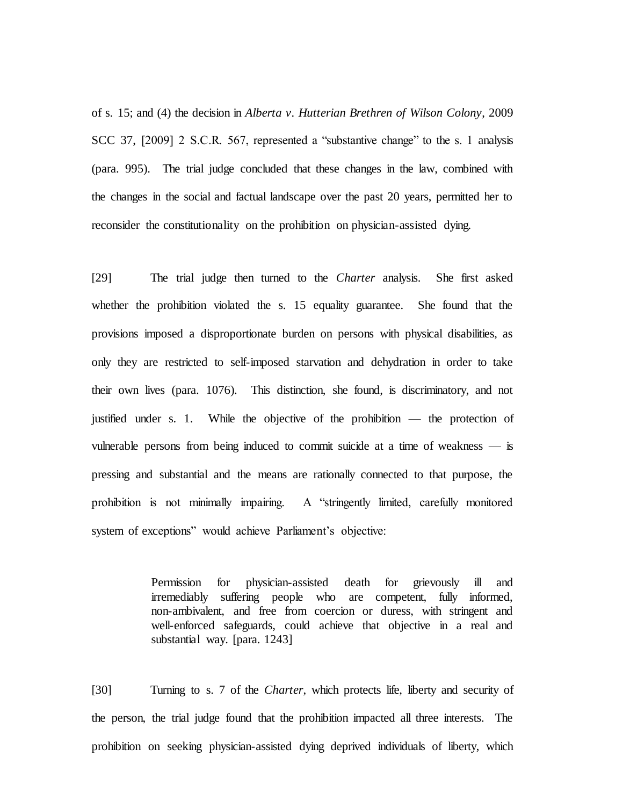of s. 15; and (4) the decision in *Alberta v. Hutterian Brethren of Wilson Colony*, 2009 SCC 37, [2009] 2 S.C.R. 567, represented a "substantive change" to the s. 1 analysis (para. 995). The trial judge concluded that these changes in the law, combined with the changes in the social and factual landscape over the past 20 years, permitted her to reconsider the constitutionality on the prohibition on physician-assisted dying.

[29] The trial judge then turned to the *Charter* analysis. She first asked whether the prohibition violated the s. 15 equality guarantee. She found that the provisions imposed a disproportionate burden on persons with physical disabilities, as only they are restricted to self-imposed starvation and dehydration in order to take their own lives (para. 1076). This distinction, she found, is discriminatory, and not justified under s. 1. While the objective of the prohibition — the protection of vulnerable persons from being induced to commit suicide at a time of weakness — is pressing and substantial and the means are rationally connected to that purpose, the prohibition is not minimally impairing. A "stringently limited, carefully monitored system of exceptions" would achieve Parliament's objective:

> Permission for physician-assisted death for grievously ill and irremediably suffering people who are competent, fully informed, non-ambivalent, and free from coercion or duress, with stringent and well-enforced safeguards, could achieve that objective in a real and substantial way. [para. 1243]

[30] Turning to s. 7 of the *Charter*, which protects life, liberty and security of the person, the trial judge found that the prohibition impacted all three interests. The prohibition on seeking physician-assisted dying deprived individuals of liberty, which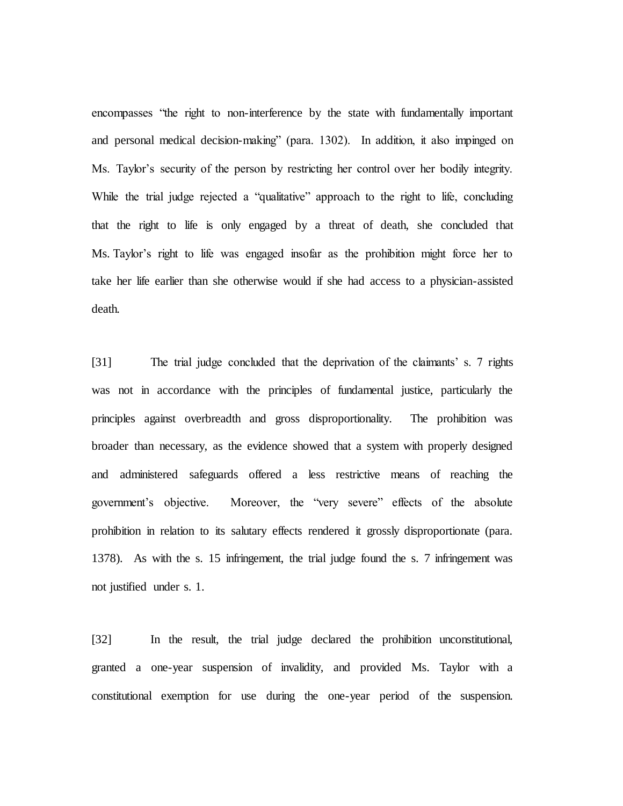encompasses "the right to non-interference by the state with fundamentally important and personal medical decision-making" (para. 1302). In addition, it also impinged on Ms. Taylor's security of the person by restricting her control over her bodily integrity. While the trial judge rejected a "qualitative" approach to the right to life, concluding that the right to life is only engaged by a threat of death, she concluded that Ms. Taylor's right to life was engaged insofar as the prohibition might force her to take her life earlier than she otherwise would if she had access to a physician-assisted death.

[31] The trial judge concluded that the deprivation of the claimants' s. 7 rights was not in accordance with the principles of fundamental justice, particularly the principles against overbreadth and gross disproportionality. The prohibition was broader than necessary, as the evidence showed that a system with properly designed and administered safeguards offered a less restrictive means of reaching the government's objective. Moreover, the "very severe" effects of the absolute prohibition in relation to its salutary effects rendered it grossly disproportionate (para. 1378). As with the s. 15 infringement, the trial judge found the s. 7 infringement was not justified under s. 1.

[32] In the result, the trial judge declared the prohibition unconstitutional, granted a one-year suspension of invalidity, and provided Ms. Taylor with a constitutional exemption for use during the one-year period of the suspension.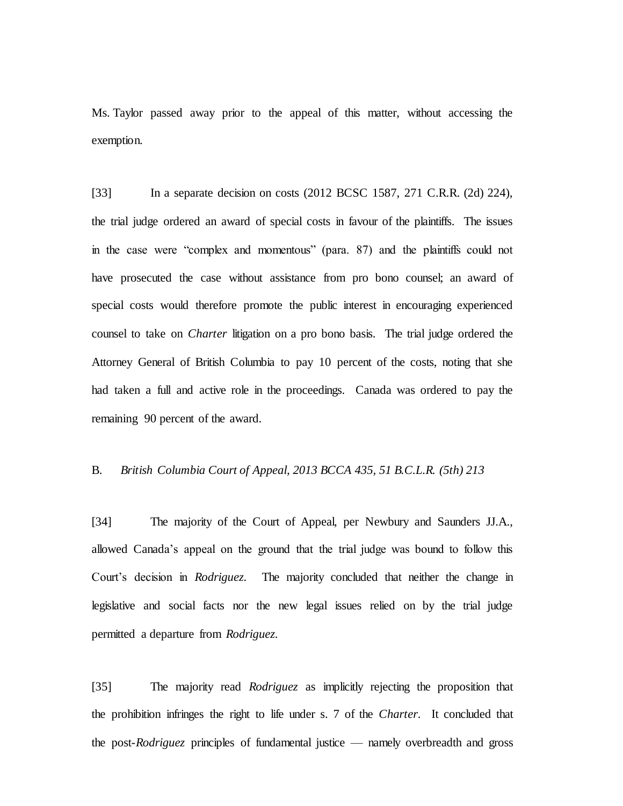Ms. Taylor passed away prior to the appeal of this matter, without accessing the exemption.

[33] In a separate decision on costs (2012 BCSC 1587, 271 C.R.R. (2d) 224), the trial judge ordered an award of special costs in favour of the plaintiffs. The issues in the case were "complex and momentous" (para. 87) and the plaintiffs could not have prosecuted the case without assistance from pro bono counsel; an award of special costs would therefore promote the public interest in encouraging experienced counsel to take on *Charter* litigation on a pro bono basis. The trial judge ordered the Attorney General of British Columbia to pay 10 percent of the costs, noting that she had taken a full and active role in the proceedings. Canada was ordered to pay the remaining 90 percent of the award.

## <span id="page-35-0"></span>B. *British Columbia Court of Appeal, 2013 BCCA 435, 51 B.C.L.R. (5th) 213*

[34] The majority of the Court of Appeal, per Newbury and Saunders JJ.A., allowed Canada's appeal on the ground that the trial judge was bound to follow this Court's decision in *Rodriguez*. The majority concluded that neither the change in legislative and social facts nor the new legal issues relied on by the trial judge permitted a departure from *Rodriguez*.

[35] The majority read *Rodriguez* as implicitly rejecting the proposition that the prohibition infringes the right to life under s. 7 of the *Charter*. It concluded that the post-*Rodriguez* principles of fundamental justice — namely overbreadth and gross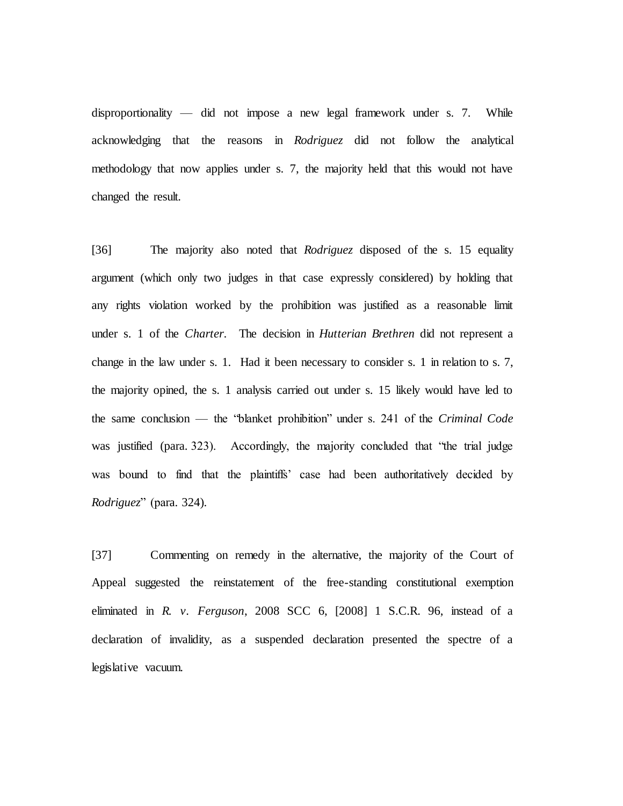disproportionality — did not impose a new legal framework under s. 7. While acknowledging that the reasons in *Rodriguez* did not follow the analytical methodology that now applies under s. 7, the majority held that this would not have changed the result.

[36] The majority also noted that *Rodriguez* disposed of the s. 15 equality argument (which only two judges in that case expressly considered) by holding that any rights violation worked by the prohibition was justified as a reasonable limit under s. 1 of the *Charter*. The decision in *Hutterian Brethren* did not represent a change in the law under s. 1. Had it been necessary to consider s. 1 in relation to s. 7, the majority opined, the s. 1 analysis carried out under s. 15 likely would have led to the same conclusion — the "blanket prohibition" under s. 241 of the *Criminal Code* was justified (para. 323). Accordingly, the majority concluded that "the trial judge was bound to find that the plaintiffs' case had been authoritatively decided by *Rodriguez*" (para. 324).

[37] Commenting on remedy in the alternative, the majority of the Court of Appeal suggested the reinstatement of the free-standing constitutional exemption eliminated in *R. v. Ferguson*, 2008 SCC 6, [2008] 1 S.C.R. 96, instead of a declaration of invalidity, as a suspended declaration presented the spectre of a legislative vacuum.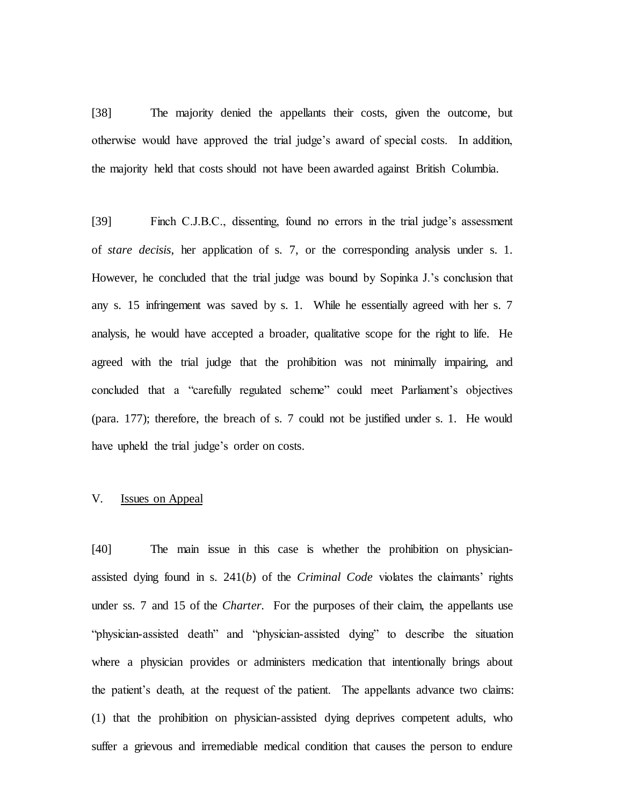[38] The majority denied the appellants their costs, given the outcome, but otherwise would have approved the trial judge's award of special costs. In addition, the majority held that costs should not have been awarded against British Columbia.

[39] Finch C.J.B.C., dissenting, found no errors in the trial judge's assessment of *stare decisis*, her application of s. 7, or the corresponding analysis under s. 1. However, he concluded that the trial judge was bound by Sopinka J.'s conclusion that any s. 15 infringement was saved by s. 1. While he essentially agreed with her s. 7 analysis, he would have accepted a broader, qualitative scope for the right to life. He agreed with the trial judge that the prohibition was not minimally impairing, and concluded that a "carefully regulated scheme" could meet Parliament's objectives (para. 177); therefore, the breach of s. 7 could not be justified under s. 1. He would have upheld the trial judge's order on costs.

# V. Issues on Appeal

[40] The main issue in this case is whether the prohibition on physicianassisted dying found in s. 241(*b*) of the *Criminal Code* violates the claimants' rights under ss. 7 and 15 of the *Charter*. For the purposes of their claim, the appellants use "physician-assisted death" and "physician-assisted dying" to describe the situation where a physician provides or administers medication that intentionally brings about the patient's death, at the request of the patient. The appellants advance two claims: (1) that the prohibition on physician-assisted dying deprives competent adults, who suffer a grievous and irremediable medical condition that causes the person to endure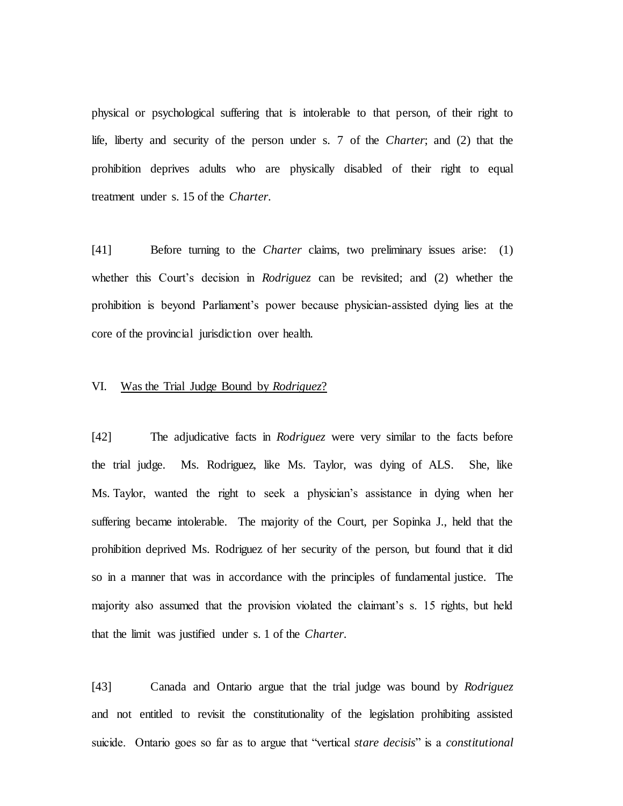physical or psychological suffering that is intolerable to that person, of their right to life, liberty and security of the person under s. 7 of the *Charter*; and (2) that the prohibition deprives adults who are physically disabled of their right to equal treatment under s. 15 of the *Charter*.

[41] Before turning to the *Charter* claims, two preliminary issues arise: (1) whether this Court's decision in *Rodriguez* can be revisited; and (2) whether the prohibition is beyond Parliament's power because physician-assisted dying lies at the core of the provincial jurisdiction over health.

### VI. Was the Trial Judge Bound by *Rodriguez*?

[42] The adjudicative facts in *Rodriguez* were very similar to the facts before the trial judge. Ms. Rodriguez, like Ms. Taylor, was dying of ALS. She, like Ms. Taylor, wanted the right to seek a physician's assistance in dying when her suffering became intolerable. The majority of the Court, per Sopinka J., held that the prohibition deprived Ms. Rodriguez of her security of the person, but found that it did so in a manner that was in accordance with the principles of fundamental justice. The majority also assumed that the provision violated the claimant's s. 15 rights, but held that the limit was justified under s. 1 of the *Charter*.

[43] Canada and Ontario argue that the trial judge was bound by *Rodriguez*  and not entitled to revisit the constitutionality of the legislation prohibiting assisted suicide. Ontario goes so far as to argue that "vertical *stare decisis*" is a *constitutional*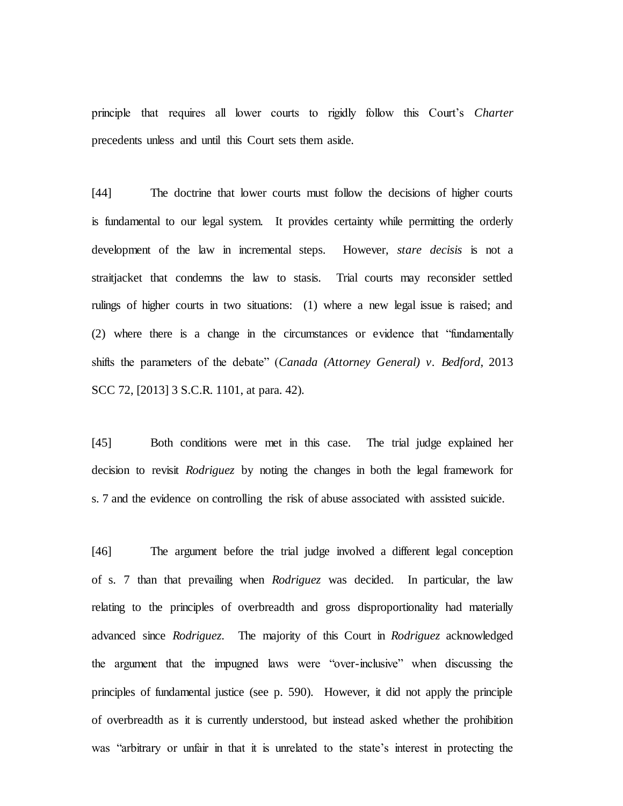principle that requires all lower courts to rigidly follow this Court's *Charter*  precedents unless and until this Court sets them aside.

[44] The doctrine that lower courts must follow the decisions of higher courts is fundamental to our legal system. It provides certainty while permitting the orderly development of the law in incremental steps. However, *stare decisis* is not a straitjacket that condemns the law to stasis. Trial courts may reconsider settled rulings of higher courts in two situations: (1) where a new legal issue is raised; and (2) where there is a change in the circumstances or evidence that "fundamentally shifts the parameters of the debate" (*Canada (Attorney General) v. Bedford*, 2013 SCC 72, [2013] 3 S.C.R. 1101, at para. 42).

[45] Both conditions were met in this case. The trial judge explained her decision to revisit *Rodriguez* by noting the changes in both the legal framework for s. 7 and the evidence on controlling the risk of abuse associated with assisted suicide.

[46] The argument before the trial judge involved a different legal conception of s. 7 than that prevailing when *Rodriguez* was decided. In particular, the law relating to the principles of overbreadth and gross disproportionality had materially advanced since *Rodriguez*. The majority of this Court in *Rodriguez* acknowledged the argument that the impugned laws were "over-inclusive" when discussing the principles of fundamental justice (see p. 590). However, it did not apply the principle of overbreadth as it is currently understood, but instead asked whether the prohibition was "arbitrary or unfair in that it is unrelated to the state's interest in protecting the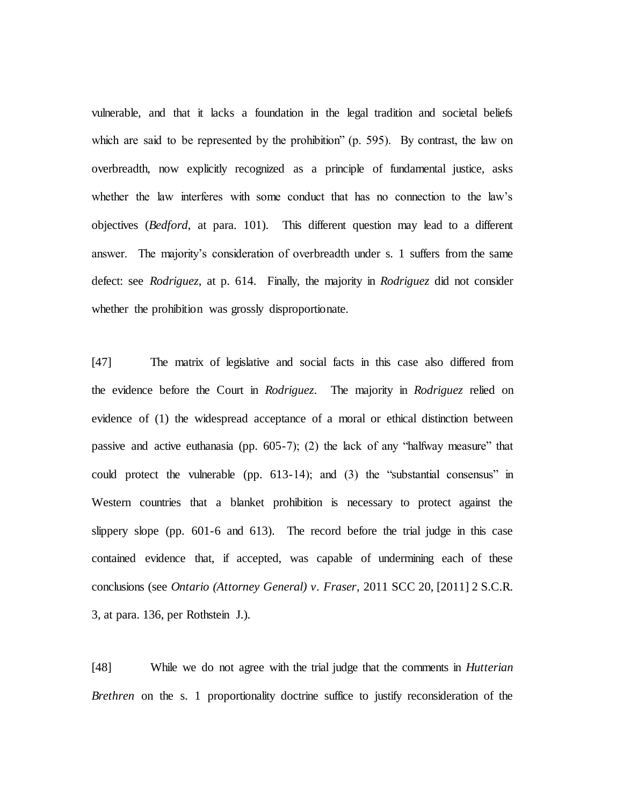vulnerable, and that it lacks a foundation in the legal tradition and societal beliefs which are said to be represented by the prohibition" (p. 595). By contrast, the law on overbreadth, now explicitly recognized as a principle of fundamental justice, asks whether the law interferes with some conduct that has no connection to the law's objectives (*Bedford*, at para. 101). This different question may lead to a different answer. The majority's consideration of overbreadth under s. 1 suffers from the same defect: see *Rodriguez*, at p. 614. Finally, the majority in *Rodriguez* did not consider whether the prohibition was grossly disproportionate.

[47] The matrix of legislative and social facts in this case also differed from the evidence before the Court in *Rodriguez*. The majority in *Rodriguez* relied on evidence of (1) the widespread acceptance of a moral or ethical distinction between passive and active euthanasia (pp. 605-7); (2) the lack of any "halfway measure" that could protect the vulnerable (pp. 613-14); and (3) the "substantial consensus" in Western countries that a blanket prohibition is necessary to protect against the slippery slope (pp. 601-6 and 613). The record before the trial judge in this case contained evidence that, if accepted, was capable of undermining each of these conclusions (see *Ontario (Attorney General) v. Fraser*, 2011 SCC 20, [2011] 2 S.C.R. 3, at para. 136, per Rothstein J.).

[48] While we do not agree with the trial judge that the comments in *Hutterian Brethren* on the s. 1 proportionality doctrine suffice to justify reconsideration of the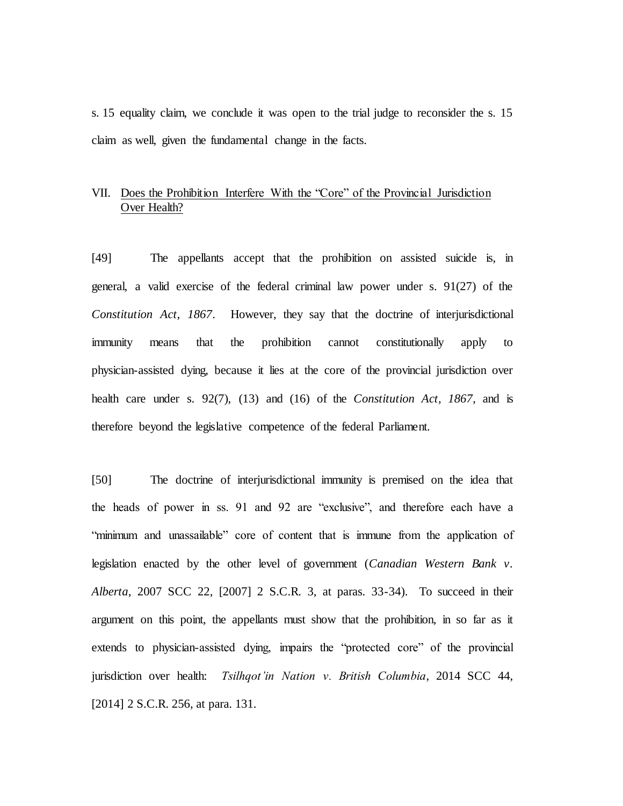s. 15 equality claim, we conclude it was open to the trial judge to reconsider the s. 15 claim as well, given the fundamental change in the facts.

# VII. Does the Prohibition Interfere With the "Core" of the Provincial Jurisdiction Over Health?

[49] The appellants accept that the prohibition on assisted suicide is, in general, a valid exercise of the federal criminal law power under s. 91(27) of the *Constitution Act, 1867*. However, they say that the doctrine of interjurisdictional immunity means that the prohibition cannot constitutionally apply to physician-assisted dying, because it lies at the core of the provincial jurisdiction over health care under s. 92(7), (13) and (16) of the *Constitution Act, 1867*, and is therefore beyond the legislative competence of the federal Parliament.

[50] The doctrine of interjurisdictional immunity is premised on the idea that the heads of power in ss. 91 and 92 are "exclusive", and therefore each have a "minimum and unassailable" core of content that is immune from the application of legislation enacted by the other level of government (*Canadian Western Bank v. Alberta*, 2007 SCC 22, [2007] 2 S.C.R. 3, at paras. 33-34). To succeed in their argument on this point, the appellants must show that the prohibition, in so far as it extends to physician-assisted dying, impairs the "protected core" of the provincial jurisdiction over health: *Tsilhqot'in Nation v. British Columbia*, 2014 SCC 44, [2014] 2 S.C.R. 256, at para. 131.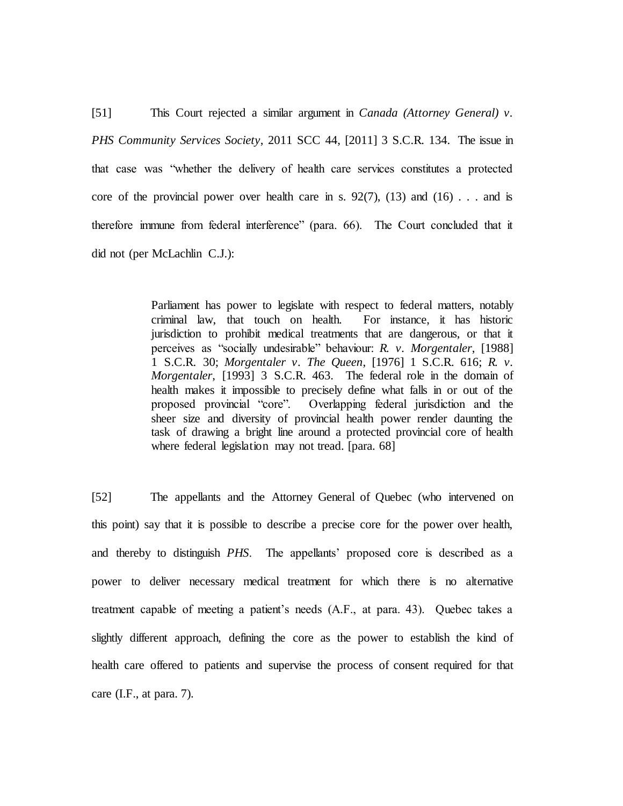[51] This Court rejected a similar argument in *Canada (Attorney General) v. PHS Community Services Society*, 2011 SCC 44, [2011] 3 S.C.R. 134. The issue in that case was "whether the delivery of health care services constitutes a protected core of the provincial power over health care in s.  $92(7)$ ,  $(13)$  and  $(16)$ ... and is therefore immune from federal interference" (para. 66). The Court concluded that it did not (per McLachlin C.J.):

> Parliament has power to legislate with respect to federal matters, notably criminal law, that touch on health. For instance, it has historic jurisdiction to prohibit medical treatments that are dangerous, or that it perceives as "socially undesirable" behaviour: *R. v. Morgentaler*, [1988] 1 S.C.R. 30; *Morgentaler v. The Queen*, [1976] 1 S.C.R. 616; *R. v. Morgentaler*, [1993] 3 S.C.R. 463. The federal role in the domain of health makes it impossible to precisely define what falls in or out of the proposed provincial "core". Overlapping federal jurisdiction and the sheer size and diversity of provincial health power render daunting the task of drawing a bright line around a protected provincial core of health where federal legislation may not tread. [para. 68]

[52] The appellants and the Attorney General of Quebec (who intervened on this point) say that it is possible to describe a precise core for the power over health, and thereby to distinguish *PHS*. The appellants' proposed core is described as a power to deliver necessary medical treatment for which there is no alternative treatment capable of meeting a patient's needs (A.F., at para. 43). Quebec takes a slightly different approach, defining the core as the power to establish the kind of health care offered to patients and supervise the process of consent required for that care (I.F., at para. 7).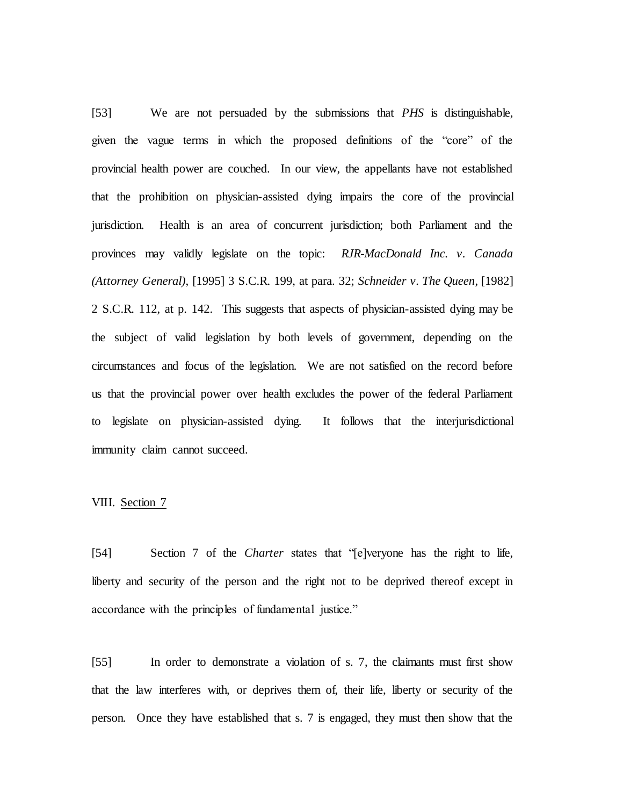[53] We are not persuaded by the submissions that *PHS* is distinguishable, given the vague terms in which the proposed definitions of the "core" of the provincial health power are couched. In our view, the appellants have not established that the prohibition on physician-assisted dying impairs the core of the provincial jurisdiction. Health is an area of concurrent jurisdiction; both Parliament and the provinces may validly legislate on the topic: *RJR-MacDonald Inc. v. Canada (Attorney General)*, [1995] 3 S.C.R. 199, at para. 32; *Schneider v. The Queen*, [1982] 2 S.C.R. 112, at p. 142. This suggests that aspects of physician-assisted dying may be the subject of valid legislation by both levels of government, depending on the circumstances and focus of the legislation. We are not satisfied on the record before us that the provincial power over health excludes the power of the federal Parliament to legislate on physician-assisted dying. It follows that the interjurisdictional immunity claim cannot succeed.

# VIII. Section 7

[54] Section 7 of the *Charter* states that "[e]veryone has the right to life, liberty and security of the person and the right not to be deprived thereof except in accordance with the principles of fundamental justice."

[55] In order to demonstrate a violation of s. 7, the claimants must first show that the law interferes with, or deprives them of, their life, liberty or security of the person. Once they have established that s. 7 is engaged, they must then show that the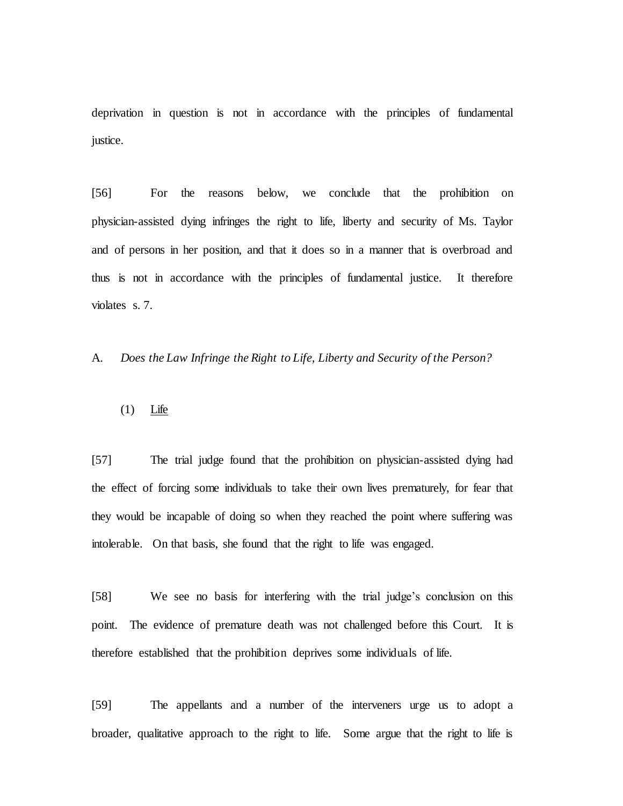deprivation in question is not in accordance with the principles of fundamental justice.

[56] For the reasons below, we conclude that the prohibition on physician-assisted dying infringes the right to life, liberty and security of Ms. Taylor and of persons in her position, and that it does so in a manner that is overbroad and thus is not in accordance with the principles of fundamental justice. It therefore violates s. 7.

A. *Does the Law Infringe the Right to Life, Liberty and Security of the Person?*

(1) Life

[57] The trial judge found that the prohibition on physician-assisted dying had the effect of forcing some individuals to take their own lives prematurely, for fear that they would be incapable of doing so when they reached the point where suffering was intolerable. On that basis, she found that the right to life was engaged.

[58] We see no basis for interfering with the trial judge's conclusion on this point. The evidence of premature death was not challenged before this Court. It is therefore established that the prohibition deprives some individuals of life.

[59] The appellants and a number of the interveners urge us to adopt a broader, qualitative approach to the right to life. Some argue that the right to life is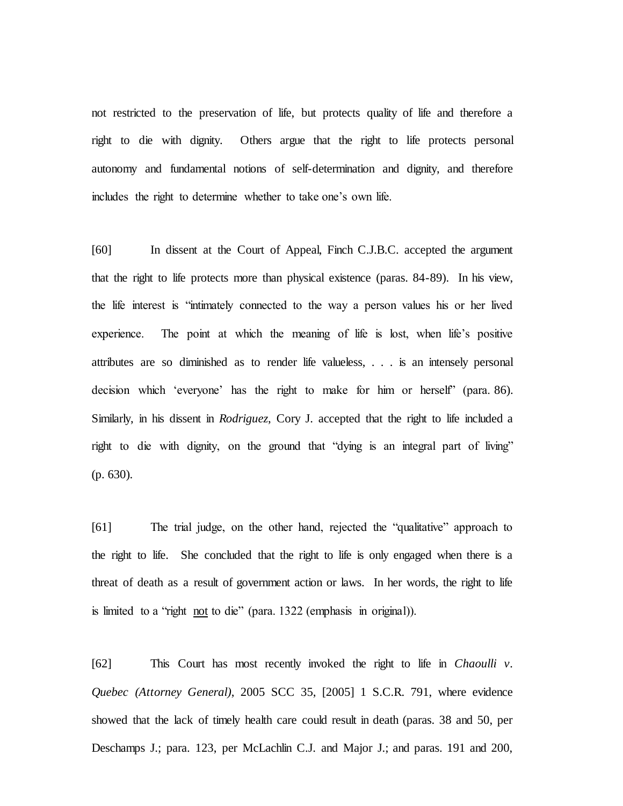not restricted to the preservation of life, but protects quality of life and therefore a right to die with dignity. Others argue that the right to life protects personal autonomy and fundamental notions of self-determination and dignity, and therefore includes the right to determine whether to take one's own life.

[60] In dissent at the Court of Appeal, Finch C.J.B.C. accepted the argument that the right to life protects more than physical existence (paras. 84-89). In his view, the life interest is "intimately connected to the way a person values his or her lived experience. The point at which the meaning of life is lost, when life's positive attributes are so diminished as to render life valueless, . . . is an intensely personal decision which 'everyone' has the right to make for him or herself" (para. 86). Similarly, in his dissent in *Rodriguez*, Cory J. accepted that the right to life included a right to die with dignity, on the ground that "dying is an integral part of living" (p. 630).

[61] The trial judge, on the other hand, rejected the "qualitative" approach to the right to life. She concluded that the right to life is only engaged when there is a threat of death as a result of government action or laws. In her words, the right to life is limited to a "right not to die" (para. 1322 (emphasis in original)).

[62] This Court has most recently invoked the right to life in *Chaoulli v. Quebec (Attorney General)*, 2005 SCC 35, [2005] 1 S.C.R. 791, where evidence showed that the lack of timely health care could result in death (paras. 38 and 50, per Deschamps J.; para. 123, per McLachlin C.J. and Major J.; and paras. 191 and 200,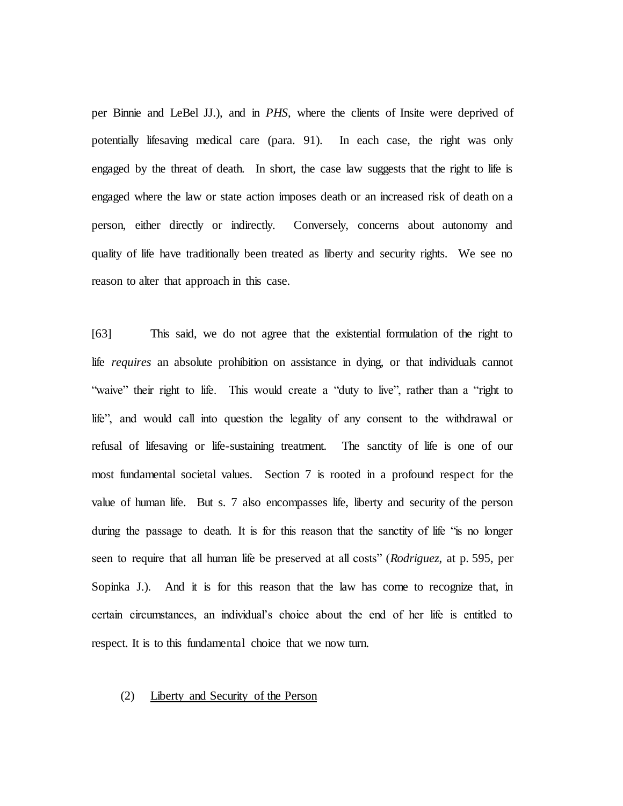per Binnie and LeBel JJ.), and in *PHS*, where the clients of Insite were deprived of potentially lifesaving medical care (para. 91). In each case, the right was only engaged by the threat of death. In short, the case law suggests that the right to life is engaged where the law or state action imposes death or an increased risk of death on a person, either directly or indirectly. Conversely, concerns about autonomy and quality of life have traditionally been treated as liberty and security rights. We see no reason to alter that approach in this case.

[63] This said, we do not agree that the existential formulation of the right to life *requires* an absolute prohibition on assistance in dying, or that individuals cannot "waive" their right to life. This would create a "duty to live", rather than a "right to life", and would call into question the legality of any consent to the withdrawal or refusal of lifesaving or life-sustaining treatment. The sanctity of life is one of our most fundamental societal values. Section 7 is rooted in a profound respect for the value of human life. But s. 7 also encompasses life, liberty and security of the person during the passage to death. It is for this reason that the sanctity of life "is no longer seen to require that all human life be preserved at all costs" (*Rodriguez*, at p. 595, per Sopinka J.). And it is for this reason that the law has come to recognize that, in certain circumstances, an individual's choice about the end of her life is entitled to respect. It is to this fundamental choice that we now turn.

# (2) Liberty and Security of the Person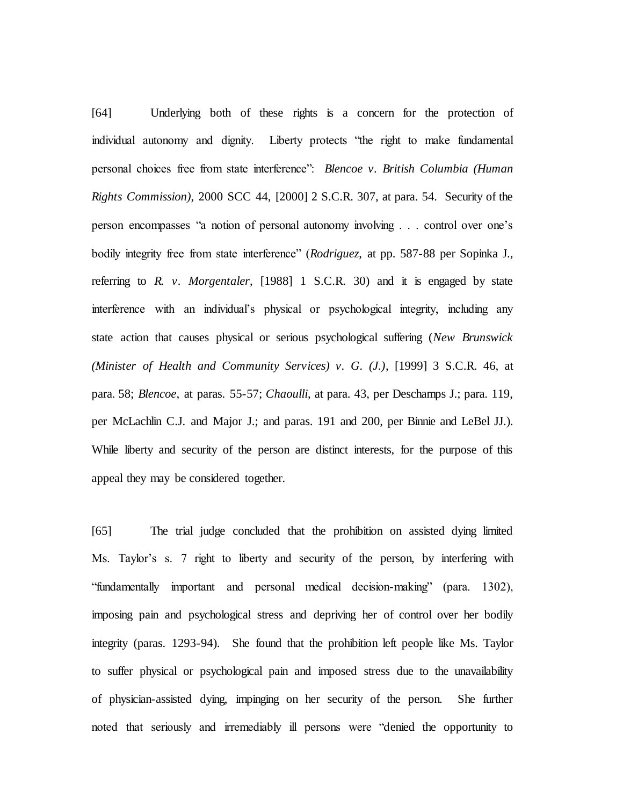[64] Underlying both of these rights is a concern for the protection of individual autonomy and dignity. Liberty protects "the right to make fundamental personal choices free from state interference": *Blencoe v. British Columbia (Human Rights Commission)*, 2000 SCC 44, [2000] 2 S.C.R. 307, at para. 54. Security of the person encompasses "a notion of personal autonomy involving . . . control over one's bodily integrity free from state interference" (*Rodriguez*, at pp. 587-88 per Sopinka J., referring to *R. v. Morgentaler*, [1988] 1 S.C.R. 30) and it is engaged by state interference with an individual's physical or psychological integrity, including any state action that causes physical or serious psychological suffering (*New Brunswick (Minister of Health and Community Services) v. G. (J.)*, [1999] 3 S.C.R. 46, at para. 58; *Blencoe*, at paras. 55-57; *Chaoulli*, at para. 43, per Deschamps J.; para. 119, per McLachlin C.J. and Major J.; and paras. 191 and 200, per Binnie and LeBel JJ.). While liberty and security of the person are distinct interests, for the purpose of this appeal they may be considered together.

[65] The trial judge concluded that the prohibition on assisted dying limited Ms. Taylor's s. 7 right to liberty and security of the person, by interfering with "fundamentally important and personal medical decision-making" (para. 1302), imposing pain and psychological stress and depriving her of control over her bodily integrity (paras. 1293-94). She found that the prohibition left people like Ms. Taylor to suffer physical or psychological pain and imposed stress due to the unavailability of physician-assisted dying, impinging on her security of the person. She further noted that seriously and irremediably ill persons were "denied the opportunity to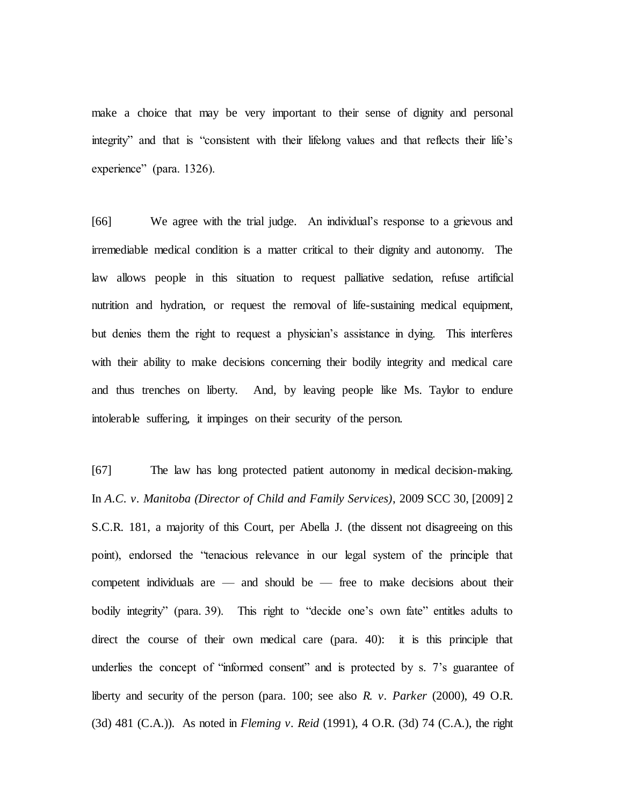make a choice that may be very important to their sense of dignity and personal integrity" and that is "consistent with their lifelong values and that reflects their life's experience" (para. 1326).

[66] We agree with the trial judge. An individual's response to a grievous and irremediable medical condition is a matter critical to their dignity and autonomy. The law allows people in this situation to request palliative sedation, refuse artificial nutrition and hydration, or request the removal of life-sustaining medical equipment, but denies them the right to request a physician's assistance in dying. This interferes with their ability to make decisions concerning their bodily integrity and medical care and thus trenches on liberty. And, by leaving people like Ms. Taylor to endure intolerable suffering, it impinges on their security of the person.

[67] The law has long protected patient autonomy in medical decision-making. In *A.C. v. Manitoba (Director of Child and Family Services)*, 2009 SCC 30, [2009] 2 S.C.R. 181, a majority of this Court, per Abella J. (the dissent not disagreeing on this point), endorsed the "tenacious relevance in our legal system of the principle that competent individuals are — and should be — free to make decisions about their bodily integrity" (para. 39). This right to "decide one's own fate" entitles adults to direct the course of their own medical care (para. 40): it is this principle that underlies the concept of "informed consent" and is protected by s. 7's guarantee of liberty and security of the person (para. 100; see also *R. v. Parker* (2000), 49 O.R. (3d) 481 (C.A.)). As noted in *Fleming v. Reid* (1991), 4 O.R. (3d) 74 (C.A.), the right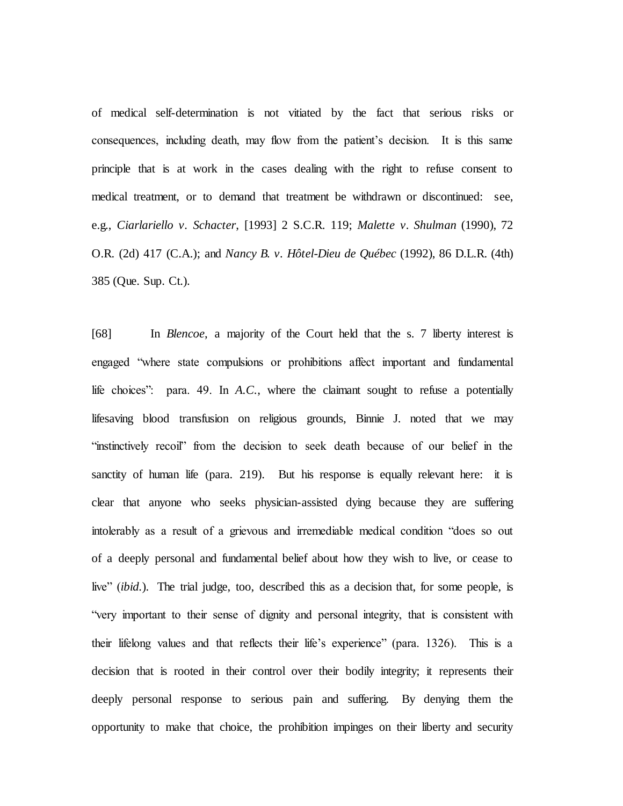of medical self-determination is not vitiated by the fact that serious risks or consequences, including death, may flow from the patient's decision. It is this same principle that is at work in the cases dealing with the right to refuse consent to medical treatment, or to demand that treatment be withdrawn or discontinued: see, e.g., *Ciarlariello v. Schacter*, [1993] 2 S.C.R. 119; *Malette v. Shulman* (1990), 72 O.R. (2d) 417 (C.A.); and *Nancy B. v. Hôtel-Dieu de Québec* (1992), 86 D.L.R. (4th) 385 (Que. Sup. Ct.).

[68] In *Blencoe*, a majority of the Court held that the s. 7 liberty interest is engaged "where state compulsions or prohibitions affect important and fundamental life choices": para. 49. In *A.C.*, where the claimant sought to refuse a potentially lifesaving blood transfusion on religious grounds, Binnie J. noted that we may "instinctively recoil" from the decision to seek death because of our belief in the sanctity of human life (para. 219). But his response is equally relevant here: it is clear that anyone who seeks physician-assisted dying because they are suffering intolerably as a result of a grievous and irremediable medical condition "does so out of a deeply personal and fundamental belief about how they wish to live, or cease to live" (*ibid.*). The trial judge, too, described this as a decision that, for some people, is "very important to their sense of dignity and personal integrity, that is consistent with their lifelong values and that reflects their life's experience" (para. 1326). This is a decision that is rooted in their control over their bodily integrity; it represents their deeply personal response to serious pain and suffering. By denying them the opportunity to make that choice, the prohibition impinges on their liberty and security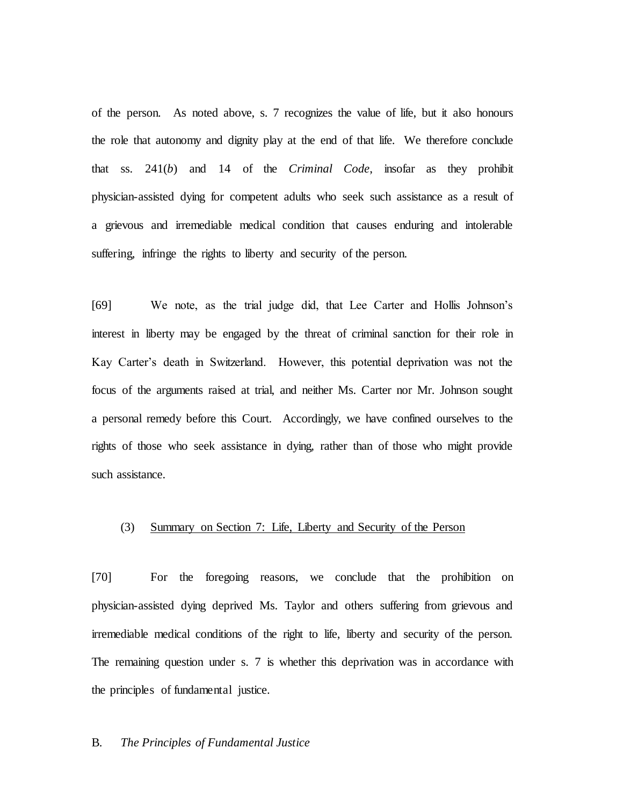of the person. As noted above, s. 7 recognizes the value of life, but it also honours the role that autonomy and dignity play at the end of that life. We therefore conclude that ss. 241(*b*) and 14 of the *Criminal Code*, insofar as they prohibit physician-assisted dying for competent adults who seek such assistance as a result of a grievous and irremediable medical condition that causes enduring and intolerable suffering, infringe the rights to liberty and security of the person.

[69] We note, as the trial judge did, that Lee Carter and Hollis Johnson's interest in liberty may be engaged by the threat of criminal sanction for their role in Kay Carter's death in Switzerland. However, this potential deprivation was not the focus of the arguments raised at trial, and neither Ms. Carter nor Mr. Johnson sought a personal remedy before this Court. Accordingly, we have confined ourselves to the rights of those who seek assistance in dying, rather than of those who might provide such assistance.

# (3) Summary on Section 7: Life, Liberty and Security of the Person

[70] For the foregoing reasons, we conclude that the prohibition on physician-assisted dying deprived Ms. Taylor and others suffering from grievous and irremediable medical conditions of the right to life, liberty and security of the person. The remaining question under s. 7 is whether this deprivation was in accordance with the principles of fundamental justice.

#### B. *The Principles of Fundamental Justice*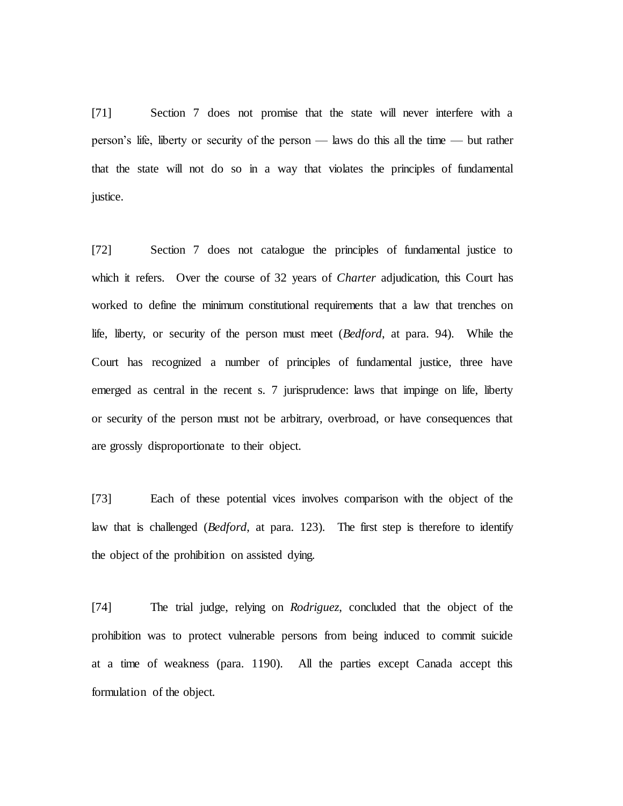[71] Section 7 does not promise that the state will never interfere with a person's life, liberty or security of the person — laws do this all the time — but rather that the state will not do so in a way that violates the principles of fundamental justice.

[72] Section 7 does not catalogue the principles of fundamental justice to which it refers. Over the course of 32 years of *Charter* adjudication, this Court has worked to define the minimum constitutional requirements that a law that trenches on life, liberty, or security of the person must meet (*Bedford*, at para. 94). While the Court has recognized a number of principles of fundamental justice, three have emerged as central in the recent s. 7 jurisprudence: laws that impinge on life, liberty or security of the person must not be arbitrary, overbroad, or have consequences that are grossly disproportionate to their object.

[73] Each of these potential vices involves comparison with the object of the law that is challenged (*Bedford*, at para. 123). The first step is therefore to identify the object of the prohibition on assisted dying.

[74] The trial judge, relying on *Rodriguez*, concluded that the object of the prohibition was to protect vulnerable persons from being induced to commit suicide at a time of weakness (para. 1190). All the parties except Canada accept this formulation of the object.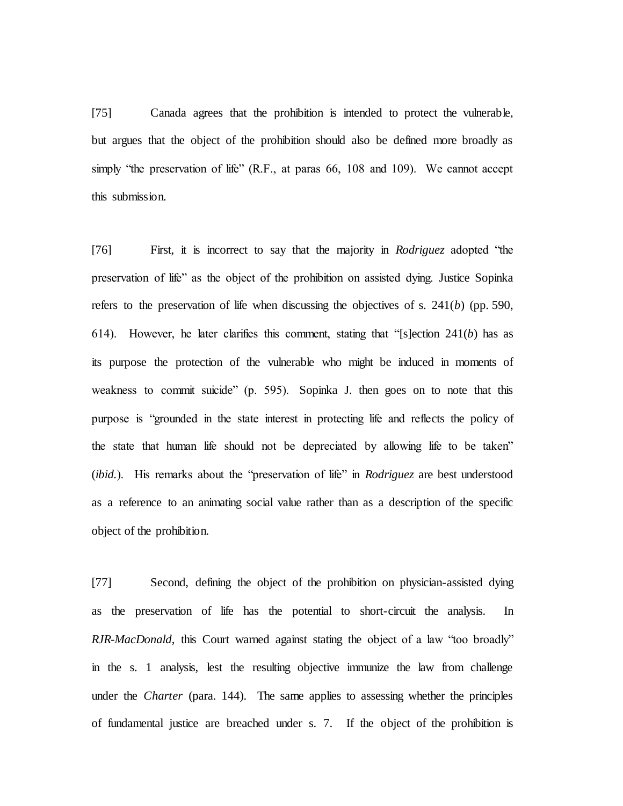[75] Canada agrees that the prohibition is intended to protect the vulnerable, but argues that the object of the prohibition should also be defined more broadly as simply "the preservation of life" (R.F., at paras 66, 108 and 109). We cannot accept this submission.

[76] First, it is incorrect to say that the majority in *Rodriguez* adopted "the preservation of life" as the object of the prohibition on assisted dying. Justice Sopinka refers to the preservation of life when discussing the objectives of s. 241(*b*) (pp. 590, 614). However, he later clarifies this comment, stating that "[s]ection 241(*b*) has as its purpose the protection of the vulnerable who might be induced in moments of weakness to commit suicide" (p. 595). Sopinka J. then goes on to note that this purpose is "grounded in the state interest in protecting life and reflects the policy of the state that human life should not be depreciated by allowing life to be taken" (*ibid.*). His remarks about the "preservation of life" in *Rodriguez* are best understood as a reference to an animating social value rather than as a description of the specific object of the prohibition.

[77] Second, defining the object of the prohibition on physician-assisted dying as the preservation of life has the potential to short-circuit the analysis. In *RJR-MacDonald*, this Court warned against stating the object of a law "too broadly" in the s. 1 analysis, lest the resulting objective immunize the law from challenge under the *Charter* (para. 144). The same applies to assessing whether the principles of fundamental justice are breached under s. 7. If the object of the prohibition is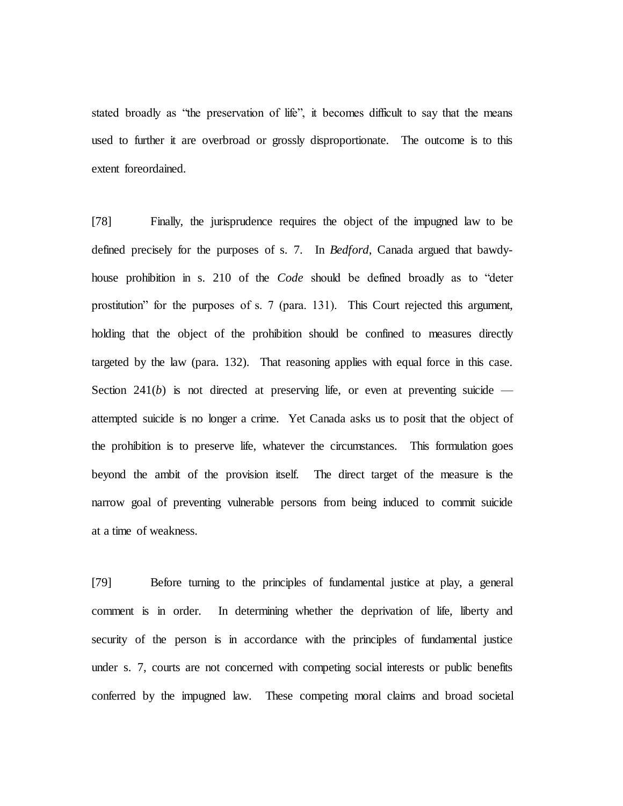stated broadly as "the preservation of life", it becomes difficult to say that the means used to further it are overbroad or grossly disproportionate. The outcome is to this extent foreordained.

[78] Finally, the jurisprudence requires the object of the impugned law to be defined precisely for the purposes of s. 7. In *Bedford*, Canada argued that bawdyhouse prohibition in s. 210 of the *Code* should be defined broadly as to "deter prostitution" for the purposes of s. 7 (para. 131). This Court rejected this argument, holding that the object of the prohibition should be confined to measures directly targeted by the law (para. 132). That reasoning applies with equal force in this case. Section 241(*b*) is not directed at preserving life, or even at preventing suicide  $$ attempted suicide is no longer a crime. Yet Canada asks us to posit that the object of the prohibition is to preserve life, whatever the circumstances. This formulation goes beyond the ambit of the provision itself. The direct target of the measure is the narrow goal of preventing vulnerable persons from being induced to commit suicide at a time of weakness.

[79] Before turning to the principles of fundamental justice at play, a general comment is in order. In determining whether the deprivation of life, liberty and security of the person is in accordance with the principles of fundamental justice under s. 7, courts are not concerned with competing social interests or public benefits conferred by the impugned law. These competing moral claims and broad societal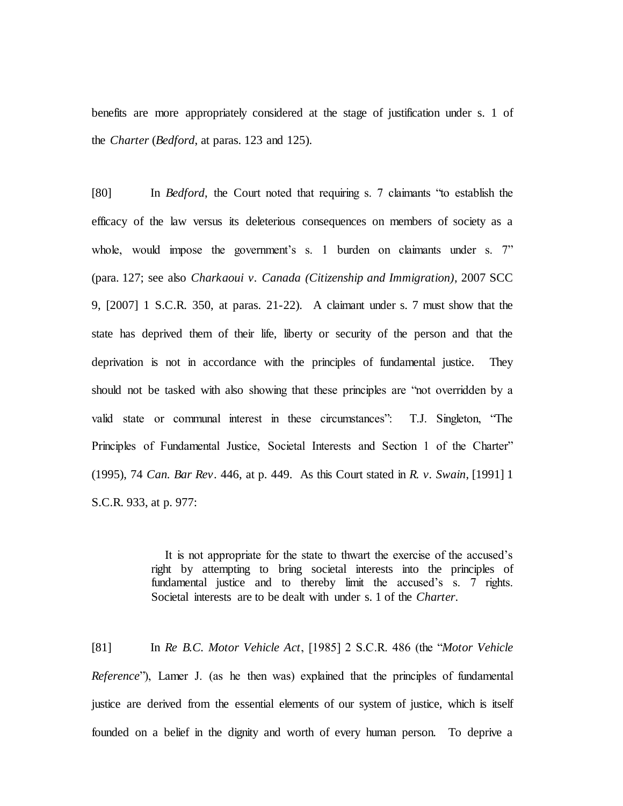benefits are more appropriately considered at the stage of justification under s. 1 of the *Charter* (*Bedford*, at paras. 123 and 125).

[80] In *Bedford*, the Court noted that requiring s. 7 claimants "to establish the efficacy of the law versus its deleterious consequences on members of society as a whole, would impose the government's s. 1 burden on claimants under s. 7" (para. 127; see also *Charkaoui v. Canada (Citizenship and Immigration)*, 2007 SCC 9, [2007] 1 S.C.R. 350, at paras. 21-22). A claimant under s. 7 must show that the state has deprived them of their life, liberty or security of the person and that the deprivation is not in accordance with the principles of fundamental justice. They should not be tasked with also showing that these principles are "not overridden by a valid state or communal interest in these circumstances": T.J. Singleton, "The Principles of Fundamental Justice, Societal Interests and Section 1 of the Charter" (1995), 74 *Can. Bar Rev*. 446, at p. 449. As this Court stated in *R. v. Swain*, [1991] 1 S.C.R. 933, at p. 977:

> It is not appropriate for the state to thwart the exercise of the accused's right by attempting to bring societal interests into the principles of fundamental justice and to thereby limit the accused's s. 7 rights. Societal interests are to be dealt with under s. 1 of the *Charter*.

[81] In *Re B.C. Motor Vehicle Act*, [1985] 2 S.C.R. 486 (the "*Motor Vehicle Reference*"), Lamer J. (as he then was) explained that the principles of fundamental justice are derived from the essential elements of our system of justice, which is itself founded on a belief in the dignity and worth of every human person. To deprive a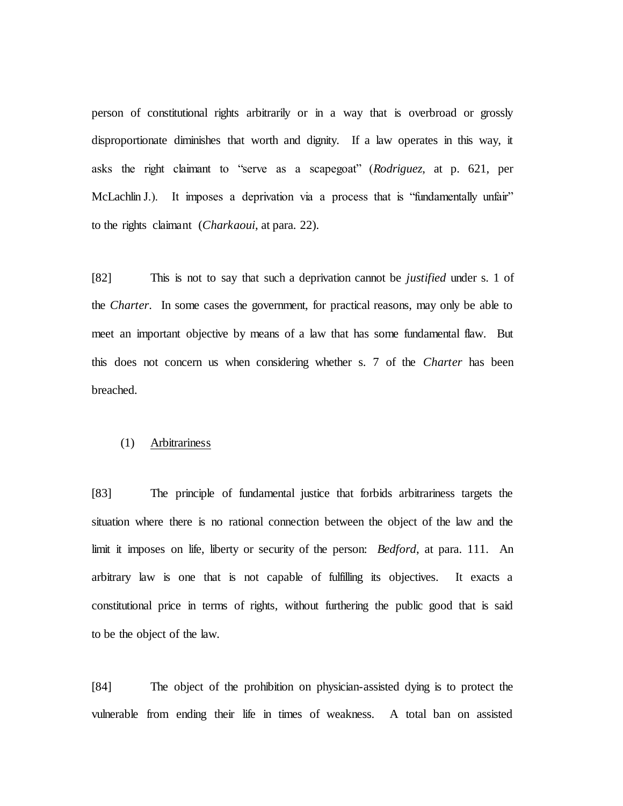person of constitutional rights arbitrarily or in a way that is overbroad or grossly disproportionate diminishes that worth and dignity. If a law operates in this way, it asks the right claimant to "serve as a scapegoat" (*Rodriguez*, at p. 621, per McLachlin J.). It imposes a deprivation via a process that is "fundamentally unfair" to the rights claimant (*Charkaoui*, at para. 22).

[82] This is not to say that such a deprivation cannot be *justified* under s. 1 of the *Charter*. In some cases the government, for practical reasons, may only be able to meet an important objective by means of a law that has some fundamental flaw. But this does not concern us when considering whether s. 7 of the *Charter* has been breached.

### (1) Arbitrariness

[83] The principle of fundamental justice that forbids arbitrariness targets the situation where there is no rational connection between the object of the law and the limit it imposes on life, liberty or security of the person: *Bedford*, at para. 111. An arbitrary law is one that is not capable of fulfilling its objectives. It exacts a constitutional price in terms of rights, without furthering the public good that is said to be the object of the law.

[84] The object of the prohibition on physician-assisted dying is to protect the vulnerable from ending their life in times of weakness. A total ban on assisted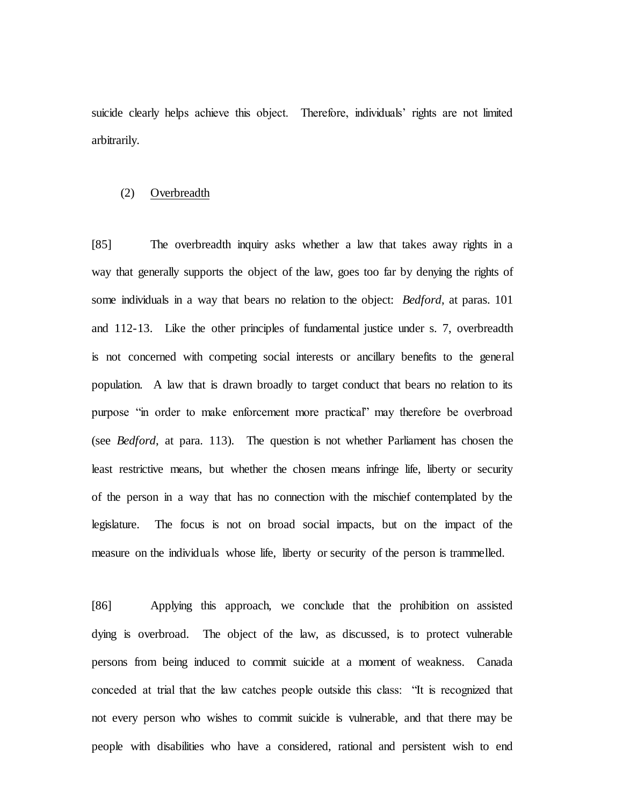suicide clearly helps achieve this object. Therefore, individuals' rights are not limited arbitrarily.

### (2) Overbreadth

[85] The overbreadth inquiry asks whether a law that takes away rights in a way that generally supports the object of the law, goes too far by denying the rights of some individuals in a way that bears no relation to the object: *Bedford*, at paras. 101 and 112-13. Like the other principles of fundamental justice under s. 7, overbreadth is not concerned with competing social interests or ancillary benefits to the general population. A law that is drawn broadly to target conduct that bears no relation to its purpose "in order to make enforcement more practical" may therefore be overbroad (see *Bedford*, at para. 113). The question is not whether Parliament has chosen the least restrictive means, but whether the chosen means infringe life, liberty or security of the person in a way that has no connection with the mischief contemplated by the legislature. The focus is not on broad social impacts, but on the impact of the measure on the individuals whose life, liberty or security of the person is trammelled.

[86] Applying this approach, we conclude that the prohibition on assisted dying is overbroad. The object of the law, as discussed, is to protect vulnerable persons from being induced to commit suicide at a moment of weakness. Canada conceded at trial that the law catches people outside this class: "It is recognized that not every person who wishes to commit suicide is vulnerable, and that there may be people with disabilities who have a considered, rational and persistent wish to end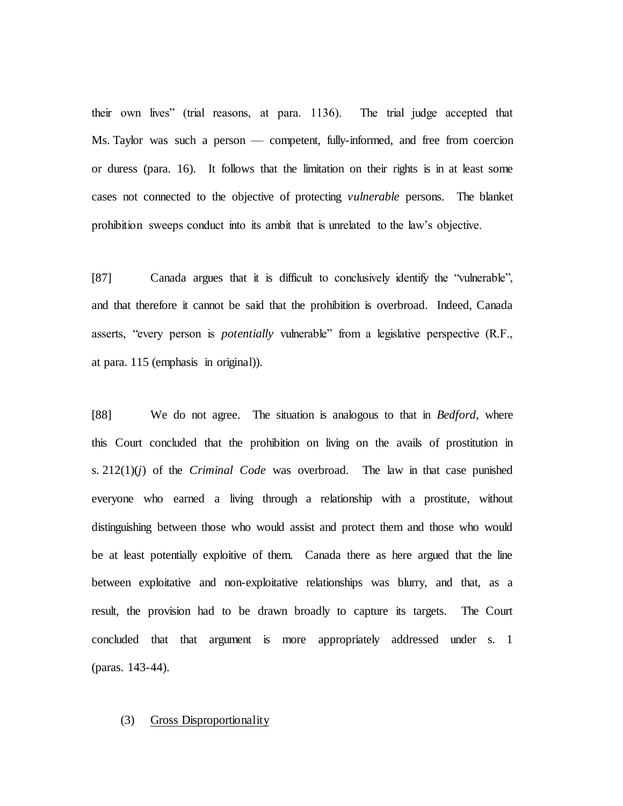their own lives" (trial reasons, at para. 1136). The trial judge accepted that Ms. Taylor was such a person — competent, fully-informed, and free from coercion or duress (para. 16). It follows that the limitation on their rights is in at least some cases not connected to the objective of protecting *vulnerable* persons. The blanket prohibition sweeps conduct into its ambit that is unrelated to the law's objective.

[87] Canada argues that it is difficult to conclusively identify the "vulnerable", and that therefore it cannot be said that the prohibition is overbroad. Indeed, Canada asserts, "every person is *potentially* vulnerable" from a legislative perspective (R.F., at para. 115 (emphasis in original)).

[88] We do not agree. The situation is analogous to that in *Bedford*, where this Court concluded that the prohibition on living on the avails of prostitution in s.  $212(1)(i)$  of the *Criminal Code* was overbroad. The law in that case punished everyone who earned a living through a relationship with a prostitute, without distinguishing between those who would assist and protect them and those who would be at least potentially exploitive of them. Canada there as here argued that the line between exploitative and non-exploitative relationships was blurry, and that, as a result, the provision had to be drawn broadly to capture its targets. The Court concluded that that argument is more appropriately addressed under s. 1 (paras. 143-44).

#### (3) Gross Disproportionality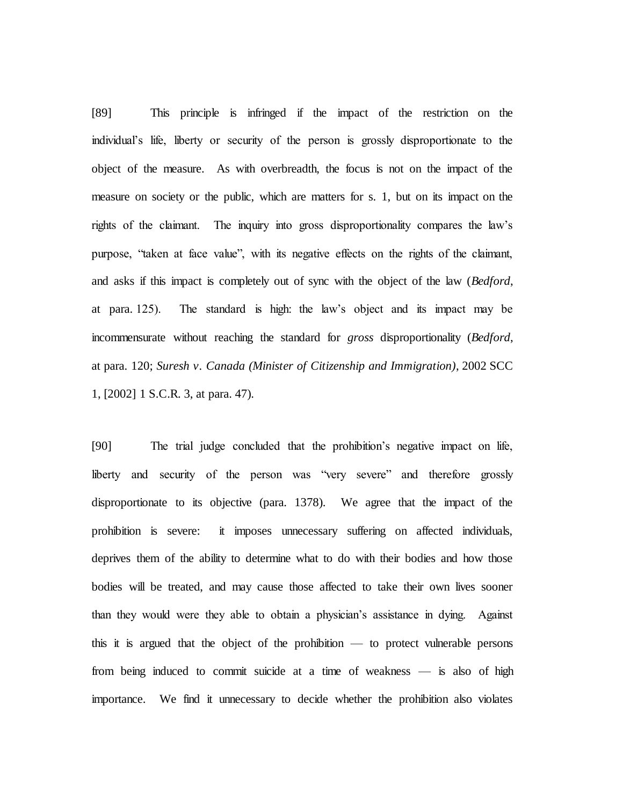[89] This principle is infringed if the impact of the restriction on the individual's life, liberty or security of the person is grossly disproportionate to the object of the measure. As with overbreadth, the focus is not on the impact of the measure on society or the public, which are matters for s. 1, but on its impact on the rights of the claimant. The inquiry into gross disproportionality compares the law's purpose, "taken at face value", with its negative effects on the rights of the claimant, and asks if this impact is completely out of sync with the object of the law (*Bedford*, at para. 125). The standard is high: the law's object and its impact may be incommensurate without reaching the standard for *gross* disproportionality (*Bedford*, at para. 120; *Suresh v. Canada (Minister of Citizenship and Immigration)*, 2002 SCC 1, [2002] 1 S.C.R. 3, at para. 47).

[90] The trial judge concluded that the prohibition's negative impact on life, liberty and security of the person was "very severe" and therefore grossly disproportionate to its objective (para. 1378). We agree that the impact of the prohibition is severe: it imposes unnecessary suffering on affected individuals, deprives them of the ability to determine what to do with their bodies and how those bodies will be treated, and may cause those affected to take their own lives sooner than they would were they able to obtain a physician's assistance in dying. Against this it is argued that the object of the prohibition — to protect vulnerable persons from being induced to commit suicide at a time of weakness — is also of high importance. We find it unnecessary to decide whether the prohibition also violates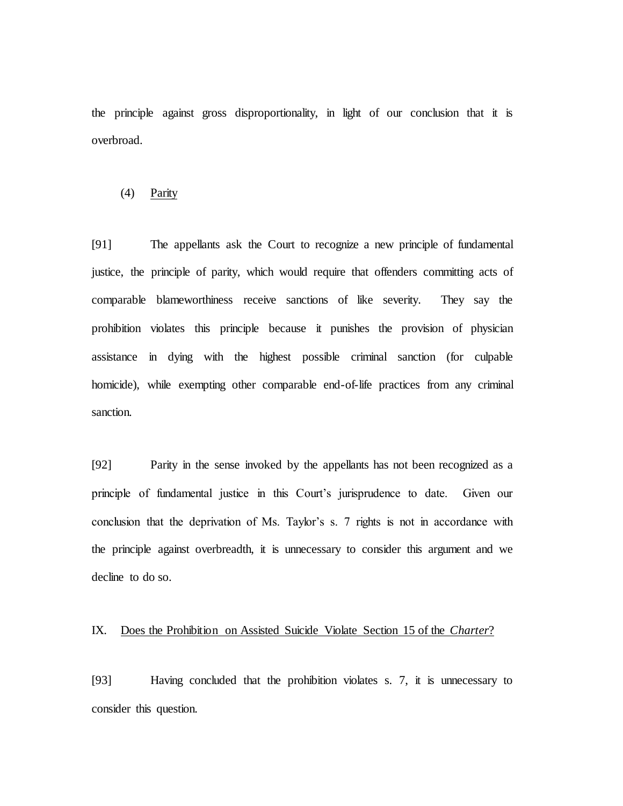the principle against gross disproportionality, in light of our conclusion that it is overbroad.

#### (4) Parity

[91] The appellants ask the Court to recognize a new principle of fundamental justice, the principle of parity, which would require that offenders committing acts of comparable blameworthiness receive sanctions of like severity. They say the prohibition violates this principle because it punishes the provision of physician assistance in dying with the highest possible criminal sanction (for culpable homicide), while exempting other comparable end-of-life practices from any criminal sanction.

[92] Parity in the sense invoked by the appellants has not been recognized as a principle of fundamental justice in this Court's jurisprudence to date. Given our conclusion that the deprivation of Ms. Taylor's s. 7 rights is not in accordance with the principle against overbreadth, it is unnecessary to consider this argument and we decline to do so.

# IX. Does the Prohibition on Assisted Suicide Violate Section 15 of the *Charter*?

[93] Having concluded that the prohibition violates s. 7, it is unnecessary to consider this question.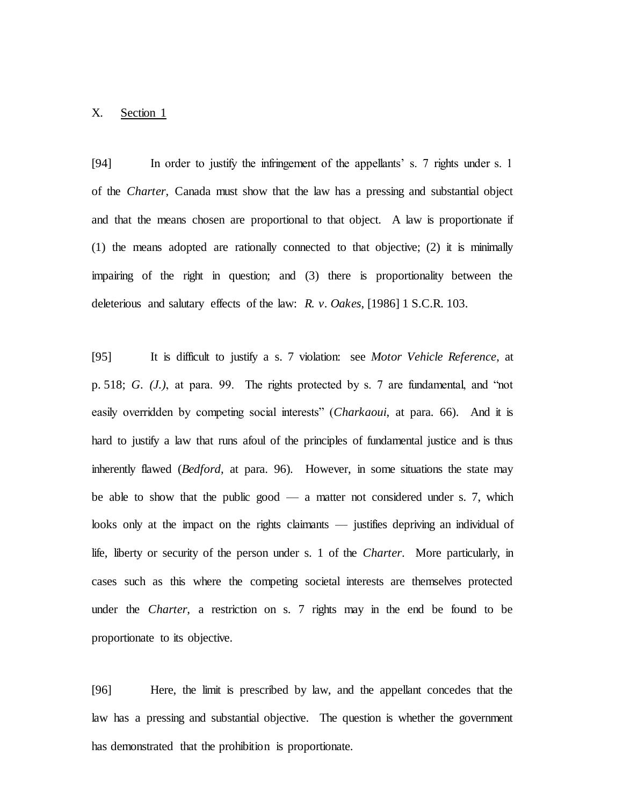# X. Section 1

[94] In order to justify the infringement of the appellants' s. 7 rights under s. 1 of the *Charter*, Canada must show that the law has a pressing and substantial object and that the means chosen are proportional to that object. A law is proportionate if (1) the means adopted are rationally connected to that objective; (2) it is minimally impairing of the right in question; and (3) there is proportionality between the deleterious and salutary effects of the law: *R. v. Oakes*, [1986] 1 S.C.R. 103.

[95] It is difficult to justify a s. 7 violation: see *Motor Vehicle Reference*, at p. 518; *G. (J.)*, at para. 99. The rights protected by s. 7 are fundamental, and "not easily overridden by competing social interests" (*Charkaoui*, at para. 66). And it is hard to justify a law that runs afoul of the principles of fundamental justice and is thus inherently flawed (*Bedford*, at para. 96). However, in some situations the state may be able to show that the public good — a matter not considered under s. 7, which looks only at the impact on the rights claimants — justifies depriving an individual of life, liberty or security of the person under s. 1 of the *Charter*. More particularly, in cases such as this where the competing societal interests are themselves protected under the *Charter*, a restriction on s. 7 rights may in the end be found to be proportionate to its objective.

[96] Here, the limit is prescribed by law, and the appellant concedes that the law has a pressing and substantial objective. The question is whether the government has demonstrated that the prohibition is proportionate.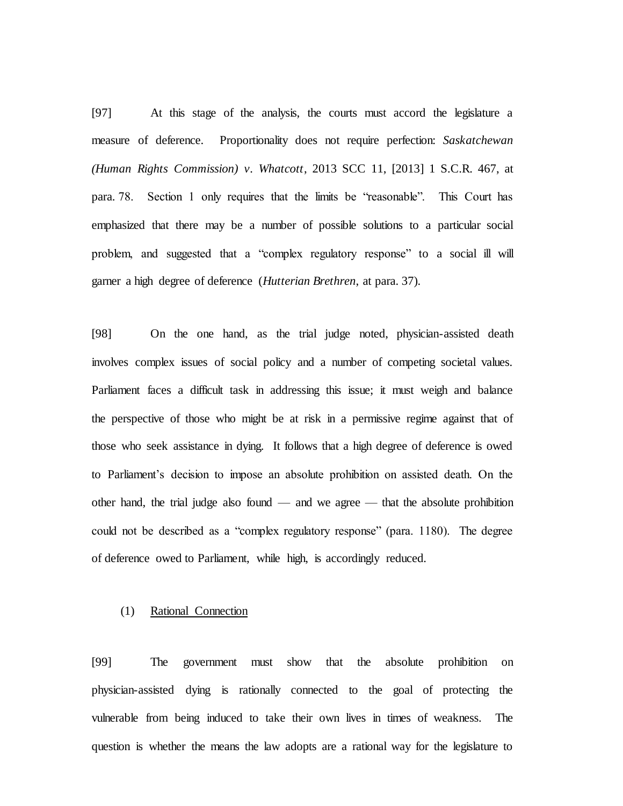[97] At this stage of the analysis, the courts must accord the legislature a measure of deference. Proportionality does not require perfection: *Saskatchewan (Human Rights Commission) v. Whatcott*, 2013 SCC 11, [2013] 1 S.C.R. 467, at para. 78. Section 1 only requires that the limits be "reasonable". This Court has emphasized that there may be a number of possible solutions to a particular social problem, and suggested that a "complex regulatory response" to a social ill will garner a high degree of deference (*Hutterian Brethren*, at para. 37).

[98] On the one hand, as the trial judge noted, physician-assisted death involves complex issues of social policy and a number of competing societal values. Parliament faces a difficult task in addressing this issue; it must weigh and balance the perspective of those who might be at risk in a permissive regime against that of those who seek assistance in dying. It follows that a high degree of deference is owed to Parliament's decision to impose an absolute prohibition on assisted death. On the other hand, the trial judge also found — and we agree — that the absolute prohibition could not be described as a "complex regulatory response" (para. 1180). The degree of deference owed to Parliament, while high, is accordingly reduced.

# (1) Rational Connection

[99] The government must show that the absolute prohibition on physician-assisted dying is rationally connected to the goal of protecting the vulnerable from being induced to take their own lives in times of weakness. The question is whether the means the law adopts are a rational way for the legislature to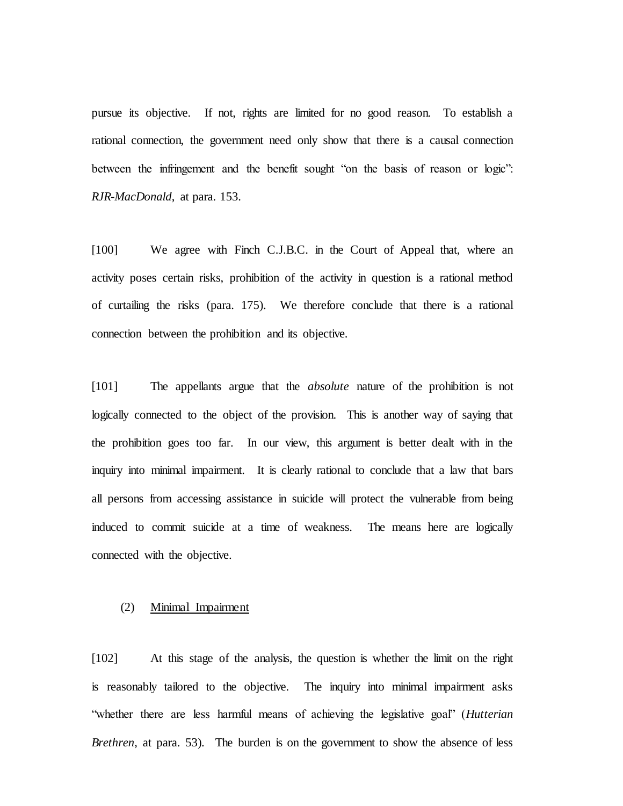pursue its objective. If not, rights are limited for no good reason. To establish a rational connection, the government need only show that there is a causal connection between the infringement and the benefit sought "on the basis of reason or logic": *RJR-MacDonald*, at para. 153.

[100] We agree with Finch C.J.B.C. in the Court of Appeal that, where an activity poses certain risks, prohibition of the activity in question is a rational method of curtailing the risks (para. 175). We therefore conclude that there is a rational connection between the prohibition and its objective.

[101] The appellants argue that the *absolute* nature of the prohibition is not logically connected to the object of the provision. This is another way of saying that the prohibition goes too far. In our view, this argument is better dealt with in the inquiry into minimal impairment. It is clearly rational to conclude that a law that bars all persons from accessing assistance in suicide will protect the vulnerable from being induced to commit suicide at a time of weakness. The means here are logically connected with the objective.

#### (2) Minimal Impairment

[102] At this stage of the analysis, the question is whether the limit on the right is reasonably tailored to the objective. The inquiry into minimal impairment asks "whether there are less harmful means of achieving the legislative goal" (*Hutterian Brethren*, at para. 53). The burden is on the government to show the absence of less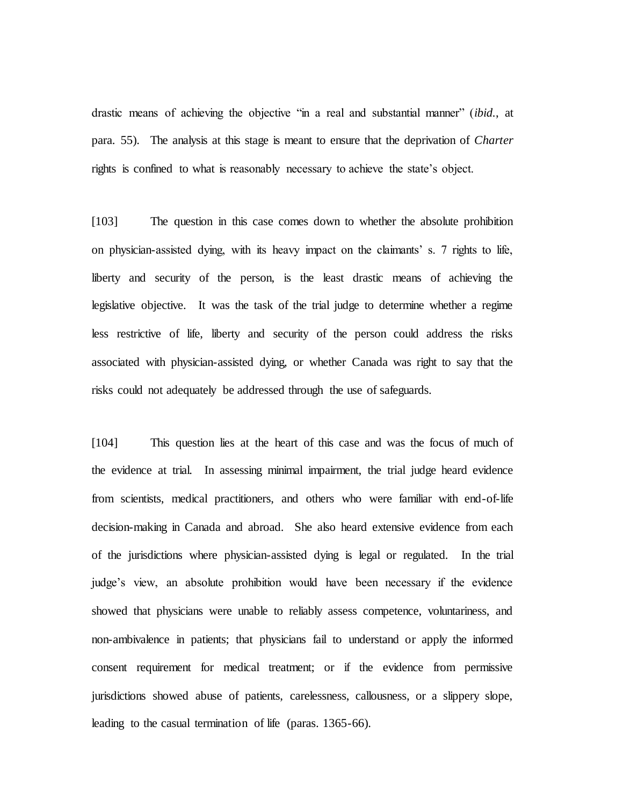drastic means of achieving the objective "in a real and substantial manner" (*ibid.*, at para. 55). The analysis at this stage is meant to ensure that the deprivation of *Charter*  rights is confined to what is reasonably necessary to achieve the state's object.

[103] The question in this case comes down to whether the absolute prohibition on physician-assisted dying, with its heavy impact on the claimants' s. 7 rights to life, liberty and security of the person, is the least drastic means of achieving the legislative objective. It was the task of the trial judge to determine whether a regime less restrictive of life, liberty and security of the person could address the risks associated with physician-assisted dying, or whether Canada was right to say that the risks could not adequately be addressed through the use of safeguards.

[104] This question lies at the heart of this case and was the focus of much of the evidence at trial. In assessing minimal impairment, the trial judge heard evidence from scientists, medical practitioners, and others who were familiar with end-of-life decision-making in Canada and abroad. She also heard extensive evidence from each of the jurisdictions where physician-assisted dying is legal or regulated. In the trial judge's view, an absolute prohibition would have been necessary if the evidence showed that physicians were unable to reliably assess competence, voluntariness, and non-ambivalence in patients; that physicians fail to understand or apply the informed consent requirement for medical treatment; or if the evidence from permissive jurisdictions showed abuse of patients, carelessness, callousness, or a slippery slope, leading to the casual termination of life (paras. 1365-66).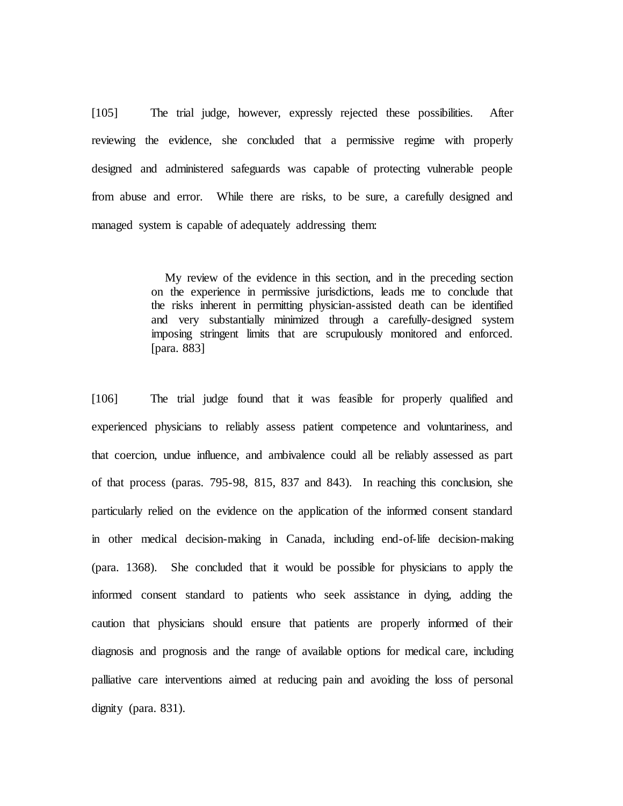[105] The trial judge, however, expressly rejected these possibilities. After reviewing the evidence, she concluded that a permissive regime with properly designed and administered safeguards was capable of protecting vulnerable people from abuse and error. While there are risks, to be sure, a carefully designed and managed system is capable of adequately addressing them:

> My review of the evidence in this section, and in the preceding section on the experience in permissive jurisdictions, leads me to conclude that the risks inherent in permitting physician-assisted death can be identified and very substantially minimized through a carefully-designed system imposing stringent limits that are scrupulously monitored and enforced. [para. 883]

[106] The trial judge found that it was feasible for properly qualified and experienced physicians to reliably assess patient competence and voluntariness, and that coercion, undue influence, and ambivalence could all be reliably assessed as part of that process (paras. 795-98, 815, 837 and 843). In reaching this conclusion, she particularly relied on the evidence on the application of the informed consent standard in other medical decision-making in Canada, including end-of-life decision-making (para. 1368). She concluded that it would be possible for physicians to apply the informed consent standard to patients who seek assistance in dying, adding the caution that physicians should ensure that patients are properly informed of their diagnosis and prognosis and the range of available options for medical care, including palliative care interventions aimed at reducing pain and avoiding the loss of personal dignity (para. 831).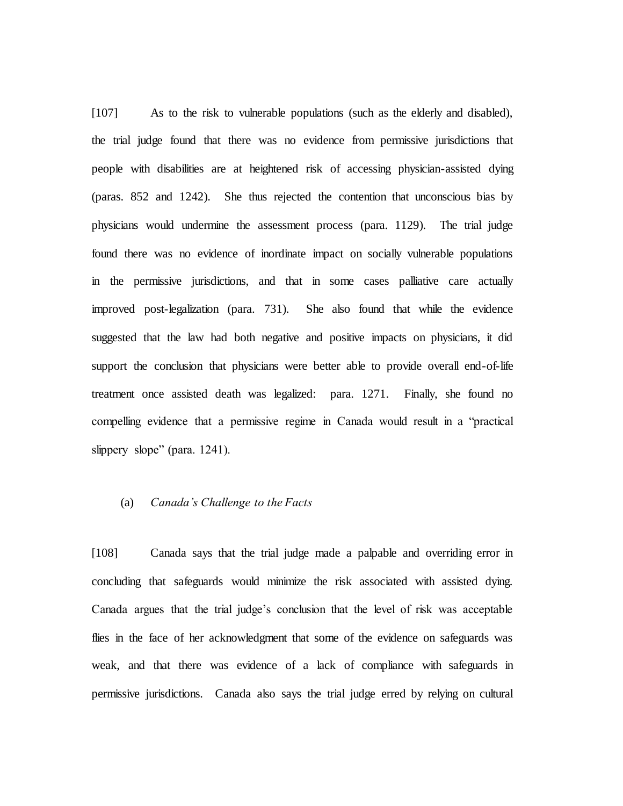[107] As to the risk to vulnerable populations (such as the elderly and disabled), the trial judge found that there was no evidence from permissive jurisdictions that people with disabilities are at heightened risk of accessing physician-assisted dying (paras. 852 and 1242). She thus rejected the contention that unconscious bias by physicians would undermine the assessment process (para. 1129). The trial judge found there was no evidence of inordinate impact on socially vulnerable populations in the permissive jurisdictions, and that in some cases palliative care actually improved post-legalization (para. 731). She also found that while the evidence suggested that the law had both negative and positive impacts on physicians, it did support the conclusion that physicians were better able to provide overall end-of-life treatment once assisted death was legalized: para. 1271. Finally, she found no compelling evidence that a permissive regime in Canada would result in a "practical slippery slope" (para. 1241).

# (a) *Canada's Challenge to the Facts*

[108] Canada says that the trial judge made a palpable and overriding error in concluding that safeguards would minimize the risk associated with assisted dying. Canada argues that the trial judge's conclusion that the level of risk was acceptable flies in the face of her acknowledgment that some of the evidence on safeguards was weak, and that there was evidence of a lack of compliance with safeguards in permissive jurisdictions. Canada also says the trial judge erred by relying on cultural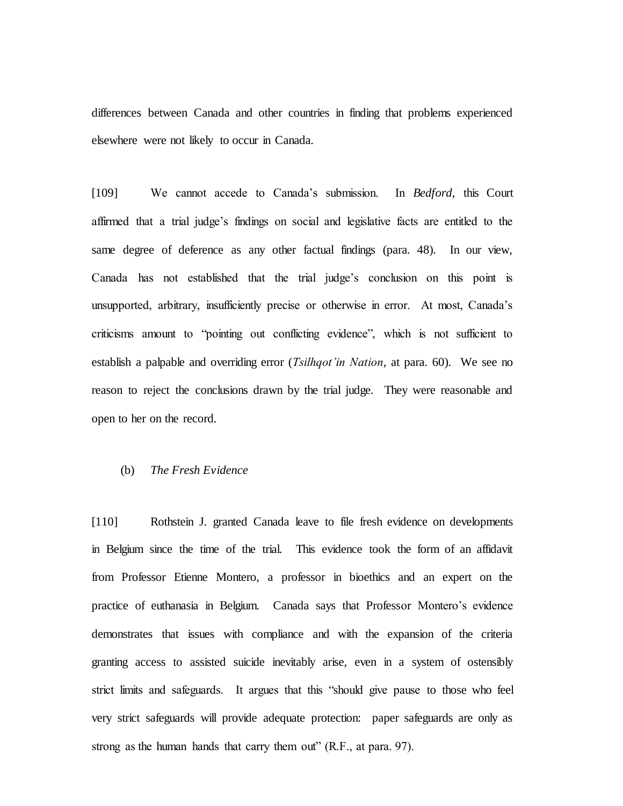differences between Canada and other countries in finding that problems experienced elsewhere were not likely to occur in Canada.

[109] We cannot accede to Canada's submission. In *Bedford*, this Court affirmed that a trial judge's findings on social and legislative facts are entitled to the same degree of deference as any other factual findings (para. 48). In our view, Canada has not established that the trial judge's conclusion on this point is unsupported, arbitrary, insufficiently precise or otherwise in error. At most, Canada's criticisms amount to "pointing out conflicting evidence", which is not sufficient to establish a palpable and overriding error (*Tsilhqot'in Nation*, at para. 60). We see no reason to reject the conclusions drawn by the trial judge. They were reasonable and open to her on the record.

# (b) *The Fresh Evidence*

[110] Rothstein J. granted Canada leave to file fresh evidence on developments in Belgium since the time of the trial. This evidence took the form of an affidavit from Professor Etienne Montero, a professor in bioethics and an expert on the practice of euthanasia in Belgium. Canada says that Professor Montero's evidence demonstrates that issues with compliance and with the expansion of the criteria granting access to assisted suicide inevitably arise, even in a system of ostensibly strict limits and safeguards. It argues that this "should give pause to those who feel very strict safeguards will provide adequate protection: paper safeguards are only as strong as the human hands that carry them out" (R.F., at para. 97).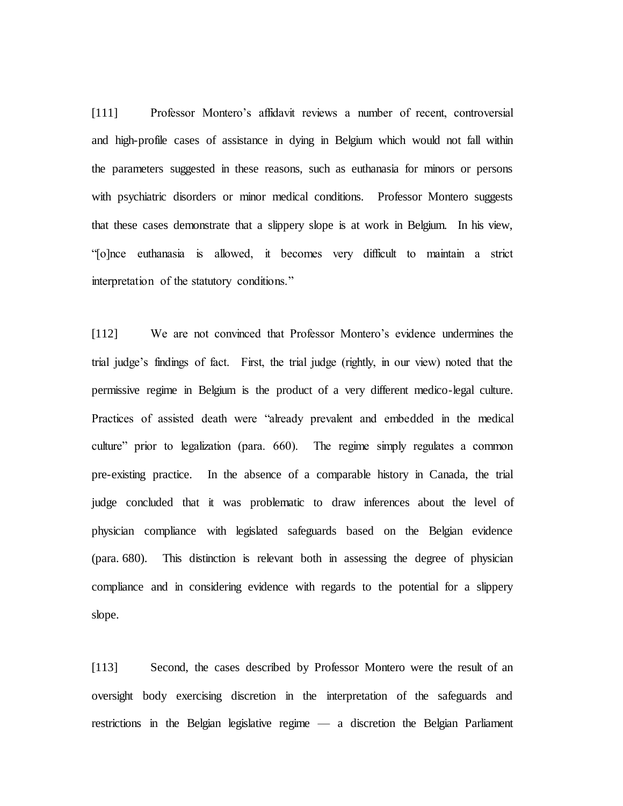[111] Professor Montero's affidavit reviews a number of recent, controversial and high-profile cases of assistance in dying in Belgium which would not fall within the parameters suggested in these reasons, such as euthanasia for minors or persons with psychiatric disorders or minor medical conditions. Professor Montero suggests that these cases demonstrate that a slippery slope is at work in Belgium. In his view, "[o]nce euthanasia is allowed, it becomes very difficult to maintain a strict interpretation of the statutory conditions."

[112] We are not convinced that Professor Montero's evidence undermines the trial judge's findings of fact. First, the trial judge (rightly, in our view) noted that the permissive regime in Belgium is the product of a very different medico-legal culture. Practices of assisted death were "already prevalent and embedded in the medical culture" prior to legalization (para. 660). The regime simply regulates a common pre-existing practice. In the absence of a comparable history in Canada, the trial judge concluded that it was problematic to draw inferences about the level of physician compliance with legislated safeguards based on the Belgian evidence (para. 680). This distinction is relevant both in assessing the degree of physician compliance and in considering evidence with regards to the potential for a slippery slope.

[113] Second, the cases described by Professor Montero were the result of an oversight body exercising discretion in the interpretation of the safeguards and restrictions in the Belgian legislative regime — a discretion the Belgian Parliament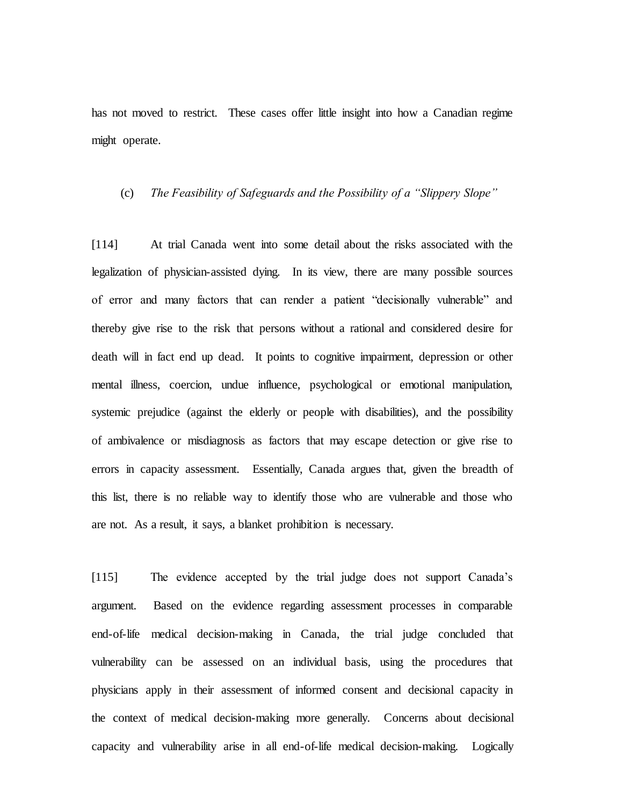has not moved to restrict. These cases offer little insight into how a Canadian regime might operate.

### (c) *The Feasibility of Safeguards and the Possibility of a "Slippery Slope"*

[114] At trial Canada went into some detail about the risks associated with the legalization of physician-assisted dying. In its view, there are many possible sources of error and many factors that can render a patient "decisionally vulnerable" and thereby give rise to the risk that persons without a rational and considered desire for death will in fact end up dead. It points to cognitive impairment, depression or other mental illness, coercion, undue influence, psychological or emotional manipulation, systemic prejudice (against the elderly or people with disabilities), and the possibility of ambivalence or misdiagnosis as factors that may escape detection or give rise to errors in capacity assessment. Essentially, Canada argues that, given the breadth of this list, there is no reliable way to identify those who are vulnerable and those who are not. As a result, it says, a blanket prohibition is necessary.

[115] The evidence accepted by the trial judge does not support Canada's argument. Based on the evidence regarding assessment processes in comparable end-of-life medical decision-making in Canada, the trial judge concluded that vulnerability can be assessed on an individual basis, using the procedures that physicians apply in their assessment of informed consent and decisional capacity in the context of medical decision-making more generally. Concerns about decisional capacity and vulnerability arise in all end-of-life medical decision-making. Logically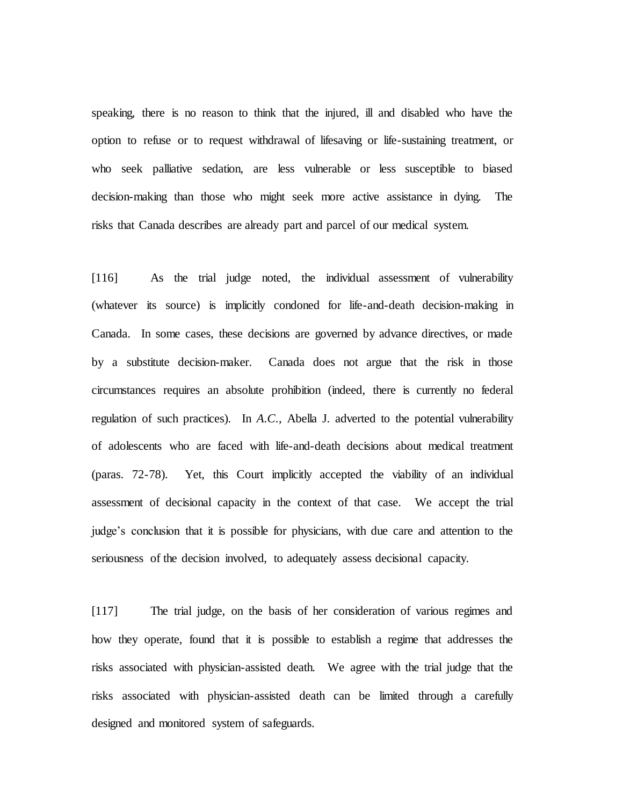speaking, there is no reason to think that the injured, ill and disabled who have the option to refuse or to request withdrawal of lifesaving or life-sustaining treatment, or who seek palliative sedation, are less vulnerable or less susceptible to biased decision-making than those who might seek more active assistance in dying. The risks that Canada describes are already part and parcel of our medical system.

[116] As the trial judge noted, the individual assessment of vulnerability (whatever its source) is implicitly condoned for life-and-death decision-making in Canada. In some cases, these decisions are governed by advance directives, or made by a substitute decision-maker. Canada does not argue that the risk in those circumstances requires an absolute prohibition (indeed, there is currently no federal regulation of such practices). In *A.C.*, Abella J. adverted to the potential vulnerability of adolescents who are faced with life-and-death decisions about medical treatment (paras. 72-78). Yet, this Court implicitly accepted the viability of an individual assessment of decisional capacity in the context of that case. We accept the trial judge's conclusion that it is possible for physicians, with due care and attention to the seriousness of the decision involved, to adequately assess decisional capacity.

[117] The trial judge, on the basis of her consideration of various regimes and how they operate, found that it is possible to establish a regime that addresses the risks associated with physician-assisted death. We agree with the trial judge that the risks associated with physician-assisted death can be limited through a carefully designed and monitored system of safeguards.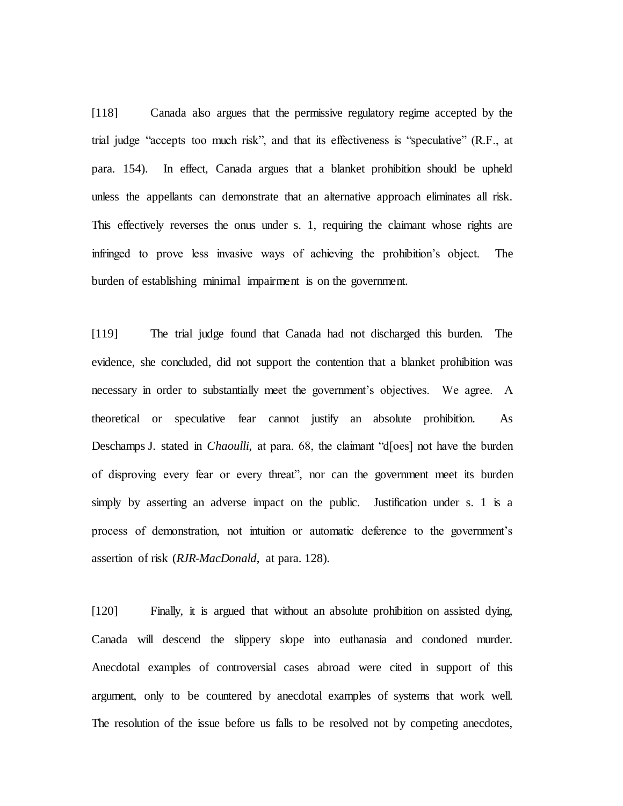[118] Canada also argues that the permissive regulatory regime accepted by the trial judge "accepts too much risk", and that its effectiveness is "speculative" (R.F., at para. 154). In effect, Canada argues that a blanket prohibition should be upheld unless the appellants can demonstrate that an alternative approach eliminates all risk. This effectively reverses the onus under s. 1, requiring the claimant whose rights are infringed to prove less invasive ways of achieving the prohibition's object. The burden of establishing minimal impairment is on the government.

[119] The trial judge found that Canada had not discharged this burden. The evidence, she concluded, did not support the contention that a blanket prohibition was necessary in order to substantially meet the government's objectives. We agree. A theoretical or speculative fear cannot justify an absolute prohibition. As Deschamps J. stated in *Chaoulli*, at para. 68, the claimant "d[oes] not have the burden of disproving every fear or every threat", nor can the government meet its burden simply by asserting an adverse impact on the public. Justification under s. 1 is a process of demonstration, not intuition or automatic deference to the government's assertion of risk (*RJR-MacDonald*, at para. 128).

[120] Finally, it is argued that without an absolute prohibition on assisted dying, Canada will descend the slippery slope into euthanasia and condoned murder. Anecdotal examples of controversial cases abroad were cited in support of this argument, only to be countered by anecdotal examples of systems that work well. The resolution of the issue before us falls to be resolved not by competing anecdotes,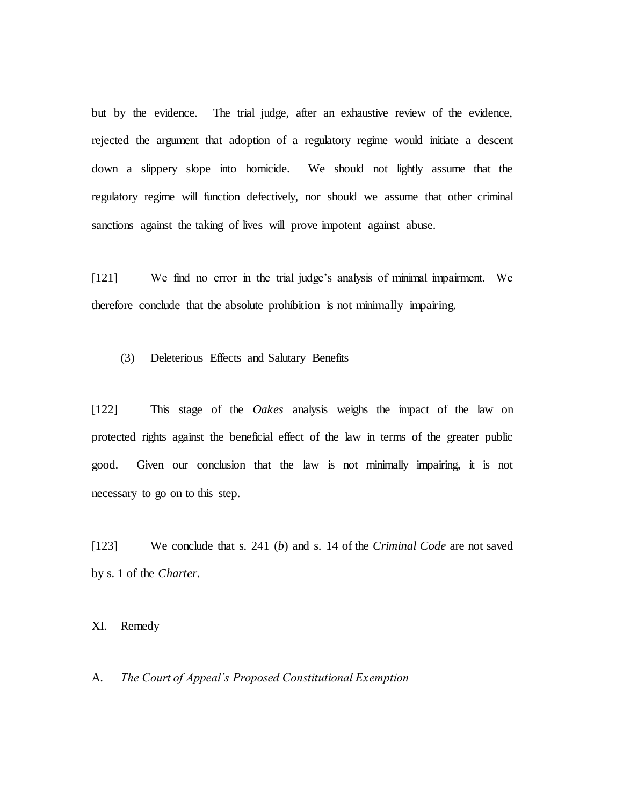but by the evidence. The trial judge, after an exhaustive review of the evidence, rejected the argument that adoption of a regulatory regime would initiate a descent down a slippery slope into homicide. We should not lightly assume that the regulatory regime will function defectively, nor should we assume that other criminal sanctions against the taking of lives will prove impotent against abuse.

[121] We find no error in the trial judge's analysis of minimal impairment. We therefore conclude that the absolute prohibition is not minimally impairing.

# (3) Deleterious Effects and Salutary Benefits

[122] This stage of the *Oakes* analysis weighs the impact of the law on protected rights against the beneficial effect of the law in terms of the greater public good. Given our conclusion that the law is not minimally impairing, it is not necessary to go on to this step.

[123] We conclude that s. 241 (*b*) and s. 14 of the *Criminal Code* are not saved by s. 1 of the *Charter*.

XI. Remedy

A. *The Court of Appeal's Proposed Constitutional Exemption*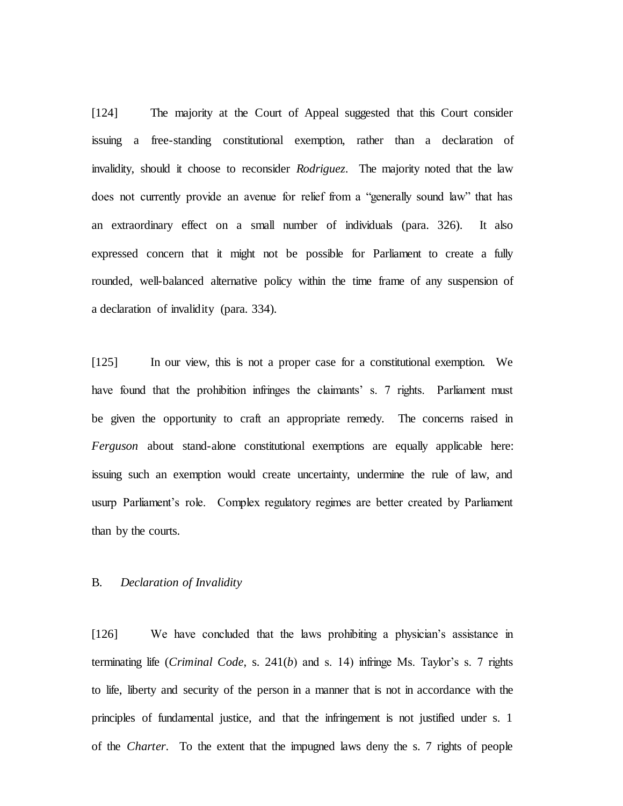[124] The majority at the Court of Appeal suggested that this Court consider issuing a free-standing constitutional exemption, rather than a declaration of invalidity, should it choose to reconsider *Rodriguez*. The majority noted that the law does not currently provide an avenue for relief from a "generally sound law" that has an extraordinary effect on a small number of individuals (para. 326). It also expressed concern that it might not be possible for Parliament to create a fully rounded, well-balanced alternative policy within the time frame of any suspension of a declaration of invalidity (para. 334).

[125] In our view, this is not a proper case for a constitutional exemption. We have found that the prohibition infringes the claimants' s. 7 rights. Parliament must be given the opportunity to craft an appropriate remedy. The concerns raised in *Ferguson* about stand-alone constitutional exemptions are equally applicable here: issuing such an exemption would create uncertainty, undermine the rule of law, and usurp Parliament's role. Complex regulatory regimes are better created by Parliament than by the courts.

## B. *Declaration of Invalidity*

[126] We have concluded that the laws prohibiting a physician's assistance in terminating life (*Criminal Code*, s. 241(*b*) and s. 14) infringe Ms. Taylor's s. 7 rights to life, liberty and security of the person in a manner that is not in accordance with the principles of fundamental justice, and that the infringement is not justified under s. 1 of the *Charter*. To the extent that the impugned laws deny the s. 7 rights of people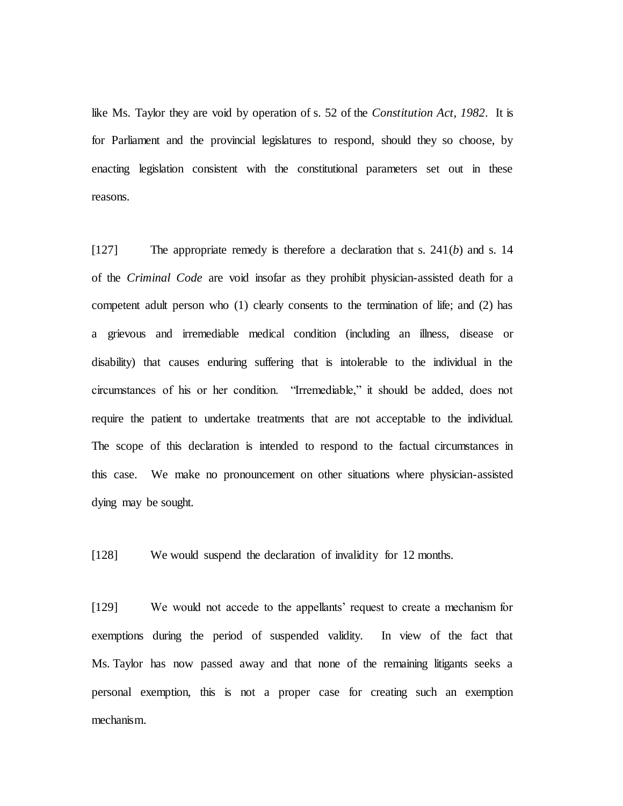like Ms. Taylor they are void by operation of s. 52 of the *Constitution Act, 1982*. It is for Parliament and the provincial legislatures to respond, should they so choose, by enacting legislation consistent with the constitutional parameters set out in these reasons.

[127] The appropriate remedy is therefore a declaration that s. 241(*b*) and s. 14 of the *Criminal Code* are void insofar as they prohibit physician-assisted death for a competent adult person who (1) clearly consents to the termination of life; and (2) has a grievous and irremediable medical condition (including an illness, disease or disability) that causes enduring suffering that is intolerable to the individual in the circumstances of his or her condition. "Irremediable," it should be added, does not require the patient to undertake treatments that are not acceptable to the individual. The scope of this declaration is intended to respond to the factual circumstances in this case. We make no pronouncement on other situations where physician-assisted dying may be sought.

[128] We would suspend the declaration of invalidity for 12 months.

[129] We would not accede to the appellants' request to create a mechanism for exemptions during the period of suspended validity. In view of the fact that Ms. Taylor has now passed away and that none of the remaining litigants seeks a personal exemption, this is not a proper case for creating such an exemption mechanism.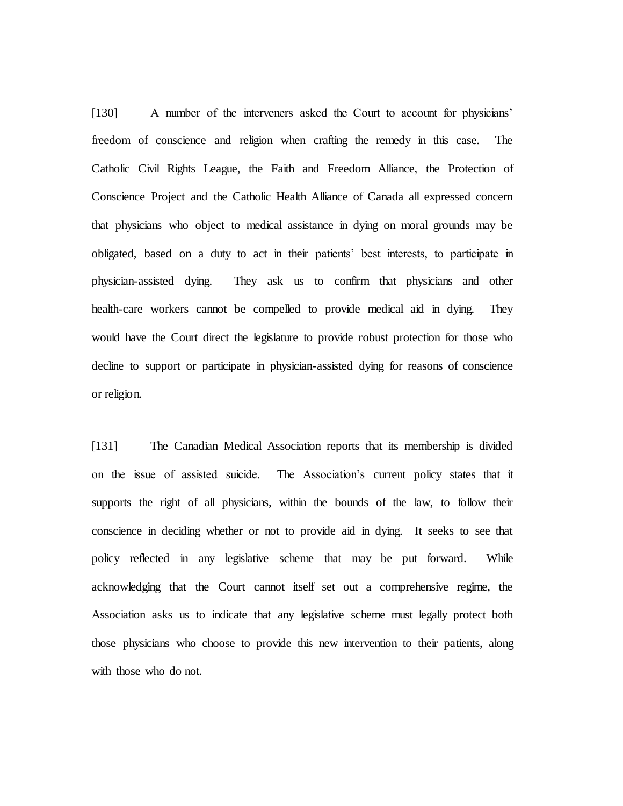[130] A number of the interveners asked the Court to account for physicians' freedom of conscience and religion when crafting the remedy in this case. The Catholic Civil Rights League, the Faith and Freedom Alliance, the Protection of Conscience Project and the Catholic Health Alliance of Canada all expressed concern that physicians who object to medical assistance in dying on moral grounds may be obligated, based on a duty to act in their patients' best interests, to participate in physician-assisted dying. They ask us to confirm that physicians and other health-care workers cannot be compelled to provide medical aid in dying. They would have the Court direct the legislature to provide robust protection for those who decline to support or participate in physician-assisted dying for reasons of conscience or religion.

[131] The Canadian Medical Association reports that its membership is divided on the issue of assisted suicide. The Association's current policy states that it supports the right of all physicians, within the bounds of the law, to follow their conscience in deciding whether or not to provide aid in dying. It seeks to see that policy reflected in any legislative scheme that may be put forward. While acknowledging that the Court cannot itself set out a comprehensive regime, the Association asks us to indicate that any legislative scheme must legally protect both those physicians who choose to provide this new intervention to their patients, along with those who do not.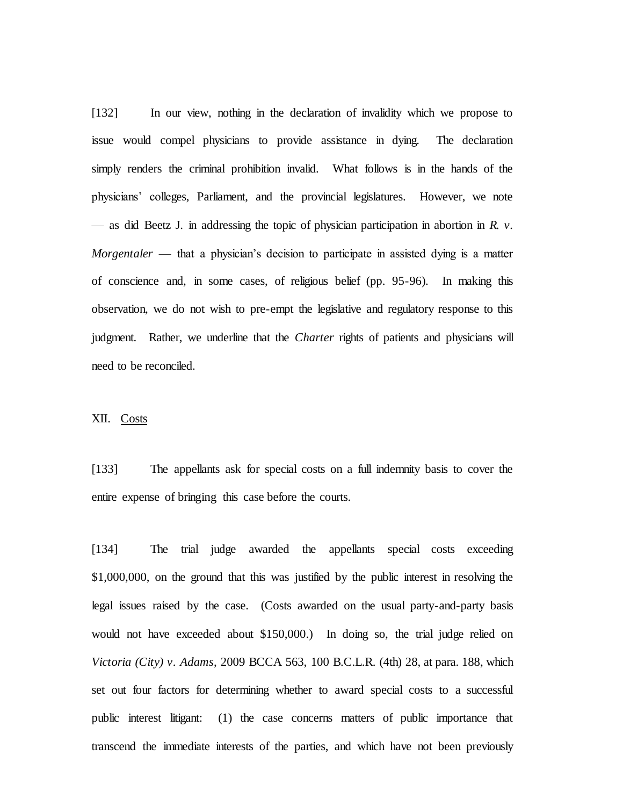[132] In our view, nothing in the declaration of invalidity which we propose to issue would compel physicians to provide assistance in dying. The declaration simply renders the criminal prohibition invalid. What follows is in the hands of the physicians' colleges, Parliament, and the provincial legislatures. However, we note — as did Beetz J. in addressing the topic of physician participation in abortion in *R. v. Morgentaler* — that a physician's decision to participate in assisted dying is a matter of conscience and, in some cases, of religious belief (pp. 95-96). In making this observation, we do not wish to pre-empt the legislative and regulatory response to this judgment. Rather, we underline that the *Charter* rights of patients and physicians will need to be reconciled.

## XII. Costs

[133] The appellants ask for special costs on a full indemnity basis to cover the entire expense of bringing this case before the courts.

[134] The trial judge awarded the appellants special costs exceeding \$1,000,000, on the ground that this was justified by the public interest in resolving the legal issues raised by the case. (Costs awarded on the usual party-and-party basis would not have exceeded about \$150,000.) In doing so, the trial judge relied on *Victoria (City) v. Adams*, 2009 BCCA 563, 100 B.C.L.R. (4th) 28, at para. 188, which set out four factors for determining whether to award special costs to a successful public interest litigant: (1) the case concerns matters of public importance that transcend the immediate interests of the parties, and which have not been previously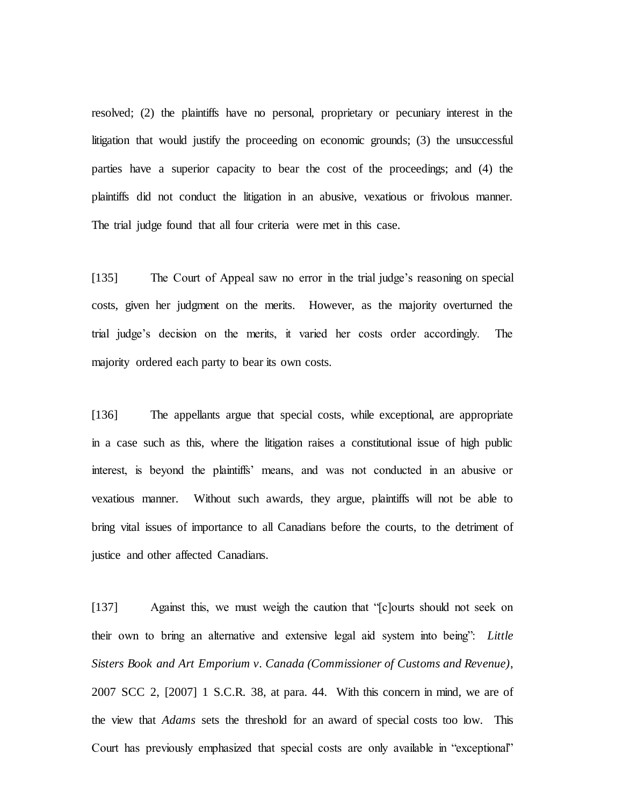resolved; (2) the plaintiffs have no personal, proprietary or pecuniary interest in the litigation that would justify the proceeding on economic grounds; (3) the unsuccessful parties have a superior capacity to bear the cost of the proceedings; and (4) the plaintiffs did not conduct the litigation in an abusive, vexatious or frivolous manner. The trial judge found that all four criteria were met in this case.

[135] The Court of Appeal saw no error in the trial judge's reasoning on special costs, given her judgment on the merits. However, as the majority overturned the trial judge's decision on the merits, it varied her costs order accordingly. The majority ordered each party to bear its own costs.

[136] The appellants argue that special costs, while exceptional, are appropriate in a case such as this, where the litigation raises a constitutional issue of high public interest, is beyond the plaintiffs' means, and was not conducted in an abusive or vexatious manner. Without such awards, they argue, plaintiffs will not be able to bring vital issues of importance to all Canadians before the courts, to the detriment of justice and other affected Canadians.

[137] Against this, we must weigh the caution that "[c]ourts should not seek on their own to bring an alternative and extensive legal aid system into being": *Little Sisters Book and Art Emporium v. Canada (Commissioner of Customs and Revenue)*, 2007 SCC 2, [2007] 1 S.C.R. 38, at para. 44. With this concern in mind, we are of the view that *Adams* sets the threshold for an award of special costs too low. This Court has previously emphasized that special costs are only available in "exceptional"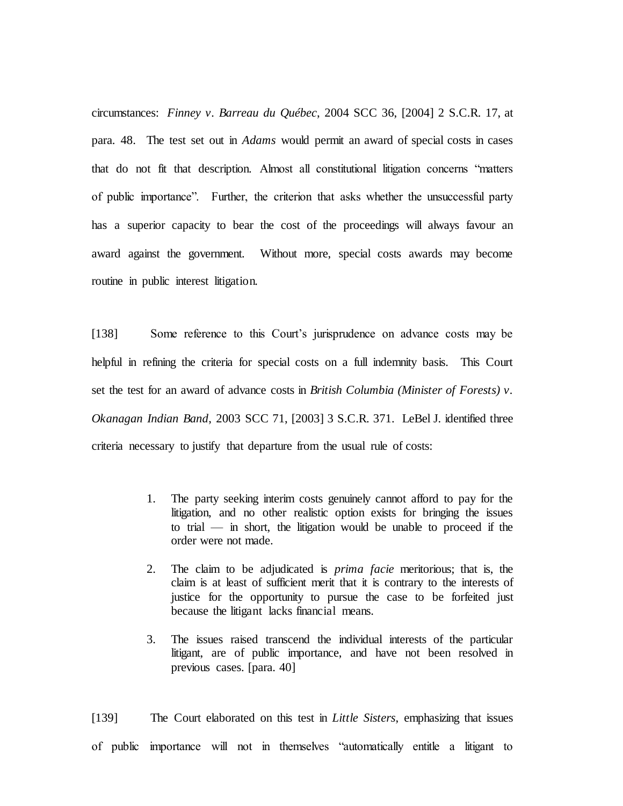circumstances: *Finney v. Barreau du Québec*, 2004 SCC 36, [2004] 2 S.C.R. 17, at para. 48. The test set out in *Adams* would permit an award of special costs in cases that do not fit that description. Almost all constitutional litigation concerns "matters of public importance". Further, the criterion that asks whether the unsuccessful party has a superior capacity to bear the cost of the proceedings will always favour an award against the government. Without more, special costs awards may become routine in public interest litigation.

[138] Some reference to this Court's jurisprudence on advance costs may be helpful in refining the criteria for special costs on a full indemnity basis. This Court set the test for an award of advance costs in *British Columbia (Minister of Forests) v. Okanagan Indian Band*, 2003 SCC 71, [2003] 3 S.C.R. 371. LeBel J. identified three criteria necessary to justify that departure from the usual rule of costs:

- 1. The party seeking interim costs genuinely cannot afford to pay for the litigation, and no other realistic option exists for bringing the issues to trial — in short, the litigation would be unable to proceed if the order were not made.
- 2. The claim to be adjudicated is *prima facie* meritorious; that is, the claim is at least of sufficient merit that it is contrary to the interests of justice for the opportunity to pursue the case to be forfeited just because the litigant lacks financial means.
- 3. The issues raised transcend the individual interests of the particular litigant, are of public importance, and have not been resolved in previous cases. [para. 40]

[139] The Court elaborated on this test in *Little Sisters*, emphasizing that issues of public importance will not in themselves "automatically entitle a litigant to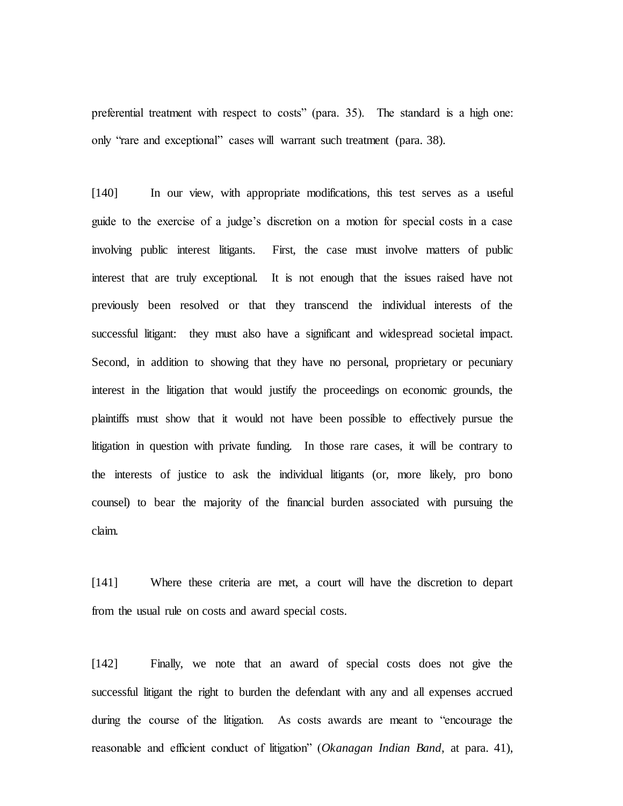preferential treatment with respect to costs" (para. 35). The standard is a high one: only "rare and exceptional" cases will warrant such treatment (para. 38).

[140] In our view, with appropriate modifications, this test serves as a useful guide to the exercise of a judge's discretion on a motion for special costs in a case involving public interest litigants. First, the case must involve matters of public interest that are truly exceptional. It is not enough that the issues raised have not previously been resolved or that they transcend the individual interests of the successful litigant: they must also have a significant and widespread societal impact. Second, in addition to showing that they have no personal, proprietary or pecuniary interest in the litigation that would justify the proceedings on economic grounds, the plaintiffs must show that it would not have been possible to effectively pursue the litigation in question with private funding. In those rare cases, it will be contrary to the interests of justice to ask the individual litigants (or, more likely, pro bono counsel) to bear the majority of the financial burden associated with pursuing the claim.

[141] Where these criteria are met, a court will have the discretion to depart from the usual rule on costs and award special costs.

[142] Finally, we note that an award of special costs does not give the successful litigant the right to burden the defendant with any and all expenses accrued during the course of the litigation. As costs awards are meant to "encourage the reasonable and efficient conduct of litigation" (*Okanagan Indian Band*, at para. 41),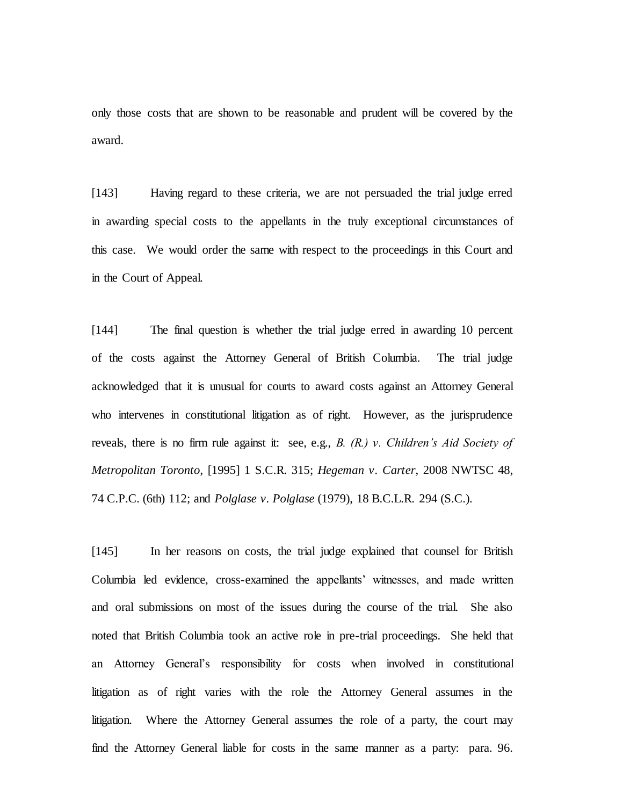only those costs that are shown to be reasonable and prudent will be covered by the award.

[143] Having regard to these criteria, we are not persuaded the trial judge erred in awarding special costs to the appellants in the truly exceptional circumstances of this case. We would order the same with respect to the proceedings in this Court and in the Court of Appeal.

[144] The final question is whether the trial judge erred in awarding 10 percent of the costs against the Attorney General of British Columbia. The trial judge acknowledged that it is unusual for courts to award costs against an Attorney General who intervenes in constitutional litigation as of right. However, as the jurisprudence reveals, there is no firm rule against it: see, e.g., *B. (R.) v. Children's Aid Society of Metropolitan Toronto*, [1995] 1 S.C.R. 315; *Hegeman v. Carter*, 2008 NWTSC 48, 74 C.P.C. (6th) 112; and *Polglase v. Polglase* (1979), 18 B.C.L.R. 294 (S.C.).

[145] In her reasons on costs, the trial judge explained that counsel for British Columbia led evidence, cross-examined the appellants' witnesses, and made written and oral submissions on most of the issues during the course of the trial. She also noted that British Columbia took an active role in pre-trial proceedings. She held that an Attorney General's responsibility for costs when involved in constitutional litigation as of right varies with the role the Attorney General assumes in the litigation. Where the Attorney General assumes the role of a party, the court may find the Attorney General liable for costs in the same manner as a party: para. 96.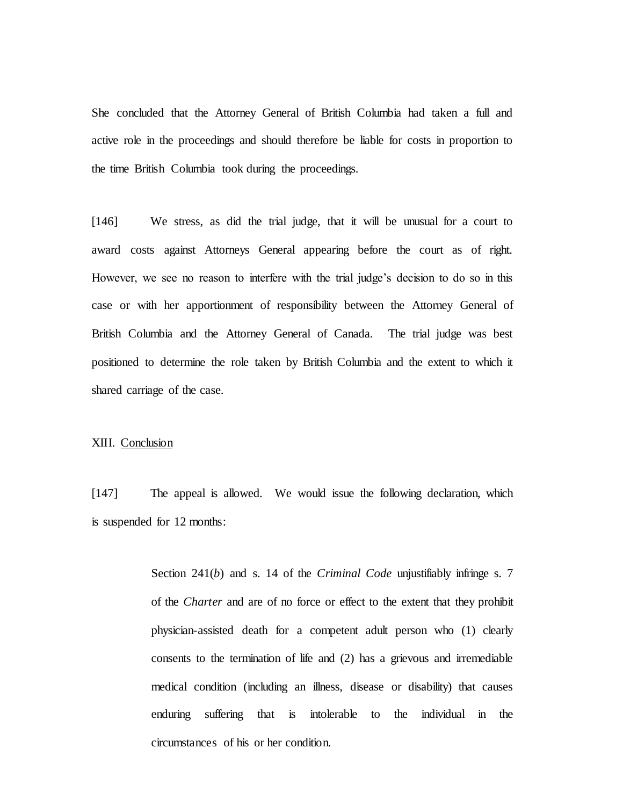She concluded that the Attorney General of British Columbia had taken a full and active role in the proceedings and should therefore be liable for costs in proportion to the time British Columbia took during the proceedings.

[146] We stress, as did the trial judge, that it will be unusual for a court to award costs against Attorneys General appearing before the court as of right. However, we see no reason to interfere with the trial judge's decision to do so in this case or with her apportionment of responsibility between the Attorney General of British Columbia and the Attorney General of Canada. The trial judge was best positioned to determine the role taken by British Columbia and the extent to which it shared carriage of the case.

## XIII. Conclusion

[147] The appeal is allowed. We would issue the following declaration, which is suspended for 12 months:

> Section 241(*b*) and s. 14 of the *Criminal Code* unjustifiably infringe s. 7 of the *Charter* and are of no force or effect to the extent that they prohibit physician-assisted death for a competent adult person who (1) clearly consents to the termination of life and (2) has a grievous and irremediable medical condition (including an illness, disease or disability) that causes enduring suffering that is intolerable to the individual in the circumstances of his or her condition.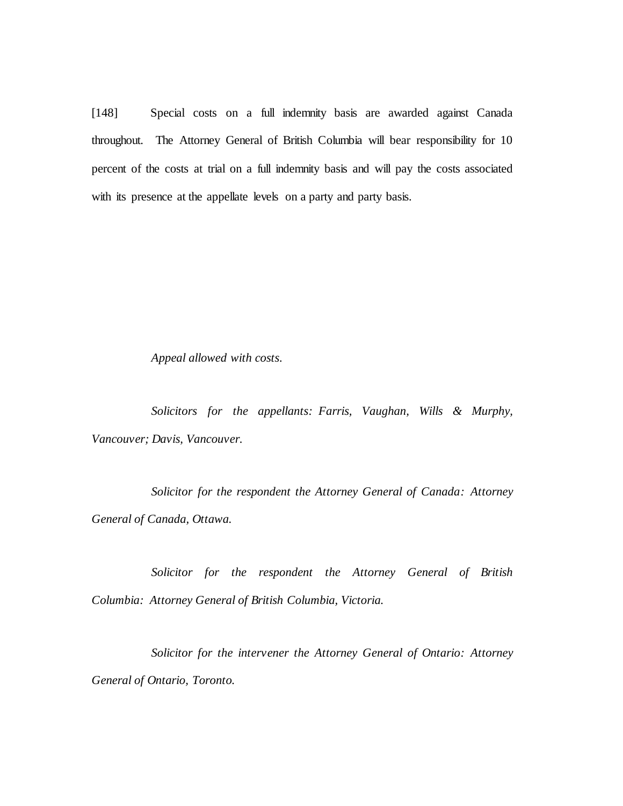[148] Special costs on a full indemnity basis are awarded against Canada throughout. The Attorney General of British Columbia will bear responsibility for 10 percent of the costs at trial on a full indemnity basis and will pay the costs associated with its presence at the appellate levels on a party and party basis.

*Appeal allowed with costs.*

*Solicitors for the appellants: Farris, Vaughan, Wills & Murphy, Vancouver; Davis, Vancouver.*

*Solicitor for the respondent the Attorney General of Canada: Attorney General of Canada, Ottawa.*

*Solicitor for the respondent the Attorney General of British Columbia: Attorney General of British Columbia, Victoria.*

*Solicitor for the intervener the Attorney General of Ontario: Attorney General of Ontario, Toronto.*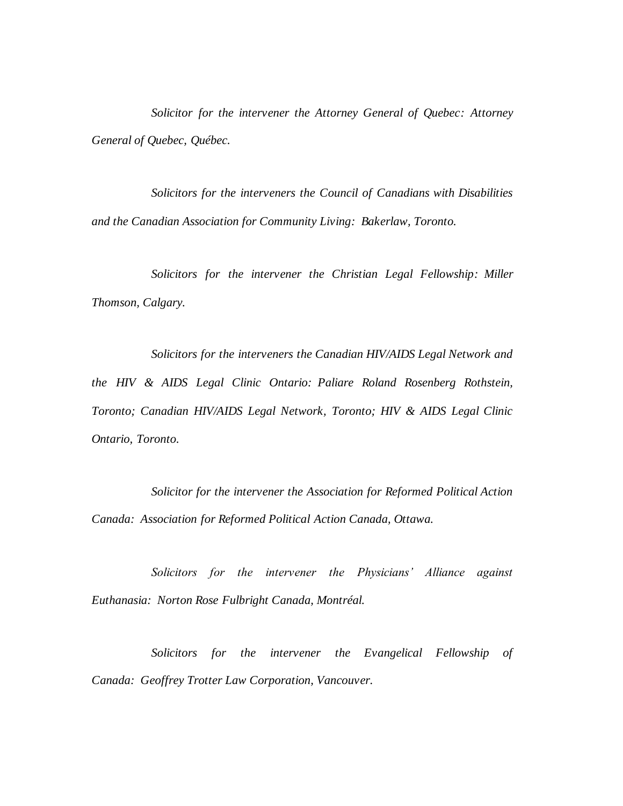*Solicitor for the intervener the Attorney General of Quebec: Attorney General of Quebec, Québec.*

*Solicitors for the interveners the Council of Canadians with Disabilities and the Canadian Association for Community Living: Bakerlaw, Toronto.*

*Solicitors for the intervener the Christian Legal Fellowship: Miller Thomson, Calgary.*

*Solicitors for the interveners the Canadian HIV/AIDS Legal Network and the HIV & AIDS Legal Clinic Ontario: Paliare Roland Rosenberg Rothstein, Toronto; Canadian HIV/AIDS Legal Network, Toronto; HIV & AIDS Legal Clinic Ontario, Toronto.*

*Solicitor for the intervener the Association for Reformed Political Action Canada: Association for Reformed Political Action Canada, Ottawa.*

*Solicitors for the intervener the Physicians' Alliance against Euthanasia: Norton Rose Fulbright Canada, Montréal.*

*Solicitors for the intervener the Evangelical Fellowship of Canada: Geoffrey Trotter Law Corporation, Vancouver.*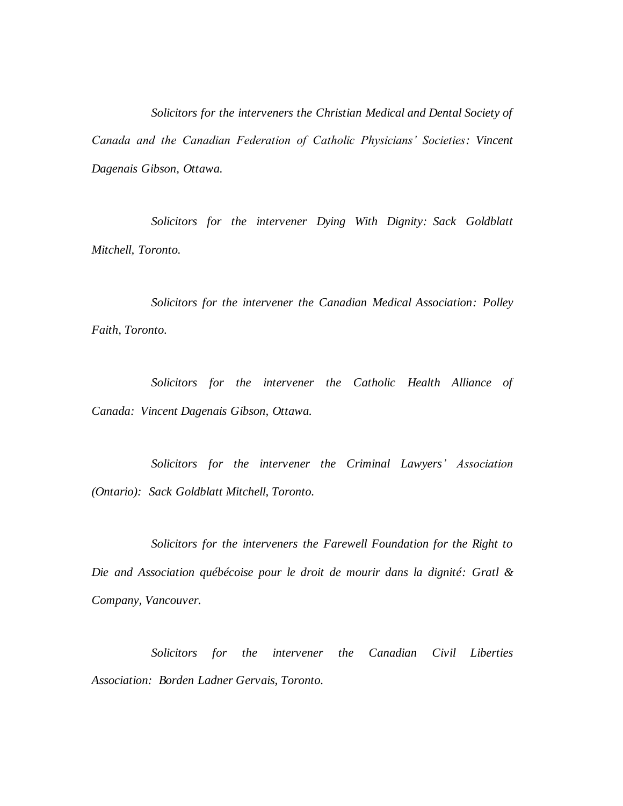*Solicitors for the interveners the Christian Medical and Dental Society of Canada and the Canadian Federation of Catholic Physicians' Societies: Vincent Dagenais Gibson, Ottawa.*

*Solicitors for the intervener Dying With Dignity: Sack Goldblatt Mitchell, Toronto.*

*Solicitors for the intervener the Canadian Medical Association: Polley Faith, Toronto.*

*Solicitors for the intervener the Catholic Health Alliance of Canada: Vincent Dagenais Gibson, Ottawa.*

*Solicitors for the intervener the Criminal Lawyers' Association (Ontario): Sack Goldblatt Mitchell, Toronto.*

*Solicitors for the interveners the Farewell Foundation for the Right to Die and Association québécoise pour le droit de mourir dans la dignité: Gratl & Company, Vancouver.*

*Solicitors for the intervener the Canadian Civil Liberties Association: Borden Ladner Gervais, Toronto.*